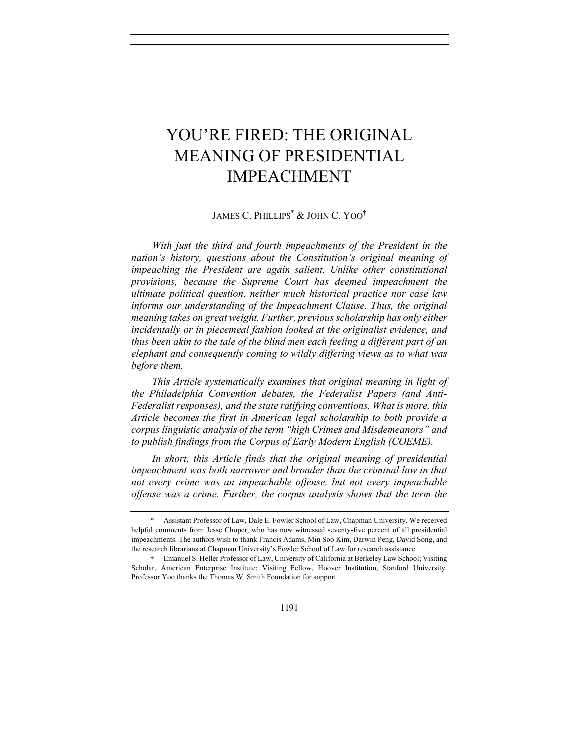# YOU'RE FIRED: THE ORIGINAL MEANING OF PRESIDENTIAL IMPEACHMENT

JAMES C. PHILLIPS\* & JOHN C. YOO†

*With just the third and fourth impeachments of the President in the nation's history, questions about the Constitution's original meaning of impeaching the President are again salient. Unlike other constitutional provisions, because the Supreme Court has deemed impeachment the ultimate political question, neither much historical practice nor case law informs our understanding of the Impeachment Clause. Thus, the original meaning takes on great weight. Further, previous scholarship has only either incidentally or in piecemeal fashion looked at the originalist evidence, and thus been akin to the tale of the blind men each feeling a different part of an elephant and consequently coming to wildly differing views as to what was before them.*

*This Article systematically examines that original meaning in light of the Philadelphia Convention debates, the Federalist Papers (and Anti-Federalist responses), and the state ratifying conventions. What is more, this Article becomes the first in American legal scholarship to both provide a corpus linguistic analysis of the term "high Crimes and Misdemeanors" and to publish findings from the Corpus of Early Modern English (COEME).* 

*In short, this Article finds that the original meaning of presidential impeachment was both narrower and broader than the criminal law in that not every crime was an impeachable offense, but not every impeachable offense was a crime. Further, the corpus analysis shows that the term the* 

<sup>\*</sup> Assistant Professor of Law, Dale E. Fowler School of Law, Chapman University. We received helpful comments from Jesse Choper, who has now witnessed seventy-five percent of all presidential impeachments. The authors wish to thank Francis Adams, Min Soo Kim, Darwin Peng, David Song, and the research librarians at Chapman University's Fowler School of Law for research assistance.

<sup>†</sup> Emanuel S. Heller Professor of Law, University of California at Berkeley Law School; Visiting Scholar, American Enterprise Institute; Visiting Fellow, Hoover Institution, Stanford University. Professor Yoo thanks the Thomas W. Smith Foundation for support.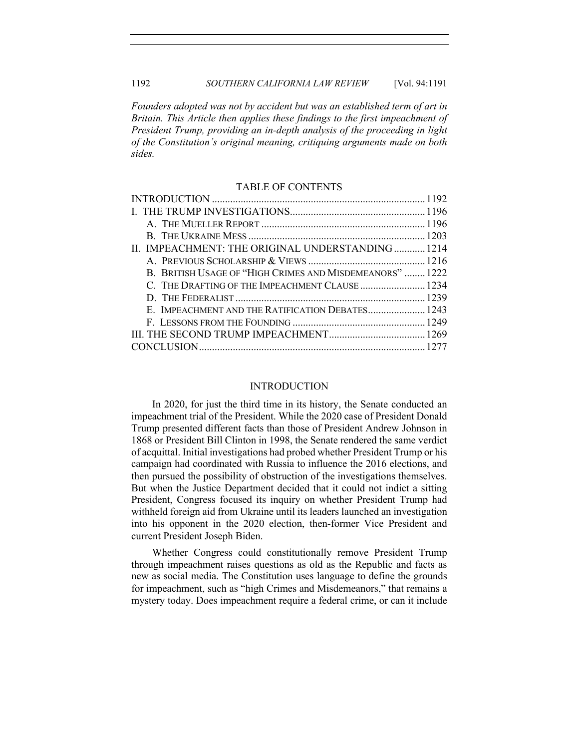1192 *SOUTHERN CALIFORNIA LAW REVIEW* [Vol. 94:1191

*Founders adopted was not by accident but was an established term of art in Britain. This Article then applies these findings to the first impeachment of President Trump, providing an in-depth analysis of the proceeding in light of the Constitution's original meaning, critiquing arguments made on both sides.*

#### TABLE OF CONTENTS

| II. IMPEACHMENT: THE ORIGINAL UNDERSTANDING1214          |  |
|----------------------------------------------------------|--|
|                                                          |  |
| B. BRITISH USAGE OF "HIGH CRIMES AND MISDEMEANORS"  1222 |  |
| C. THE DRAFTING OF THE IMPEACHMENT CLAUSE  1234          |  |
|                                                          |  |
|                                                          |  |
|                                                          |  |
|                                                          |  |
|                                                          |  |

# **INTRODUCTION**

In 2020, for just the third time in its history, the Senate conducted an impeachment trial of the President. While the 2020 case of President Donald Trump presented different facts than those of President Andrew Johnson in 1868 or President Bill Clinton in 1998, the Senate rendered the same verdict of acquittal. Initial investigations had probed whether President Trump or his campaign had coordinated with Russia to influence the 2016 elections, and then pursued the possibility of obstruction of the investigations themselves. But when the Justice Department decided that it could not indict a sitting President, Congress focused its inquiry on whether President Trump had withheld foreign aid from Ukraine until its leaders launched an investigation into his opponent in the 2020 election, then-former Vice President and current President Joseph Biden.

Whether Congress could constitutionally remove President Trump through impeachment raises questions as old as the Republic and facts as new as social media. The Constitution uses language to define the grounds for impeachment, such as "high Crimes and Misdemeanors," that remains a mystery today. Does impeachment require a federal crime, or can it include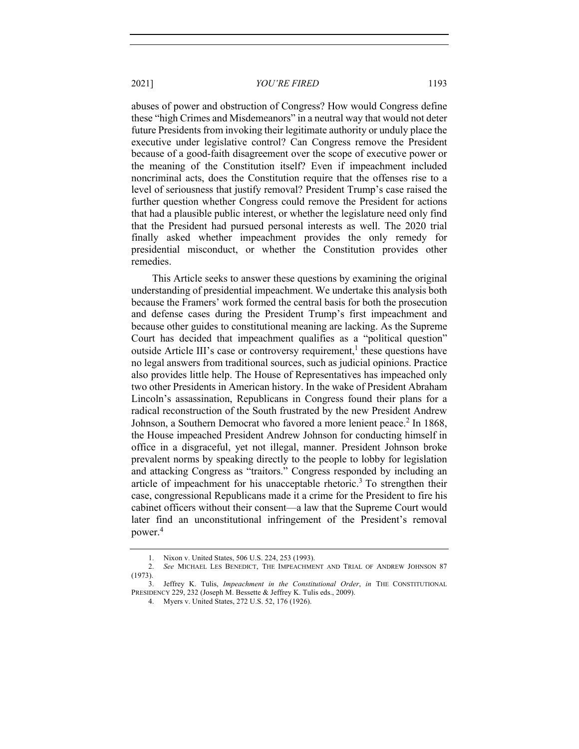abuses of power and obstruction of Congress? How would Congress define these "high Crimes and Misdemeanors" in a neutral way that would not deter future Presidents from invoking their legitimate authority or unduly place the executive under legislative control? Can Congress remove the President because of a good-faith disagreement over the scope of executive power or the meaning of the Constitution itself? Even if impeachment included noncriminal acts, does the Constitution require that the offenses rise to a level of seriousness that justify removal? President Trump's case raised the further question whether Congress could remove the President for actions that had a plausible public interest, or whether the legislature need only find that the President had pursued personal interests as well. The 2020 trial finally asked whether impeachment provides the only remedy for presidential misconduct, or whether the Constitution provides other remedies.

This Article seeks to answer these questions by examining the original understanding of presidential impeachment. We undertake this analysis both because the Framers' work formed the central basis for both the prosecution and defense cases during the President Trump's first impeachment and because other guides to constitutional meaning are lacking. As the Supreme Court has decided that impeachment qualifies as a "political question" outside Article III's case or controversy requirement,<sup>1</sup> these questions have no legal answers from traditional sources, such as judicial opinions. Practice also provides little help. The House of Representatives has impeached only two other Presidents in American history. In the wake of President Abraham Lincoln's assassination, Republicans in Congress found their plans for a radical reconstruction of the South frustrated by the new President Andrew Johnson, a Southern Democrat who favored a more lenient peace.<sup>2</sup> In 1868, the House impeached President Andrew Johnson for conducting himself in office in a disgraceful, yet not illegal, manner. President Johnson broke prevalent norms by speaking directly to the people to lobby for legislation and attacking Congress as "traitors." Congress responded by including an article of impeachment for his unacceptable rhetoric.3 To strengthen their case, congressional Republicans made it a crime for the President to fire his cabinet officers without their consent—a law that the Supreme Court would later find an unconstitutional infringement of the President's removal power.4

<sup>1.</sup> Nixon v. United States, 506 U.S. 224, 253 (1993).

<sup>2.</sup> *See* MICHAEL LES BENEDICT, THE IMPEACHMENT AND TRIAL OF ANDREW JOHNSON 87 (1973).

<sup>3.</sup> Jeffrey K. Tulis, *Impeachment in the Constitutional Order*, *in* THE CONSTITUTIONAL PRESIDENCY 229, 232 (Joseph M. Bessette & Jeffrey K. Tulis eds., 2009).

<sup>4.</sup> Myers v. United States, 272 U.S. 52, 176 (1926).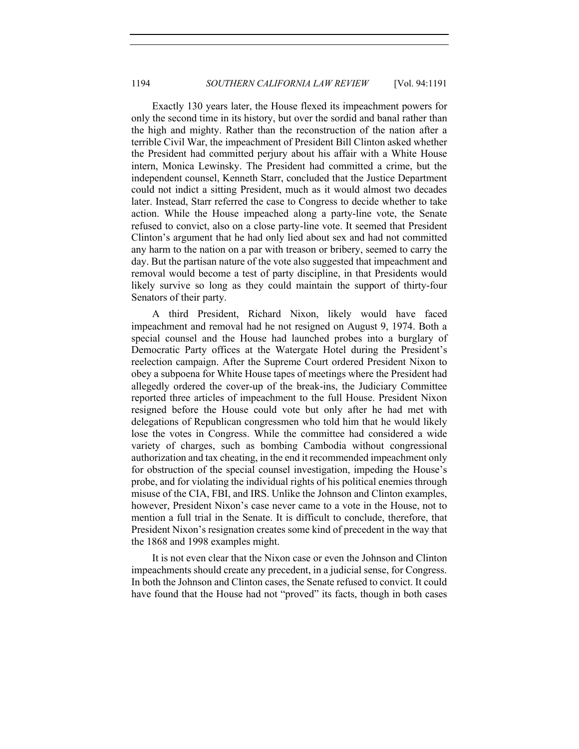Exactly 130 years later, the House flexed its impeachment powers for only the second time in its history, but over the sordid and banal rather than the high and mighty. Rather than the reconstruction of the nation after a terrible Civil War, the impeachment of President Bill Clinton asked whether the President had committed perjury about his affair with a White House intern, Monica Lewinsky. The President had committed a crime, but the independent counsel, Kenneth Starr, concluded that the Justice Department could not indict a sitting President, much as it would almost two decades later. Instead, Starr referred the case to Congress to decide whether to take action. While the House impeached along a party-line vote, the Senate refused to convict, also on a close party-line vote. It seemed that President Clinton's argument that he had only lied about sex and had not committed any harm to the nation on a par with treason or bribery, seemed to carry the day. But the partisan nature of the vote also suggested that impeachment and removal would become a test of party discipline, in that Presidents would likely survive so long as they could maintain the support of thirty-four Senators of their party.

A third President, Richard Nixon, likely would have faced impeachment and removal had he not resigned on August 9, 1974. Both a special counsel and the House had launched probes into a burglary of Democratic Party offices at the Watergate Hotel during the President's reelection campaign. After the Supreme Court ordered President Nixon to obey a subpoena for White House tapes of meetings where the President had allegedly ordered the cover-up of the break-ins, the Judiciary Committee reported three articles of impeachment to the full House. President Nixon resigned before the House could vote but only after he had met with delegations of Republican congressmen who told him that he would likely lose the votes in Congress. While the committee had considered a wide variety of charges, such as bombing Cambodia without congressional authorization and tax cheating, in the end it recommended impeachment only for obstruction of the special counsel investigation, impeding the House's probe, and for violating the individual rights of his political enemies through misuse of the CIA, FBI, and IRS. Unlike the Johnson and Clinton examples, however, President Nixon's case never came to a vote in the House, not to mention a full trial in the Senate. It is difficult to conclude, therefore, that President Nixon's resignation creates some kind of precedent in the way that the 1868 and 1998 examples might.

It is not even clear that the Nixon case or even the Johnson and Clinton impeachments should create any precedent, in a judicial sense, for Congress. In both the Johnson and Clinton cases, the Senate refused to convict. It could have found that the House had not "proved" its facts, though in both cases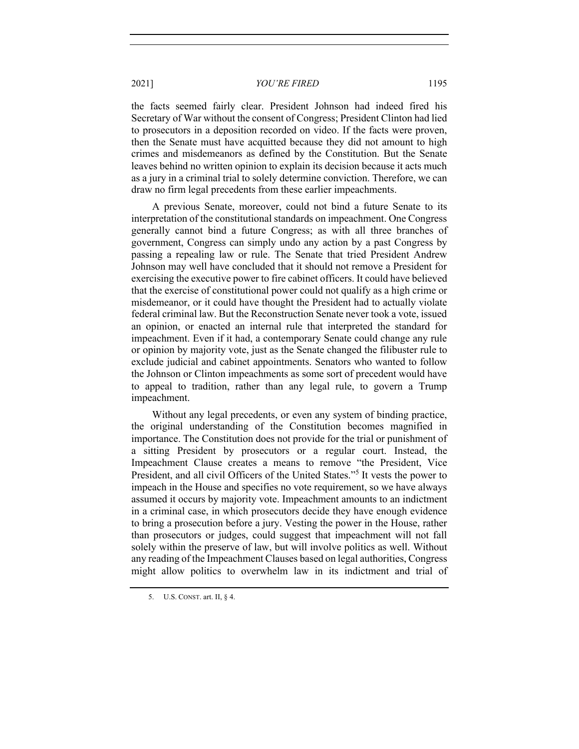the facts seemed fairly clear. President Johnson had indeed fired his Secretary of War without the consent of Congress; President Clinton had lied to prosecutors in a deposition recorded on video. If the facts were proven, then the Senate must have acquitted because they did not amount to high crimes and misdemeanors as defined by the Constitution. But the Senate leaves behind no written opinion to explain its decision because it acts much as a jury in a criminal trial to solely determine conviction. Therefore, we can draw no firm legal precedents from these earlier impeachments.

A previous Senate, moreover, could not bind a future Senate to its interpretation of the constitutional standards on impeachment. One Congress generally cannot bind a future Congress; as with all three branches of government, Congress can simply undo any action by a past Congress by passing a repealing law or rule. The Senate that tried President Andrew Johnson may well have concluded that it should not remove a President for exercising the executive power to fire cabinet officers. It could have believed that the exercise of constitutional power could not qualify as a high crime or misdemeanor, or it could have thought the President had to actually violate federal criminal law. But the Reconstruction Senate never took a vote, issued an opinion, or enacted an internal rule that interpreted the standard for impeachment. Even if it had, a contemporary Senate could change any rule or opinion by majority vote, just as the Senate changed the filibuster rule to exclude judicial and cabinet appointments. Senators who wanted to follow the Johnson or Clinton impeachments as some sort of precedent would have to appeal to tradition, rather than any legal rule, to govern a Trump impeachment.

Without any legal precedents, or even any system of binding practice, the original understanding of the Constitution becomes magnified in importance. The Constitution does not provide for the trial or punishment of a sitting President by prosecutors or a regular court. Instead, the Impeachment Clause creates a means to remove "the President, Vice President, and all civil Officers of the United States."<sup>5</sup> It vests the power to impeach in the House and specifies no vote requirement, so we have always assumed it occurs by majority vote. Impeachment amounts to an indictment in a criminal case, in which prosecutors decide they have enough evidence to bring a prosecution before a jury. Vesting the power in the House, rather than prosecutors or judges, could suggest that impeachment will not fall solely within the preserve of law, but will involve politics as well. Without any reading of the Impeachment Clauses based on legal authorities, Congress might allow politics to overwhelm law in its indictment and trial of

<sup>5.</sup> U.S. CONST. art. II, § 4.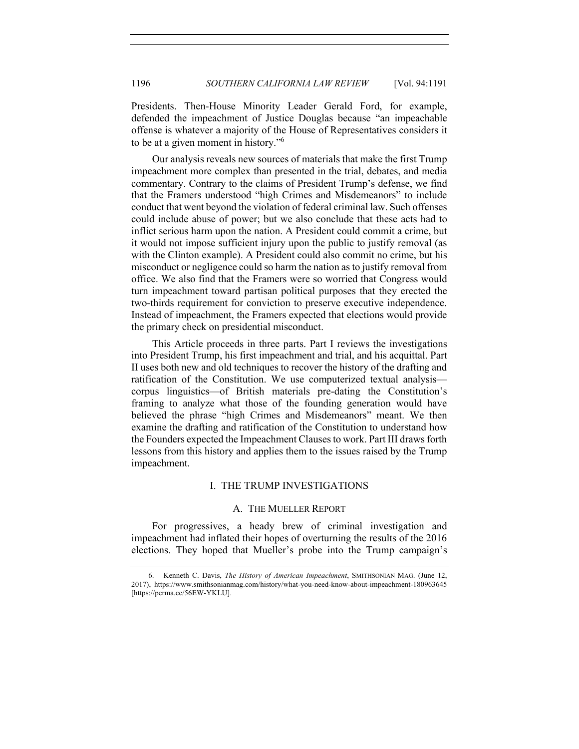Presidents. Then-House Minority Leader Gerald Ford, for example, defended the impeachment of Justice Douglas because "an impeachable offense is whatever a majority of the House of Representatives considers it to be at a given moment in history."<sup>6</sup>

Our analysis reveals new sources of materials that make the first Trump impeachment more complex than presented in the trial, debates, and media commentary. Contrary to the claims of President Trump's defense, we find that the Framers understood "high Crimes and Misdemeanors" to include conduct that went beyond the violation of federal criminal law. Such offenses could include abuse of power; but we also conclude that these acts had to inflict serious harm upon the nation. A President could commit a crime, but it would not impose sufficient injury upon the public to justify removal (as with the Clinton example). A President could also commit no crime, but his misconduct or negligence could so harm the nation as to justify removal from office. We also find that the Framers were so worried that Congress would turn impeachment toward partisan political purposes that they erected the two-thirds requirement for conviction to preserve executive independence. Instead of impeachment, the Framers expected that elections would provide the primary check on presidential misconduct.

This Article proceeds in three parts. Part I reviews the investigations into President Trump, his first impeachment and trial, and his acquittal. Part II uses both new and old techniques to recover the history of the drafting and ratification of the Constitution. We use computerized textual analysis corpus linguistics—of British materials pre-dating the Constitution's framing to analyze what those of the founding generation would have believed the phrase "high Crimes and Misdemeanors" meant. We then examine the drafting and ratification of the Constitution to understand how the Founders expected the Impeachment Clauses to work. Part III draws forth lessons from this history and applies them to the issues raised by the Trump impeachment.

# I. THE TRUMP INVESTIGATIONS

# A. THE MUELLER REPORT

For progressives, a heady brew of criminal investigation and impeachment had inflated their hopes of overturning the results of the 2016 elections. They hoped that Mueller's probe into the Trump campaign's

<sup>6.</sup> Kenneth C. Davis, *The History of American Impeachment*, SMITHSONIAN MAG. (June 12, 2017), https://www.smithsonianmag.com/history/what-you-need-know-about-impeachment-180963645 [https://perma.cc/56EW-YKLU].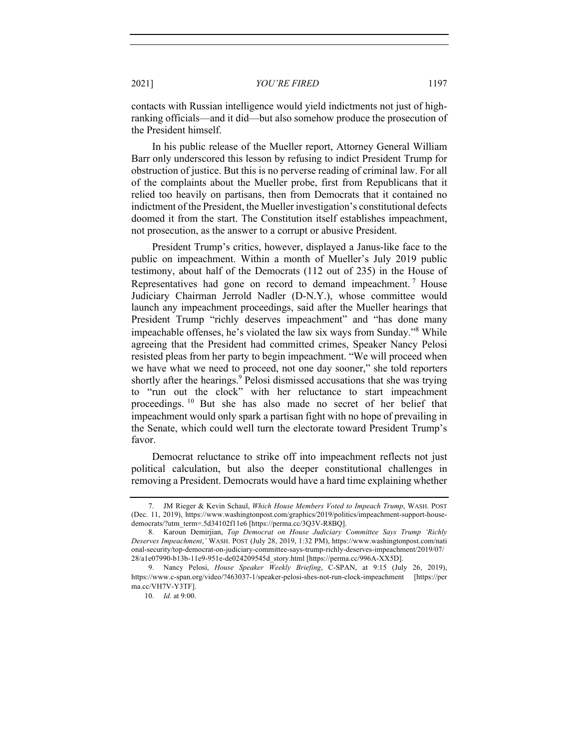contacts with Russian intelligence would yield indictments not just of highranking officials—and it did—but also somehow produce the prosecution of the President himself.

In his public release of the Mueller report, Attorney General William Barr only underscored this lesson by refusing to indict President Trump for obstruction of justice. But this is no perverse reading of criminal law. For all of the complaints about the Mueller probe, first from Republicans that it relied too heavily on partisans, then from Democrats that it contained no indictment of the President, the Mueller investigation's constitutional defects doomed it from the start. The Constitution itself establishes impeachment, not prosecution, as the answer to a corrupt or abusive President.

President Trump's critics, however, displayed a Janus-like face to the public on impeachment. Within a month of Mueller's July 2019 public testimony, about half of the Democrats (112 out of 235) in the House of Representatives had gone on record to demand impeachment.<sup>7</sup> House Judiciary Chairman Jerrold Nadler (D-N.Y.), whose committee would launch any impeachment proceedings, said after the Mueller hearings that President Trump "richly deserves impeachment" and "has done many impeachable offenses, he's violated the law six ways from Sunday."8 While agreeing that the President had committed crimes, Speaker Nancy Pelosi resisted pleas from her party to begin impeachment. "We will proceed when we have what we need to proceed, not one day sooner," she told reporters shortly after the hearings.<sup>9</sup> Pelosi dismissed accusations that she was trying to "run out the clock" with her reluctance to start impeachment proceedings. <sup>10</sup> But she has also made no secret of her belief that impeachment would only spark a partisan fight with no hope of prevailing in the Senate, which could well turn the electorate toward President Trump's favor.

Democrat reluctance to strike off into impeachment reflects not just political calculation, but also the deeper constitutional challenges in removing a President. Democrats would have a hard time explaining whether

<sup>7.</sup> JM Rieger & Kevin Schaul, *Which House Members Voted to Impeach Trump*, WASH. POST (Dec. 11, 2019), https://www.washingtonpost.com/graphics/2019/politics/impeachment-support-housedemocrats/?utm\_term=.5d34102f11e6 [https://perma.cc/3Q3V-R8BQ].

<sup>8.</sup> Karoun Demirjian, *Top Democrat on House Judiciary Committee Says Trump 'Richly Deserves Impeachment*,*'* WASH. POST (July 28, 2019, 1:32 PM), https://www.washingtonpost.com/nati onal-security/top-democrat-on-judiciary-committee-says-trump-richly-deserves-impeachment/2019/07/ 28/a1e07990-b13b-11e9-951e-de024209545d\_story.html [https://perma.cc/996A-XX5D].

<sup>9.</sup> Nancy Pelosi, *House Speaker Weekly Briefing*, C-SPAN, at 9:15 (July 26, 2019), https://www.c-span.org/video/?463037-1/speaker-pelosi-shes-not-run-clock-impeachment [https://per ma.cc/VH7V-Y3TF].

<sup>10.</sup> *Id.* at 9:00.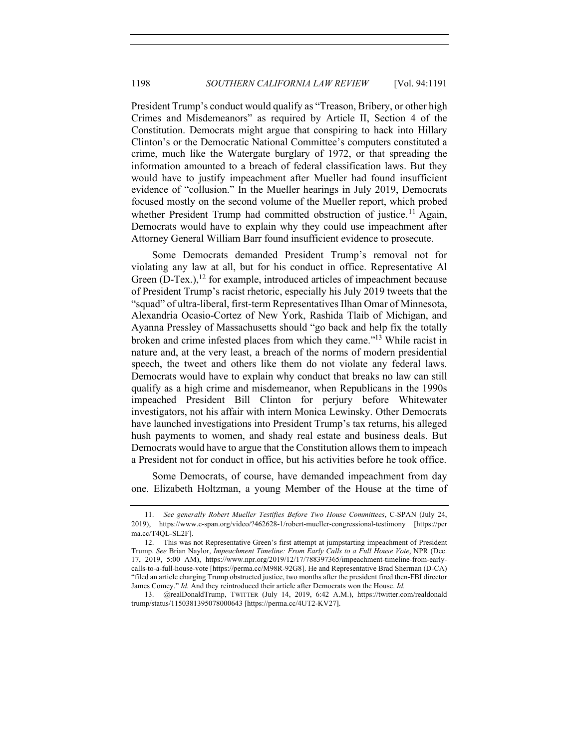President Trump's conduct would qualify as "Treason, Bribery, or other high Crimes and Misdemeanors" as required by Article II, Section 4 of the Constitution. Democrats might argue that conspiring to hack into Hillary Clinton's or the Democratic National Committee's computers constituted a crime, much like the Watergate burglary of 1972, or that spreading the information amounted to a breach of federal classification laws. But they would have to justify impeachment after Mueller had found insufficient evidence of "collusion." In the Mueller hearings in July 2019, Democrats focused mostly on the second volume of the Mueller report, which probed whether President Trump had committed obstruction of justice.<sup>11</sup> Again, Democrats would have to explain why they could use impeachment after Attorney General William Barr found insufficient evidence to prosecute.

Some Democrats demanded President Trump's removal not for violating any law at all, but for his conduct in office. Representative Al Green  $(D-Text.)$ ,<sup>12</sup> for example, introduced articles of impeachment because of President Trump's racist rhetoric, especially his July 2019 tweets that the "squad" of ultra-liberal, first-term Representatives Ilhan Omar of Minnesota, Alexandria Ocasio-Cortez of New York, Rashida Tlaib of Michigan, and Ayanna Pressley of Massachusetts should "go back and help fix the totally broken and crime infested places from which they came."13 While racist in nature and, at the very least, a breach of the norms of modern presidential speech, the tweet and others like them do not violate any federal laws. Democrats would have to explain why conduct that breaks no law can still qualify as a high crime and misdemeanor, when Republicans in the 1990s impeached President Bill Clinton for perjury before Whitewater investigators, not his affair with intern Monica Lewinsky. Other Democrats have launched investigations into President Trump's tax returns, his alleged hush payments to women, and shady real estate and business deals. But Democrats would have to argue that the Constitution allows them to impeach a President not for conduct in office, but his activities before he took office.

Some Democrats, of course, have demanded impeachment from day one. Elizabeth Holtzman, a young Member of the House at the time of

<sup>11.</sup> *See generally Robert Mueller Testifies Before Two House Committees*, C-SPAN (July 24, 2019), https://www.c-span.org/video/?462628-1/robert-mueller-congressional-testimony [https://per ma.cc/T4QL-SL2F].

<sup>12.</sup> This was not Representative Green's first attempt at jumpstarting impeachment of President Trump. *See* Brian Naylor, *Impeachment Timeline: From Early Calls to a Full House Vote*, NPR (Dec. 17, 2019, 5:00 AM), https://www.npr.org/2019/12/17/788397365/impeachment-timeline-from-earlycalls-to-a-full-house-vote [https://perma.cc/M98R-92G8]. He and Representative Brad Sherman (D-CA) "filed an article charging Trump obstructed justice, two months after the president fired then-FBI director James Comey." *Id.* And they reintroduced their article after Democrats won the House. *Id.*

<sup>13.</sup> @realDonaldTrump, TWITTER (July 14, 2019, 6:42 A.M.), https://twitter.com/realdonald trump/status/1150381395078000643 [https://perma.cc/4UT2-KV27].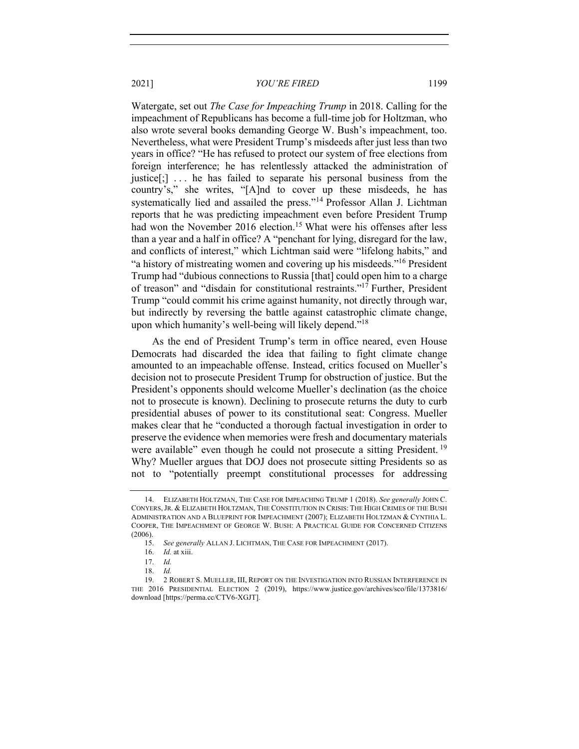Watergate, set out *The Case for Impeaching Trump* in 2018. Calling for the impeachment of Republicans has become a full-time job for Holtzman, who also wrote several books demanding George W. Bush's impeachment, too. Nevertheless, what were President Trump's misdeeds after just less than two years in office? "He has refused to protect our system of free elections from foreign interference; he has relentlessly attacked the administration of justice $[\cdot]$ ... he has failed to separate his personal business from the country's," she writes, "[A]nd to cover up these misdeeds, he has systematically lied and assailed the press."<sup>14</sup> Professor Allan J. Lichtman reports that he was predicting impeachment even before President Trump had won the November 2016 election.<sup>15</sup> What were his offenses after less than a year and a half in office? A "penchant for lying, disregard for the law, and conflicts of interest," which Lichtman said were "lifelong habits," and "a history of mistreating women and covering up his misdeeds."<sup>16</sup> President Trump had "dubious connections to Russia [that] could open him to a charge of treason" and "disdain for constitutional restraints."17 Further, President Trump "could commit his crime against humanity, not directly through war, but indirectly by reversing the battle against catastrophic climate change, upon which humanity's well-being will likely depend."18

As the end of President Trump's term in office neared, even House Democrats had discarded the idea that failing to fight climate change amounted to an impeachable offense. Instead, critics focused on Mueller's decision not to prosecute President Trump for obstruction of justice. But the President's opponents should welcome Mueller's declination (as the choice not to prosecute is known). Declining to prosecute returns the duty to curb presidential abuses of power to its constitutional seat: Congress. Mueller makes clear that he "conducted a thorough factual investigation in order to preserve the evidence when memories were fresh and documentary materials were available" even though he could not prosecute a sitting President.<sup>19</sup> Why? Mueller argues that DOJ does not prosecute sitting Presidents so as not to "potentially preempt constitutional processes for addressing

<sup>14.</sup> ELIZABETH HOLTZMAN, THE CASE FOR IMPEACHING TRUMP 1 (2018). *See generally* JOHN C. CONYERS,JR. & ELIZABETH HOLTZMAN, THE CONSTITUTION IN CRISIS: THE HIGH CRIMES OF THE BUSH ADMINISTRATION AND A BLUEPRINT FOR IMPEACHMENT (2007); ELIZABETH HOLTZMAN & CYNTHIA L. COOPER, THE IMPEACHMENT OF GEORGE W. BUSH: A PRACTICAL GUIDE FOR CONCERNED CITIZENS (2006).

<sup>15.</sup> *See generally* ALLAN J. LICHTMAN, THE CASE FOR IMPEACHMENT (2017).

<sup>16.</sup> *Id.* at xiii.

<sup>17.</sup> *Id.*

<sup>18.</sup> *Id.*

<sup>19.</sup> 2 ROBERT S. MUELLER, III, REPORT ON THE INVESTIGATION INTO RUSSIAN INTERFERENCE IN THE 2016 PRESIDENTIAL ELECTION 2 (2019), https://www.justice.gov/archives/sco/file/1373816/ download [https://perma.cc/CTV6-XGJT].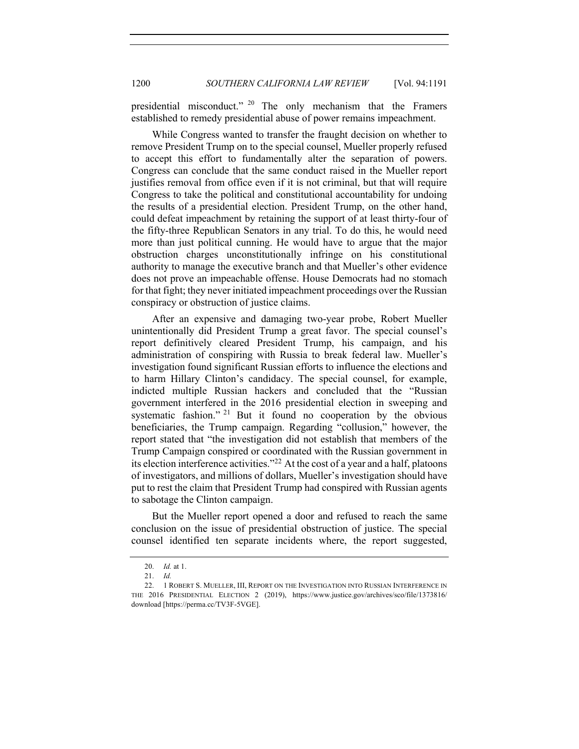presidential misconduct." <sup>20</sup> The only mechanism that the Framers established to remedy presidential abuse of power remains impeachment.

While Congress wanted to transfer the fraught decision on whether to remove President Trump on to the special counsel, Mueller properly refused to accept this effort to fundamentally alter the separation of powers. Congress can conclude that the same conduct raised in the Mueller report justifies removal from office even if it is not criminal, but that will require Congress to take the political and constitutional accountability for undoing the results of a presidential election. President Trump, on the other hand, could defeat impeachment by retaining the support of at least thirty-four of the fifty-three Republican Senators in any trial. To do this, he would need more than just political cunning. He would have to argue that the major obstruction charges unconstitutionally infringe on his constitutional authority to manage the executive branch and that Mueller's other evidence does not prove an impeachable offense. House Democrats had no stomach for that fight; they never initiated impeachment proceedings over the Russian conspiracy or obstruction of justice claims.

After an expensive and damaging two-year probe, Robert Mueller unintentionally did President Trump a great favor. The special counsel's report definitively cleared President Trump, his campaign, and his administration of conspiring with Russia to break federal law. Mueller's investigation found significant Russian efforts to influence the elections and to harm Hillary Clinton's candidacy. The special counsel, for example, indicted multiple Russian hackers and concluded that the "Russian government interfered in the 2016 presidential election in sweeping and systematic fashion." <sup>21</sup> But it found no cooperation by the obvious beneficiaries, the Trump campaign. Regarding "collusion," however, the report stated that "the investigation did not establish that members of the Trump Campaign conspired or coordinated with the Russian government in its election interference activities."<sup>22</sup> At the cost of a year and a half, platoons of investigators, and millions of dollars, Mueller's investigation should have put to rest the claim that President Trump had conspired with Russian agents to sabotage the Clinton campaign.

But the Mueller report opened a door and refused to reach the same conclusion on the issue of presidential obstruction of justice. The special counsel identified ten separate incidents where, the report suggested,

<sup>20.</sup> *Id.* at 1.

<sup>21.</sup> *Id.*

<sup>22.</sup> 1 ROBERT S. MUELLER, III, REPORT ON THE INVESTIGATION INTO RUSSIAN INTERFERENCE IN THE 2016 PRESIDENTIAL ELECTION 2 (2019), https://www.justice.gov/archives/sco/file/1373816/ download [https://perma.cc/TV3F-5VGE].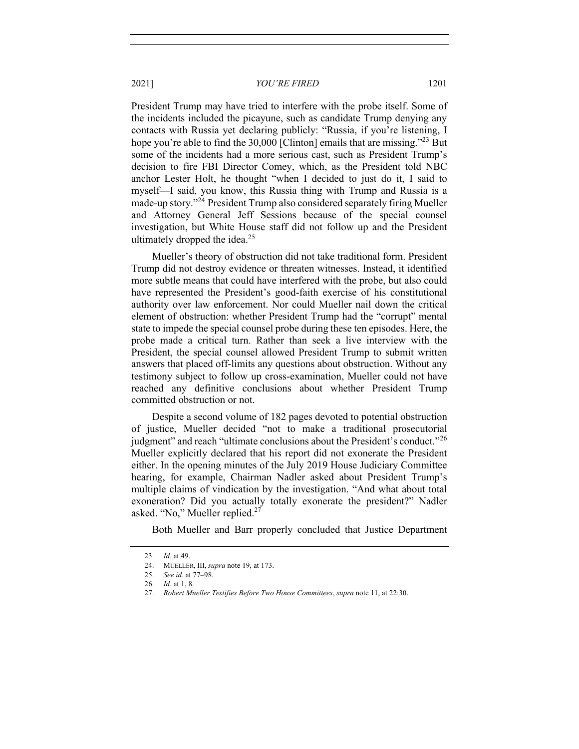President Trump may have tried to interfere with the probe itself. Some of the incidents included the picayune, such as candidate Trump denying any contacts with Russia yet declaring publicly: "Russia, if you're listening, I hope you're able to find the 30,000 [Clinton] emails that are missing."<sup>23</sup> But some of the incidents had a more serious cast, such as President Trump's decision to fire FBI Director Comey, which, as the President told NBC anchor Lester Holt, he thought "when I decided to just do it, I said to myself—I said, you know, this Russia thing with Trump and Russia is a made-up story."24 President Trump also considered separately firing Mueller and Attorney General Jeff Sessions because of the special counsel investigation, but White House staff did not follow up and the President ultimately dropped the idea.<sup>25</sup>

Mueller's theory of obstruction did not take traditional form. President Trump did not destroy evidence or threaten witnesses. Instead, it identified more subtle means that could have interfered with the probe, but also could have represented the President's good-faith exercise of his constitutional authority over law enforcement. Nor could Mueller nail down the critical element of obstruction: whether President Trump had the "corrupt" mental state to impede the special counsel probe during these ten episodes. Here, the probe made a critical turn. Rather than seek a live interview with the President, the special counsel allowed President Trump to submit written answers that placed off-limits any questions about obstruction. Without any testimony subject to follow up cross-examination, Mueller could not have reached any definitive conclusions about whether President Trump committed obstruction or not.

Despite a second volume of 182 pages devoted to potential obstruction of justice, Mueller decided "not to make a traditional prosecutorial judgment" and reach "ultimate conclusions about the President's conduct."<sup>26</sup> Mueller explicitly declared that his report did not exonerate the President either. In the opening minutes of the July 2019 House Judiciary Committee hearing, for example, Chairman Nadler asked about President Trump's multiple claims of vindication by the investigation. "And what about total exoneration? Did you actually totally exonerate the president?" Nadler asked. "No," Mueller replied.<sup>27</sup>

Both Mueller and Barr properly concluded that Justice Department

<sup>23.</sup> *Id.* at 49.

<sup>24.</sup> MUELLER, III, *supra* note 19, at 173.

<sup>25.</sup> *See id.* at 77–98.

<sup>26.</sup> *Id.* at 1, 8.

<sup>27.</sup> *Robert Mueller Testifies Before Two House Committees*, *supra* note 11, at 22:30.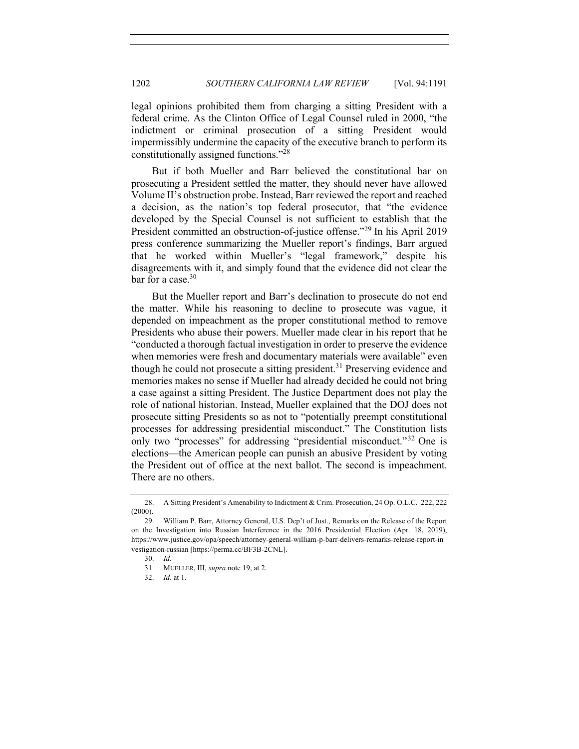legal opinions prohibited them from charging a sitting President with a federal crime. As the Clinton Office of Legal Counsel ruled in 2000, "the indictment or criminal prosecution of a sitting President would impermissibly undermine the capacity of the executive branch to perform its constitutionally assigned functions."28

But if both Mueller and Barr believed the constitutional bar on prosecuting a President settled the matter, they should never have allowed Volume II's obstruction probe. Instead, Barr reviewed the report and reached a decision, as the nation's top federal prosecutor, that "the evidence developed by the Special Counsel is not sufficient to establish that the President committed an obstruction-of-justice offense."<sup>29</sup> In his April 2019 press conference summarizing the Mueller report's findings, Barr argued that he worked within Mueller's "legal framework," despite his disagreements with it, and simply found that the evidence did not clear the bar for a case. $30$ 

But the Mueller report and Barr's declination to prosecute do not end the matter. While his reasoning to decline to prosecute was vague, it depended on impeachment as the proper constitutional method to remove Presidents who abuse their powers. Mueller made clear in his report that he "conducted a thorough factual investigation in order to preserve the evidence when memories were fresh and documentary materials were available" even though he could not prosecute a sitting president.<sup>31</sup> Preserving evidence and memories makes no sense if Mueller had already decided he could not bring a case against a sitting President. The Justice Department does not play the role of national historian. Instead, Mueller explained that the DOJ does not prosecute sitting Presidents so as not to "potentially preempt constitutional processes for addressing presidential misconduct." The Constitution lists only two "processes" for addressing "presidential misconduct."<sup>32</sup> One is elections—the American people can punish an abusive President by voting the President out of office at the next ballot. The second is impeachment. There are no others.

<sup>28.</sup> A Sitting President's Amenability to Indictment & Crim. Prosecution, 24 Op. O.L.C. 222, 222 (2000).

<sup>29.</sup> William P. Barr, Attorney General, U.S. Dep't of Just., Remarks on the Release of the Report on the Investigation into Russian Interference in the 2016 Presidential Election (Apr. 18, 2019), https://www.justice.gov/opa/speech/attorney-general-william-p-barr-delivers-remarks-release-report-in vestigation-russian [https://perma.cc/BF3B-2CNL].

<sup>30.</sup> *Id.*

<sup>31.</sup> MUELLER, III, *supra* note 19, at 2.

<sup>32.</sup> *Id.* at 1.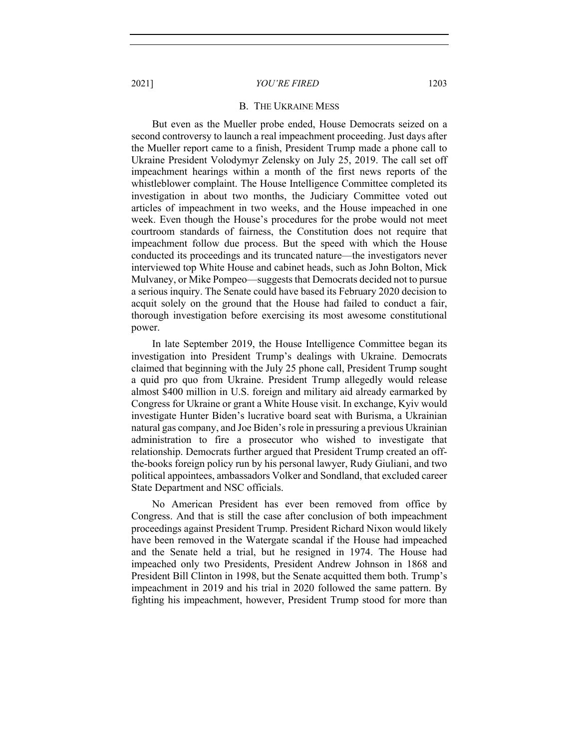#### B. THE UKRAINE MESS

But even as the Mueller probe ended, House Democrats seized on a second controversy to launch a real impeachment proceeding. Just days after the Mueller report came to a finish, President Trump made a phone call to Ukraine President Volodymyr Zelensky on July 25, 2019. The call set off impeachment hearings within a month of the first news reports of the whistleblower complaint. The House Intelligence Committee completed its investigation in about two months, the Judiciary Committee voted out articles of impeachment in two weeks, and the House impeached in one week. Even though the House's procedures for the probe would not meet courtroom standards of fairness, the Constitution does not require that impeachment follow due process. But the speed with which the House conducted its proceedings and its truncated nature—the investigators never interviewed top White House and cabinet heads, such as John Bolton, Mick Mulvaney, or Mike Pompeo—suggests that Democrats decided not to pursue a serious inquiry. The Senate could have based its February 2020 decision to acquit solely on the ground that the House had failed to conduct a fair, thorough investigation before exercising its most awesome constitutional power.

In late September 2019, the House Intelligence Committee began its investigation into President Trump's dealings with Ukraine. Democrats claimed that beginning with the July 25 phone call, President Trump sought a quid pro quo from Ukraine. President Trump allegedly would release almost \$400 million in U.S. foreign and military aid already earmarked by Congress for Ukraine or grant a White House visit. In exchange, Kyiv would investigate Hunter Biden's lucrative board seat with Burisma, a Ukrainian natural gas company, and Joe Biden's role in pressuring a previous Ukrainian administration to fire a prosecutor who wished to investigate that relationship. Democrats further argued that President Trump created an offthe-books foreign policy run by his personal lawyer, Rudy Giuliani, and two political appointees, ambassadors Volker and Sondland, that excluded career State Department and NSC officials.

No American President has ever been removed from office by Congress. And that is still the case after conclusion of both impeachment proceedings against President Trump. President Richard Nixon would likely have been removed in the Watergate scandal if the House had impeached and the Senate held a trial, but he resigned in 1974. The House had impeached only two Presidents, President Andrew Johnson in 1868 and President Bill Clinton in 1998, but the Senate acquitted them both. Trump's impeachment in 2019 and his trial in 2020 followed the same pattern. By fighting his impeachment, however, President Trump stood for more than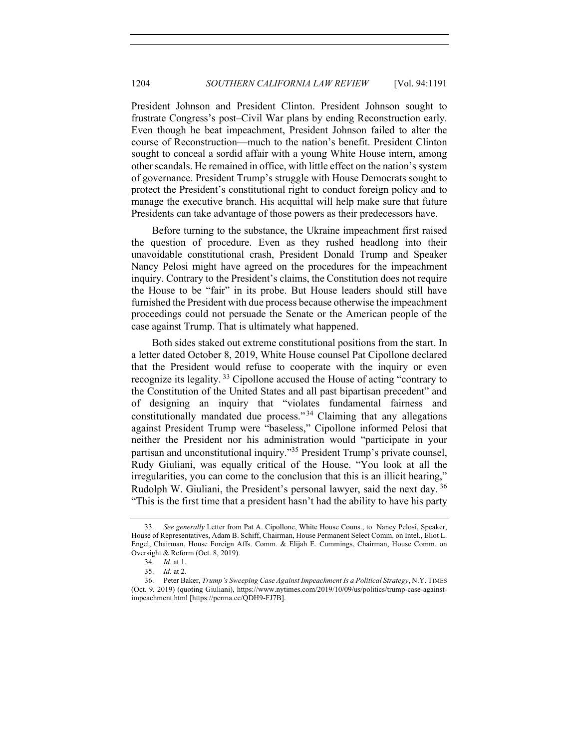President Johnson and President Clinton. President Johnson sought to frustrate Congress's post–Civil War plans by ending Reconstruction early. Even though he beat impeachment, President Johnson failed to alter the course of Reconstruction—much to the nation's benefit. President Clinton sought to conceal a sordid affair with a young White House intern, among other scandals. He remained in office, with little effect on the nation's system of governance. President Trump's struggle with House Democrats sought to protect the President's constitutional right to conduct foreign policy and to manage the executive branch. His acquittal will help make sure that future Presidents can take advantage of those powers as their predecessors have.

Before turning to the substance, the Ukraine impeachment first raised the question of procedure. Even as they rushed headlong into their unavoidable constitutional crash, President Donald Trump and Speaker Nancy Pelosi might have agreed on the procedures for the impeachment inquiry. Contrary to the President's claims, the Constitution does not require the House to be "fair" in its probe. But House leaders should still have furnished the President with due process because otherwise the impeachment proceedings could not persuade the Senate or the American people of the case against Trump. That is ultimately what happened.

Both sides staked out extreme constitutional positions from the start. In a letter dated October 8, 2019, White House counsel Pat Cipollone declared that the President would refuse to cooperate with the inquiry or even recognize its legality. <sup>33</sup> Cipollone accused the House of acting "contrary to the Constitution of the United States and all past bipartisan precedent" and of designing an inquiry that "violates fundamental fairness and constitutionally mandated due process." $34$  Claiming that any allegations against President Trump were "baseless," Cipollone informed Pelosi that neither the President nor his administration would "participate in your partisan and unconstitutional inquiry."35 President Trump's private counsel, Rudy Giuliani, was equally critical of the House. "You look at all the irregularities, you can come to the conclusion that this is an illicit hearing," Rudolph W. Giuliani, the President's personal lawyer, said the next day. 36 "This is the first time that a president hasn't had the ability to have his party

<sup>33.</sup> *See generally* Letter from Pat A. Cipollone, White House Couns., to Nancy Pelosi, Speaker, House of Representatives, Adam B. Schiff, Chairman, House Permanent Select Comm. on Intel., Eliot L. Engel, Chairman, House Foreign Affs. Comm. & Elijah E. Cummings, Chairman, House Comm. on Oversight & Reform (Oct. 8, 2019).

<sup>34.</sup> *Id.* at 1.

<sup>35.</sup> *Id.* at 2.

<sup>36.</sup> Peter Baker, *Trump's Sweeping Case Against Impeachment Is a Political Strategy*, N.Y. TIMES (Oct. 9, 2019) (quoting Giuliani), https://www.nytimes.com/2019/10/09/us/politics/trump-case-againstimpeachment.html [https://perma.cc/QDH9-FJ7B].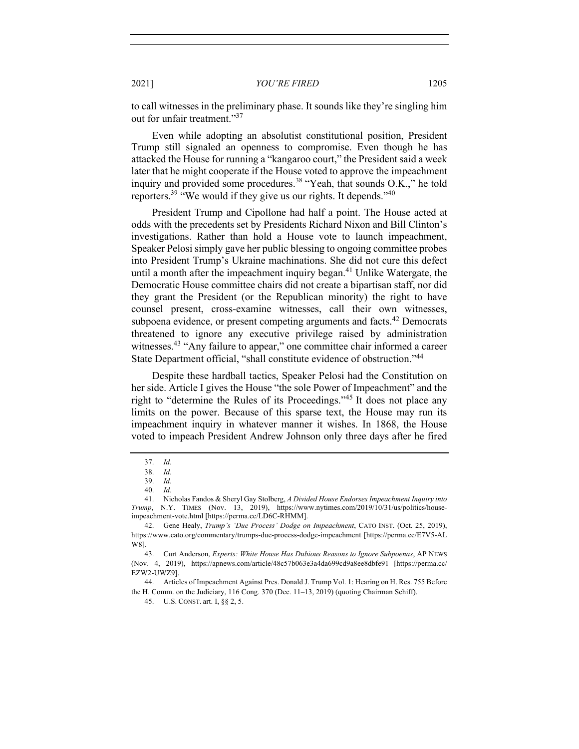to call witnesses in the preliminary phase. It sounds like they're singling him out for unfair treatment."<sup>37</sup>

Even while adopting an absolutist constitutional position, President Trump still signaled an openness to compromise. Even though he has attacked the House for running a "kangaroo court," the President said a week later that he might cooperate if the House voted to approve the impeachment inquiry and provided some procedures.<sup>38</sup> "Yeah, that sounds O.K.," he told reporters.<sup>39</sup> "We would if they give us our rights. It depends."<sup>40</sup>

President Trump and Cipollone had half a point. The House acted at odds with the precedents set by Presidents Richard Nixon and Bill Clinton's investigations. Rather than hold a House vote to launch impeachment, Speaker Pelosi simply gave her public blessing to ongoing committee probes into President Trump's Ukraine machinations. She did not cure this defect until a month after the impeachment inquiry began.<sup>41</sup> Unlike Watergate, the Democratic House committee chairs did not create a bipartisan staff, nor did they grant the President (or the Republican minority) the right to have counsel present, cross-examine witnesses, call their own witnesses, subpoena evidence, or present competing arguments and facts.<sup>42</sup> Democrats threatened to ignore any executive privilege raised by administration witnesses.<sup>43</sup> "Any failure to appear," one committee chair informed a career State Department official, "shall constitute evidence of obstruction."44

Despite these hardball tactics, Speaker Pelosi had the Constitution on her side. Article I gives the House "the sole Power of Impeachment" and the right to "determine the Rules of its Proceedings."<sup>45</sup> It does not place any limits on the power. Because of this sparse text, the House may run its impeachment inquiry in whatever manner it wishes. In 1868, the House voted to impeach President Andrew Johnson only three days after he fired

<sup>37.</sup> *Id.*

<sup>38.</sup> *Id.*

<sup>39.</sup> *Id.*

<sup>40.</sup> *Id.*

<sup>41.</sup> Nicholas Fandos & Sheryl Gay Stolberg, *A Divided House Endorses Impeachment Inquiry into Trump*, N.Y. TIMES (Nov. 13, 2019), https://www.nytimes.com/2019/10/31/us/politics/houseimpeachment-vote.html [https://perma.cc/LD6C-RHMM].

<sup>42.</sup> Gene Healy, *Trump's 'Due Process' Dodge on Impeachment*, CATO INST. (Oct. 25, 2019), https://www.cato.org/commentary/trumps-due-process-dodge-impeachment [https://perma.cc/E7V5-AL W8].

<sup>43.</sup> Curt Anderson, *Experts: White House Has Dubious Reasons to Ignore Subpoenas*, AP NEWS (Nov. 4, 2019), https://apnews.com/article/48c57b063e3a4da699cd9a8ee8dbfe91 [https://perma.cc/ EZW2-UWZ9].

<sup>44.</sup> Articles of Impeachment Against Pres. Donald J. Trump Vol. 1: Hearing on H. Res. 755 Before the H. Comm. on the Judiciary, 116 Cong. 370 (Dec. 11–13, 2019) (quoting Chairman Schiff).

<sup>45.</sup> U.S. CONST. art. I, §§ 2, 5.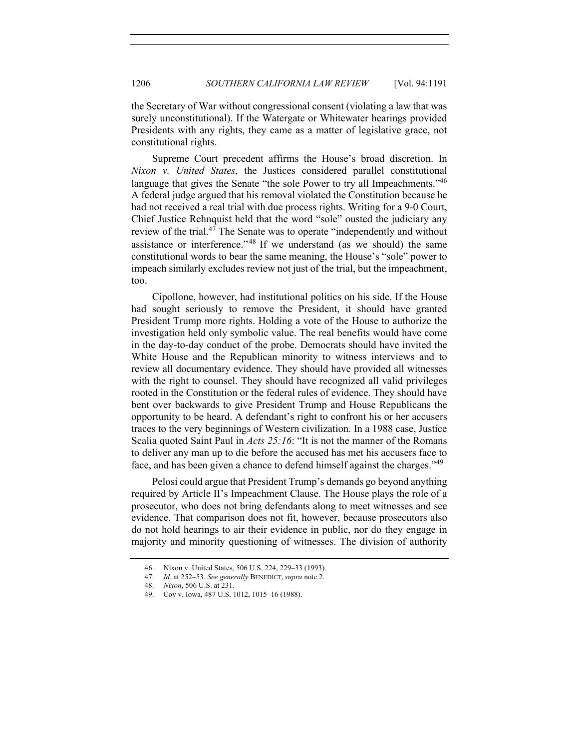the Secretary of War without congressional consent (violating a law that was surely unconstitutional). If the Watergate or Whitewater hearings provided Presidents with any rights, they came as a matter of legislative grace, not constitutional rights.

Supreme Court precedent affirms the House's broad discretion. In *Nixon v. United States*, the Justices considered parallel constitutional language that gives the Senate "the sole Power to try all Impeachments."<sup>46</sup> A federal judge argued that his removal violated the Constitution because he had not received a real trial with due process rights. Writing for a 9-0 Court, Chief Justice Rehnquist held that the word "sole" ousted the judiciary any review of the trial. $4<sup>7</sup>$  The Senate was to operate "independently and without assistance or interference." <sup>48</sup> If we understand (as we should) the same constitutional words to bear the same meaning, the House's "sole" power to impeach similarly excludes review not just of the trial, but the impeachment, too.

Cipollone, however, had institutional politics on his side. If the House had sought seriously to remove the President, it should have granted President Trump more rights. Holding a vote of the House to authorize the investigation held only symbolic value. The real benefits would have come in the day-to-day conduct of the probe. Democrats should have invited the White House and the Republican minority to witness interviews and to review all documentary evidence. They should have provided all witnesses with the right to counsel. They should have recognized all valid privileges rooted in the Constitution or the federal rules of evidence. They should have bent over backwards to give President Trump and House Republicans the opportunity to be heard. A defendant's right to confront his or her accusers traces to the very beginnings of Western civilization. In a 1988 case, Justice Scalia quoted Saint Paul in *Acts 25:16*: "It is not the manner of the Romans to deliver any man up to die before the accused has met his accusers face to face, and has been given a chance to defend himself against the charges."<sup>49</sup>

Pelosi could argue that President Trump's demands go beyond anything required by Article II's Impeachment Clause. The House plays the role of a prosecutor, who does not bring defendants along to meet witnesses and see evidence. That comparison does not fit, however, because prosecutors also do not hold hearings to air their evidence in public, nor do they engage in majority and minority questioning of witnesses. The division of authority

<sup>46.</sup> Nixon v. United States, 506 U.S. 224, 229–33 (1993).

<sup>47.</sup> *Id.* at 252–53. *See generally* BENEDICT, *supra* note 2.

<sup>48.</sup> *Nixon*, 506 U.S. at 231.

<sup>49.</sup> Coy v. Iowa, 487 U.S. 1012, 1015–16 (1988).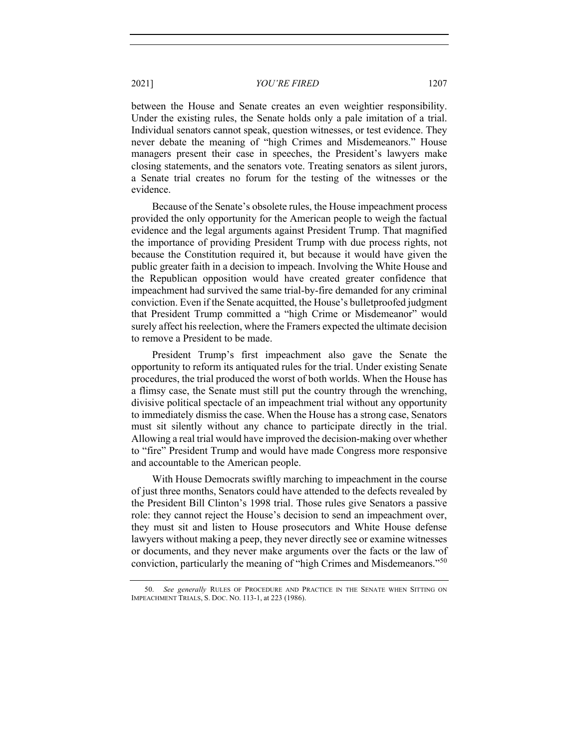between the House and Senate creates an even weightier responsibility. Under the existing rules, the Senate holds only a pale imitation of a trial. Individual senators cannot speak, question witnesses, or test evidence. They never debate the meaning of "high Crimes and Misdemeanors." House managers present their case in speeches, the President's lawyers make closing statements, and the senators vote. Treating senators as silent jurors, a Senate trial creates no forum for the testing of the witnesses or the evidence.

Because of the Senate's obsolete rules, the House impeachment process provided the only opportunity for the American people to weigh the factual evidence and the legal arguments against President Trump. That magnified the importance of providing President Trump with due process rights, not because the Constitution required it, but because it would have given the public greater faith in a decision to impeach. Involving the White House and the Republican opposition would have created greater confidence that impeachment had survived the same trial-by-fire demanded for any criminal conviction. Even if the Senate acquitted, the House's bulletproofed judgment that President Trump committed a "high Crime or Misdemeanor" would surely affect his reelection, where the Framers expected the ultimate decision to remove a President to be made.

President Trump's first impeachment also gave the Senate the opportunity to reform its antiquated rules for the trial. Under existing Senate procedures, the trial produced the worst of both worlds. When the House has a flimsy case, the Senate must still put the country through the wrenching, divisive political spectacle of an impeachment trial without any opportunity to immediately dismiss the case. When the House has a strong case, Senators must sit silently without any chance to participate directly in the trial. Allowing a real trial would have improved the decision-making over whether to "fire" President Trump and would have made Congress more responsive and accountable to the American people.

With House Democrats swiftly marching to impeachment in the course of just three months, Senators could have attended to the defects revealed by the President Bill Clinton's 1998 trial. Those rules give Senators a passive role: they cannot reject the House's decision to send an impeachment over, they must sit and listen to House prosecutors and White House defense lawyers without making a peep, they never directly see or examine witnesses or documents, and they never make arguments over the facts or the law of conviction, particularly the meaning of "high Crimes and Misdemeanors."<sup>50</sup>

<sup>50.</sup> *See generally* RULES OF PROCEDURE AND PRACTICE IN THE SENATE WHEN SITTING ON IMPEACHMENT TRIALS, S. DOC. NO. 113-1, at 223 (1986).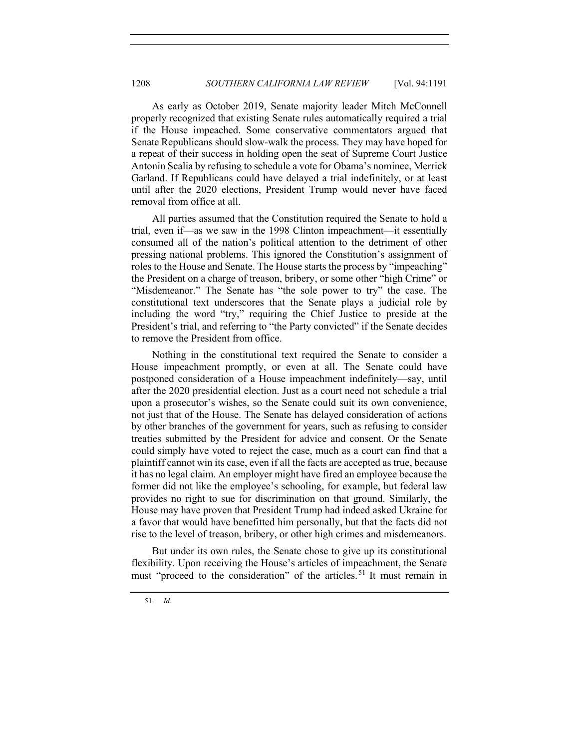As early as October 2019, Senate majority leader Mitch McConnell properly recognized that existing Senate rules automatically required a trial if the House impeached. Some conservative commentators argued that Senate Republicans should slow-walk the process. They may have hoped for a repeat of their success in holding open the seat of Supreme Court Justice Antonin Scalia by refusing to schedule a vote for Obama's nominee, Merrick Garland. If Republicans could have delayed a trial indefinitely, or at least until after the 2020 elections, President Trump would never have faced removal from office at all.

All parties assumed that the Constitution required the Senate to hold a trial, even if—as we saw in the 1998 Clinton impeachment—it essentially consumed all of the nation's political attention to the detriment of other pressing national problems. This ignored the Constitution's assignment of roles to the House and Senate. The House starts the process by "impeaching" the President on a charge of treason, bribery, or some other "high Crime" or "Misdemeanor." The Senate has "the sole power to try" the case. The constitutional text underscores that the Senate plays a judicial role by including the word "try," requiring the Chief Justice to preside at the President's trial, and referring to "the Party convicted" if the Senate decides to remove the President from office.

Nothing in the constitutional text required the Senate to consider a House impeachment promptly, or even at all. The Senate could have postponed consideration of a House impeachment indefinitely—say, until after the 2020 presidential election. Just as a court need not schedule a trial upon a prosecutor's wishes, so the Senate could suit its own convenience, not just that of the House. The Senate has delayed consideration of actions by other branches of the government for years, such as refusing to consider treaties submitted by the President for advice and consent. Or the Senate could simply have voted to reject the case, much as a court can find that a plaintiff cannot win its case, even if all the facts are accepted as true, because it has no legal claim. An employer might have fired an employee because the former did not like the employee's schooling, for example, but federal law provides no right to sue for discrimination on that ground. Similarly, the House may have proven that President Trump had indeed asked Ukraine for a favor that would have benefitted him personally, but that the facts did not rise to the level of treason, bribery, or other high crimes and misdemeanors.

But under its own rules, the Senate chose to give up its constitutional flexibility. Upon receiving the House's articles of impeachment, the Senate must "proceed to the consideration" of the articles.<sup>51</sup> It must remain in

<sup>51.</sup> *Id.*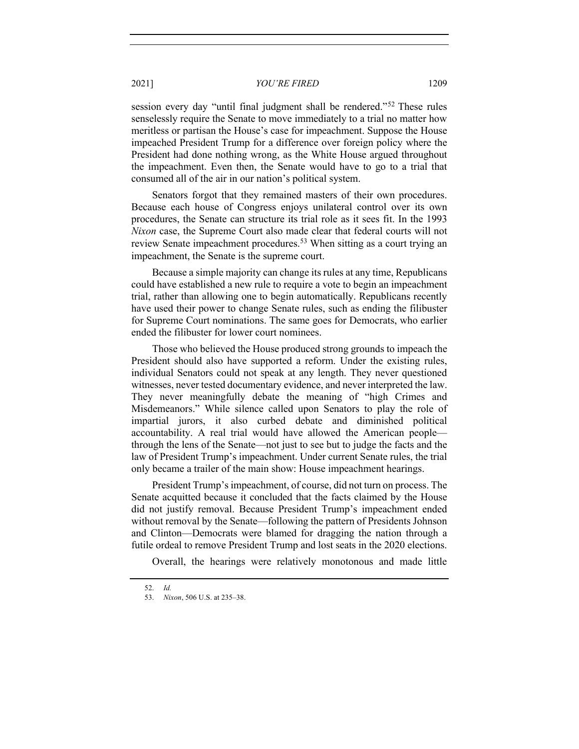session every day "until final judgment shall be rendered."<sup>52</sup> These rules senselessly require the Senate to move immediately to a trial no matter how meritless or partisan the House's case for impeachment. Suppose the House impeached President Trump for a difference over foreign policy where the President had done nothing wrong, as the White House argued throughout the impeachment. Even then, the Senate would have to go to a trial that consumed all of the air in our nation's political system.

Senators forgot that they remained masters of their own procedures. Because each house of Congress enjoys unilateral control over its own procedures, the Senate can structure its trial role as it sees fit. In the 1993 *Nixon* case, the Supreme Court also made clear that federal courts will not review Senate impeachment procedures.<sup>53</sup> When sitting as a court trying an impeachment, the Senate is the supreme court.

Because a simple majority can change its rules at any time, Republicans could have established a new rule to require a vote to begin an impeachment trial, rather than allowing one to begin automatically. Republicans recently have used their power to change Senate rules, such as ending the filibuster for Supreme Court nominations. The same goes for Democrats, who earlier ended the filibuster for lower court nominees.

Those who believed the House produced strong grounds to impeach the President should also have supported a reform. Under the existing rules, individual Senators could not speak at any length. They never questioned witnesses, never tested documentary evidence, and never interpreted the law. They never meaningfully debate the meaning of "high Crimes and Misdemeanors." While silence called upon Senators to play the role of impartial jurors, it also curbed debate and diminished political accountability. A real trial would have allowed the American people through the lens of the Senate—not just to see but to judge the facts and the law of President Trump's impeachment. Under current Senate rules, the trial only became a trailer of the main show: House impeachment hearings.

President Trump's impeachment, of course, did not turn on process. The Senate acquitted because it concluded that the facts claimed by the House did not justify removal. Because President Trump's impeachment ended without removal by the Senate—following the pattern of Presidents Johnson and Clinton—Democrats were blamed for dragging the nation through a futile ordeal to remove President Trump and lost seats in the 2020 elections.

Overall, the hearings were relatively monotonous and made little

<sup>52.</sup> *Id.*

<sup>53.</sup> *Nixon*, 506 U.S. at 235–38.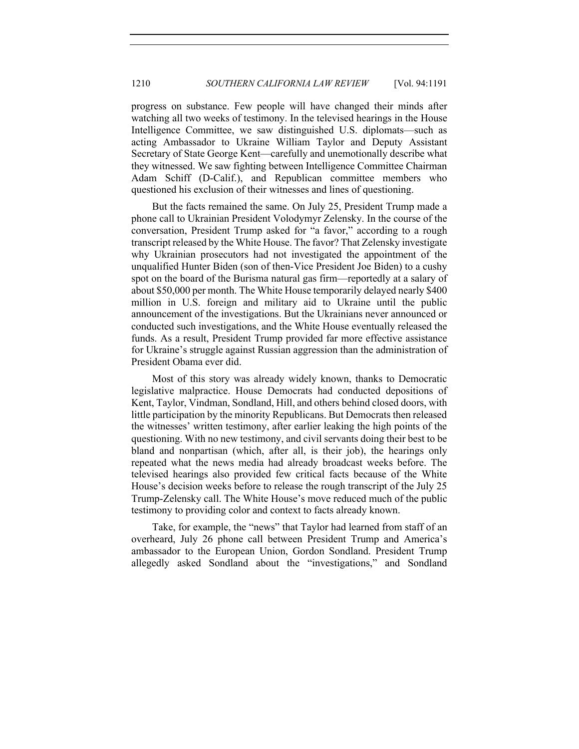progress on substance. Few people will have changed their minds after watching all two weeks of testimony. In the televised hearings in the House Intelligence Committee, we saw distinguished U.S. diplomats—such as acting Ambassador to Ukraine William Taylor and Deputy Assistant Secretary of State George Kent—carefully and unemotionally describe what they witnessed. We saw fighting between Intelligence Committee Chairman Adam Schiff (D-Calif.), and Republican committee members who questioned his exclusion of their witnesses and lines of questioning.

But the facts remained the same. On July 25, President Trump made a phone call to Ukrainian President Volodymyr Zelensky. In the course of the conversation, President Trump asked for "a favor," according to a rough transcript released by the White House. The favor? That Zelensky investigate why Ukrainian prosecutors had not investigated the appointment of the unqualified Hunter Biden (son of then-Vice President Joe Biden) to a cushy spot on the board of the Burisma natural gas firm—reportedly at a salary of about \$50,000 per month. The White House temporarily delayed nearly \$400 million in U.S. foreign and military aid to Ukraine until the public announcement of the investigations. But the Ukrainians never announced or conducted such investigations, and the White House eventually released the funds. As a result, President Trump provided far more effective assistance for Ukraine's struggle against Russian aggression than the administration of President Obama ever did.

Most of this story was already widely known, thanks to Democratic legislative malpractice. House Democrats had conducted depositions of Kent, Taylor, Vindman, Sondland, Hill, and others behind closed doors, with little participation by the minority Republicans. But Democrats then released the witnesses' written testimony, after earlier leaking the high points of the questioning. With no new testimony, and civil servants doing their best to be bland and nonpartisan (which, after all, is their job), the hearings only repeated what the news media had already broadcast weeks before. The televised hearings also provided few critical facts because of the White House's decision weeks before to release the rough transcript of the July 25 Trump-Zelensky call. The White House's move reduced much of the public testimony to providing color and context to facts already known.

Take, for example, the "news" that Taylor had learned from staff of an overheard, July 26 phone call between President Trump and America's ambassador to the European Union, Gordon Sondland. President Trump allegedly asked Sondland about the "investigations," and Sondland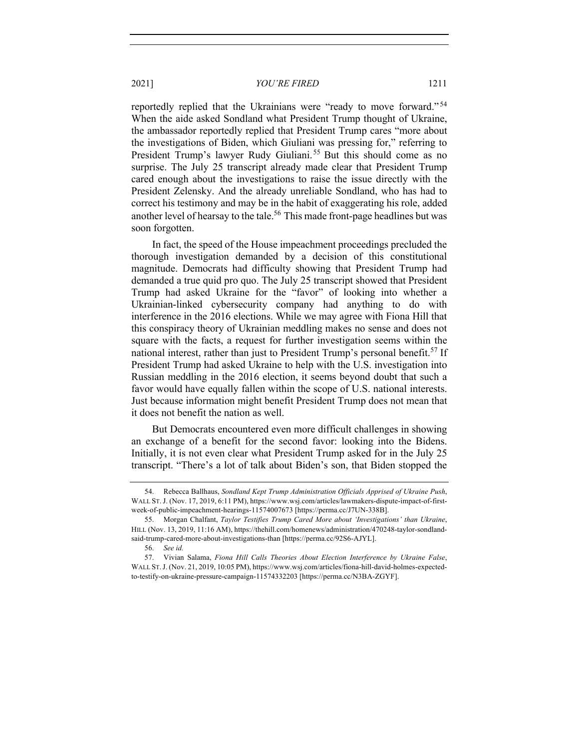reportedly replied that the Ukrainians were "ready to move forward."<sup>54</sup> When the aide asked Sondland what President Trump thought of Ukraine, the ambassador reportedly replied that President Trump cares "more about the investigations of Biden, which Giuliani was pressing for," referring to President Trump's lawyer Rudy Giuliani.<sup>55</sup> But this should come as no surprise. The July 25 transcript already made clear that President Trump cared enough about the investigations to raise the issue directly with the President Zelensky. And the already unreliable Sondland, who has had to correct his testimony and may be in the habit of exaggerating his role, added another level of hearsay to the tale.<sup>56</sup> This made front-page headlines but was soon forgotten.

In fact, the speed of the House impeachment proceedings precluded the thorough investigation demanded by a decision of this constitutional magnitude. Democrats had difficulty showing that President Trump had demanded a true quid pro quo. The July 25 transcript showed that President Trump had asked Ukraine for the "favor" of looking into whether a Ukrainian-linked cybersecurity company had anything to do with interference in the 2016 elections. While we may agree with Fiona Hill that this conspiracy theory of Ukrainian meddling makes no sense and does not square with the facts, a request for further investigation seems within the national interest, rather than just to President Trump's personal benefit.<sup>57</sup> If President Trump had asked Ukraine to help with the U.S. investigation into Russian meddling in the 2016 election, it seems beyond doubt that such a favor would have equally fallen within the scope of U.S. national interests. Just because information might benefit President Trump does not mean that it does not benefit the nation as well.

But Democrats encountered even more difficult challenges in showing an exchange of a benefit for the second favor: looking into the Bidens. Initially, it is not even clear what President Trump asked for in the July 25 transcript. "There's a lot of talk about Biden's son, that Biden stopped the

<sup>54.</sup> Rebecca Ballhaus, *Sondland Kept Trump Administration Officials Apprised of Ukraine Push*, WALL ST.J. (Nov. 17, 2019, 6:11 PM), https://www.wsj.com/articles/lawmakers-dispute-impact-of-firstweek-of-public-impeachment-hearings-11574007673 [https://perma.cc/J7UN-338B].

<sup>55.</sup> Morgan Chalfant, *Taylor Testifies Trump Cared More about 'Investigations' than Ukraine*, HILL (Nov. 13, 2019, 11:16 AM), https://thehill.com/homenews/administration/470248-taylor-sondlandsaid-trump-cared-more-about-investigations-than [https://perma.cc/92S6-AJYL].

<sup>56.</sup> *See id.*

<sup>57.</sup> Vivian Salama, *Fiona Hill Calls Theories About Election Interference by Ukraine False*, WALL ST.J. (Nov. 21, 2019, 10:05 PM), https://www.wsj.com/articles/fiona-hill-david-holmes-expectedto-testify-on-ukraine-pressure-campaign-11574332203 [https://perma.cc/N3BA-ZGYF].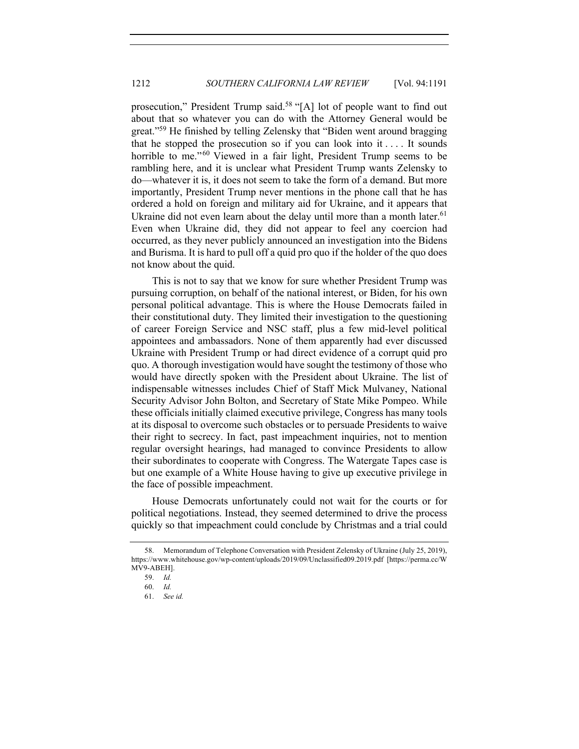prosecution," President Trump said.<sup>58</sup> "[A] lot of people want to find out about that so whatever you can do with the Attorney General would be great."<sup>59</sup> He finished by telling Zelensky that "Biden went around bragging that he stopped the prosecution so if you can look into it  $\dots$  It sounds horrible to me."<sup>60</sup> Viewed in a fair light, President Trump seems to be rambling here, and it is unclear what President Trump wants Zelensky to do—whatever it is, it does not seem to take the form of a demand. But more importantly, President Trump never mentions in the phone call that he has ordered a hold on foreign and military aid for Ukraine, and it appears that Ukraine did not even learn about the delay until more than a month later.<sup>61</sup> Even when Ukraine did, they did not appear to feel any coercion had occurred, as they never publicly announced an investigation into the Bidens and Burisma. It is hard to pull off a quid pro quo if the holder of the quo does not know about the quid.

This is not to say that we know for sure whether President Trump was pursuing corruption, on behalf of the national interest, or Biden, for his own personal political advantage. This is where the House Democrats failed in their constitutional duty. They limited their investigation to the questioning of career Foreign Service and NSC staff, plus a few mid-level political appointees and ambassadors. None of them apparently had ever discussed Ukraine with President Trump or had direct evidence of a corrupt quid pro quo. A thorough investigation would have sought the testimony of those who would have directly spoken with the President about Ukraine. The list of indispensable witnesses includes Chief of Staff Mick Mulvaney, National Security Advisor John Bolton, and Secretary of State Mike Pompeo. While these officials initially claimed executive privilege, Congress has many tools at its disposal to overcome such obstacles or to persuade Presidents to waive their right to secrecy. In fact, past impeachment inquiries, not to mention regular oversight hearings, had managed to convince Presidents to allow their subordinates to cooperate with Congress. The Watergate Tapes case is but one example of a White House having to give up executive privilege in the face of possible impeachment.

House Democrats unfortunately could not wait for the courts or for political negotiations. Instead, they seemed determined to drive the process quickly so that impeachment could conclude by Christmas and a trial could

<sup>58.</sup> Memorandum of Telephone Conversation with President Zelensky of Ukraine (July 25, 2019), https://www.whitehouse.gov/wp-content/uploads/2019/09/Unclassified09.2019.pdf [https://perma.cc/W MV9-ABEH].

<sup>59.</sup> *Id.*

<sup>60.</sup> *Id.*

<sup>61.</sup> *See id.*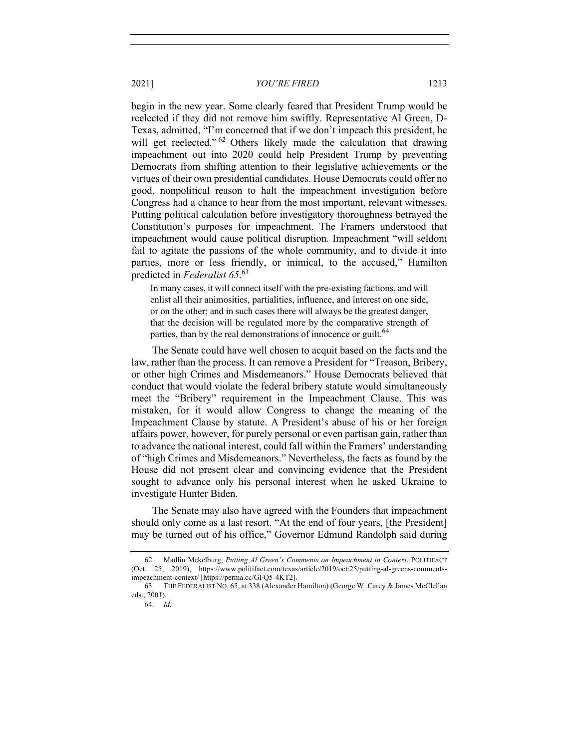begin in the new year. Some clearly feared that President Trump would be reelected if they did not remove him swiftly. Representative Al Green, D-Texas, admitted, "I'm concerned that if we don't impeach this president, he will get reelected."<sup>62</sup> Others likely made the calculation that drawing impeachment out into 2020 could help President Trump by preventing Democrats from shifting attention to their legislative achievements or the virtues of their own presidential candidates. House Democrats could offer no good, nonpolitical reason to halt the impeachment investigation before Congress had a chance to hear from the most important, relevant witnesses. Putting political calculation before investigatory thoroughness betrayed the Constitution's purposes for impeachment. The Framers understood that impeachment would cause political disruption. Impeachment "will seldom fail to agitate the passions of the whole community, and to divide it into parties, more or less friendly, or inimical, to the accused," Hamilton predicted in *Federalist 65*. 63

In many cases, it will connect itself with the pre-existing factions, and will enlist all their animosities, partialities, influence, and interest on one side, or on the other; and in such cases there will always be the greatest danger, that the decision will be regulated more by the comparative strength of parties, than by the real demonstrations of innocence or guilt.<sup>64</sup>

The Senate could have well chosen to acquit based on the facts and the law, rather than the process. It can remove a President for "Treason, Bribery, or other high Crimes and Misdemeanors." House Democrats believed that conduct that would violate the federal bribery statute would simultaneously meet the "Bribery" requirement in the Impeachment Clause. This was mistaken, for it would allow Congress to change the meaning of the Impeachment Clause by statute. A President's abuse of his or her foreign affairs power, however, for purely personal or even partisan gain, rather than to advance the national interest, could fall within the Framers' understanding of "high Crimes and Misdemeanors." Nevertheless, the facts as found by the House did not present clear and convincing evidence that the President sought to advance only his personal interest when he asked Ukraine to investigate Hunter Biden.

The Senate may also have agreed with the Founders that impeachment should only come as a last resort. "At the end of four years, [the President] may be turned out of his office," Governor Edmund Randolph said during

<sup>62.</sup> Madlin Mekelburg, *Putting Al Green's Comments on Impeachment in Context*, POLITIFACT (Oct. 25, 2019), https://www.politifact.com/texas/article/2019/oct/25/putting-al-greens-commentsimpeachment-context/ [https://perma.cc/GFQ5-4KT2].

<sup>63.</sup> THE FEDERALIST NO. 65, at 338 (Alexander Hamilton) (George W. Carey & James McClellan eds., 2001).

<sup>64.</sup> *Id.*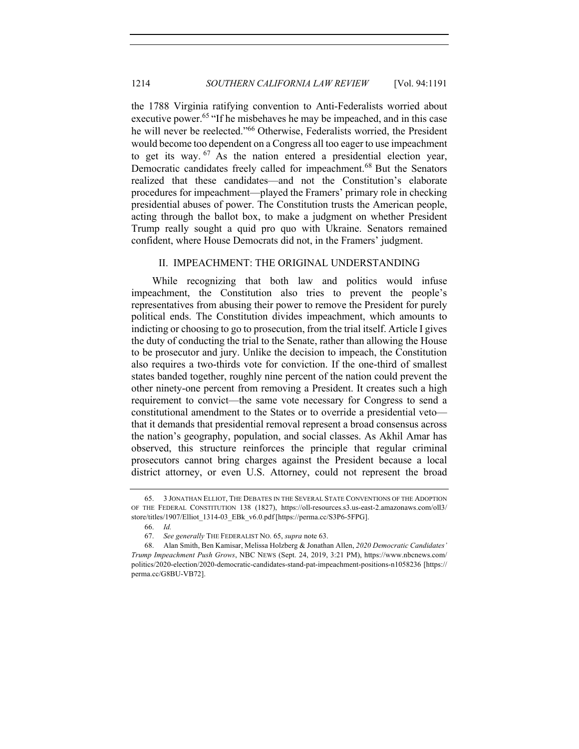the 1788 Virginia ratifying convention to Anti-Federalists worried about executive power.<sup>65</sup> "If he misbehaves he may be impeached, and in this case he will never be reelected."66 Otherwise, Federalists worried, the President would become too dependent on a Congress all too eager to use impeachment to get its way.  $67$  As the nation entered a presidential election year, Democratic candidates freely called for impeachment.<sup>68</sup> But the Senators realized that these candidates—and not the Constitution's elaborate procedures for impeachment—played the Framers' primary role in checking presidential abuses of power. The Constitution trusts the American people, acting through the ballot box, to make a judgment on whether President Trump really sought a quid pro quo with Ukraine. Senators remained confident, where House Democrats did not, in the Framers' judgment.

## II. IMPEACHMENT: THE ORIGINAL UNDERSTANDING

While recognizing that both law and politics would infuse impeachment, the Constitution also tries to prevent the people's representatives from abusing their power to remove the President for purely political ends. The Constitution divides impeachment, which amounts to indicting or choosing to go to prosecution, from the trial itself. Article I gives the duty of conducting the trial to the Senate, rather than allowing the House to be prosecutor and jury. Unlike the decision to impeach, the Constitution also requires a two-thirds vote for conviction. If the one-third of smallest states banded together, roughly nine percent of the nation could prevent the other ninety-one percent from removing a President. It creates such a high requirement to convict—the same vote necessary for Congress to send a constitutional amendment to the States or to override a presidential veto that it demands that presidential removal represent a broad consensus across the nation's geography, population, and social classes. As Akhil Amar has observed, this structure reinforces the principle that regular criminal prosecutors cannot bring charges against the President because a local district attorney, or even U.S. Attorney, could not represent the broad

<sup>65.</sup> 3 JONATHAN ELLIOT, THE DEBATES IN THE SEVERAL STATE CONVENTIONS OF THE ADOPTION OF THE FEDERAL CONSTITUTION 138 (1827), https://oll-resources.s3.us-east-2.amazonaws.com/oll3/ store/titles/1907/Elliot\_1314-03\_EBk\_v6.0.pdf [https://perma.cc/S3P6-5FPG].

<sup>66.</sup> *Id.*

<sup>67.</sup> *See generally* THE FEDERALIST NO. 65, *supra* note 63.

<sup>68.</sup> Alan Smith, Ben Kamisar, Melissa Holzberg & Jonathan Allen, *2020 Democratic Candidates' Trump Impeachment Push Grows*, NBC NEWS (Sept. 24, 2019, 3:21 PM), https://www.nbcnews.com/ politics/2020-election/2020-democratic-candidates-stand-pat-impeachment-positions-n1058236 [https:// perma.cc/G8BU-VB72].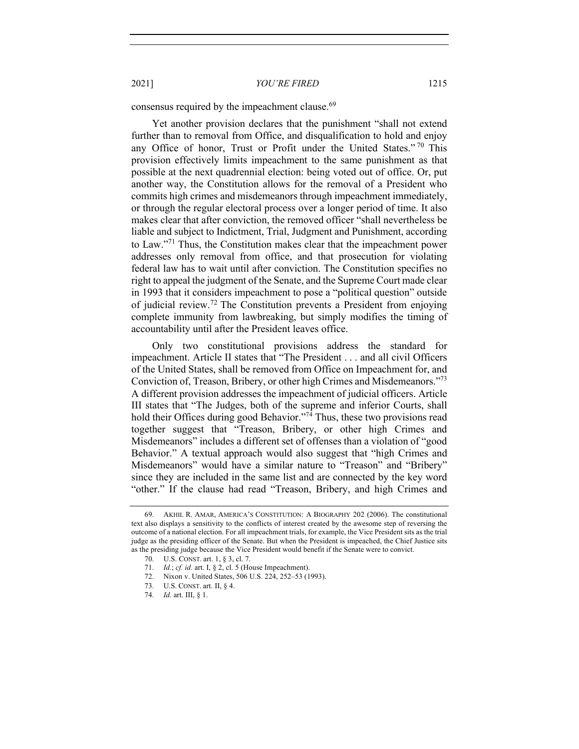consensus required by the impeachment clause.<sup>69</sup>

Yet another provision declares that the punishment "shall not extend further than to removal from Office, and disqualification to hold and enjoy any Office of honor, Trust or Profit under the United States."<sup>70</sup> This provision effectively limits impeachment to the same punishment as that possible at the next quadrennial election: being voted out of office. Or, put another way, the Constitution allows for the removal of a President who commits high crimes and misdemeanors through impeachment immediately, or through the regular electoral process over a longer period of time. It also makes clear that after conviction, the removed officer "shall nevertheless be liable and subject to Indictment, Trial, Judgment and Punishment, according to Law."71 Thus, the Constitution makes clear that the impeachment power addresses only removal from office, and that prosecution for violating federal law has to wait until after conviction. The Constitution specifies no right to appeal the judgment of the Senate, and the Supreme Court made clear in 1993 that it considers impeachment to pose a "political question" outside of judicial review.<sup>72</sup> The Constitution prevents a President from enjoying complete immunity from lawbreaking, but simply modifies the timing of accountability until after the President leaves office.

Only two constitutional provisions address the standard for impeachment. Article II states that "The President . . . and all civil Officers of the United States, shall be removed from Office on Impeachment for, and Conviction of, Treason, Bribery, or other high Crimes and Misdemeanors."73 A different provision addresses the impeachment of judicial officers. Article III states that "The Judges, both of the supreme and inferior Courts, shall hold their Offices during good Behavior."<sup>74</sup> Thus, these two provisions read together suggest that "Treason, Bribery, or other high Crimes and Misdemeanors" includes a different set of offenses than a violation of "good Behavior." A textual approach would also suggest that "high Crimes and Misdemeanors" would have a similar nature to "Treason" and "Bribery" since they are included in the same list and are connected by the key word "other." If the clause had read "Treason, Bribery, and high Crimes and

<sup>69.</sup> AKHIL R. AMAR, AMERICA'S CONSTITUTION: A BIOGRAPHY 202 (2006). The constitutional text also displays a sensitivity to the conflicts of interest created by the awesome step of reversing the outcome of a national election. For all impeachment trials, for example, the Vice President sits as the trial judge as the presiding officer of the Senate. But when the President is impeached, the Chief Justice sits as the presiding judge because the Vice President would benefit if the Senate were to convict.

<sup>70.</sup> U.S. CONST. art. 1, § 3, cl. 7.

<sup>71.</sup> *Id.*; *cf. id.* art. I, § 2, cl. 5 (House Impeachment).

<sup>72.</sup> Nixon v. United States, 506 U.S. 224, 252–53 (1993).

<sup>73.</sup> U.S. CONST. art. II, § 4.

<sup>74.</sup> *Id.* art. III, § 1.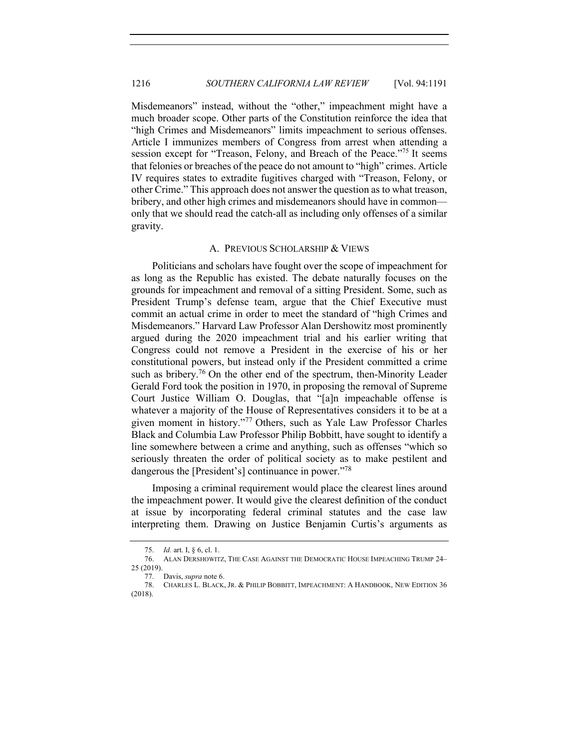Misdemeanors" instead, without the "other," impeachment might have a much broader scope. Other parts of the Constitution reinforce the idea that "high Crimes and Misdemeanors" limits impeachment to serious offenses. Article I immunizes members of Congress from arrest when attending a session except for "Treason, Felony, and Breach of the Peace."<sup>75</sup> It seems that felonies or breaches of the peace do not amount to "high" crimes. Article IV requires states to extradite fugitives charged with "Treason, Felony, or other Crime." This approach does not answer the question as to what treason, bribery, and other high crimes and misdemeanors should have in common only that we should read the catch-all as including only offenses of a similar gravity.

#### A. PREVIOUS SCHOLARSHIP & VIEWS

Politicians and scholars have fought over the scope of impeachment for as long as the Republic has existed. The debate naturally focuses on the grounds for impeachment and removal of a sitting President. Some, such as President Trump's defense team, argue that the Chief Executive must commit an actual crime in order to meet the standard of "high Crimes and Misdemeanors." Harvard Law Professor Alan Dershowitz most prominently argued during the 2020 impeachment trial and his earlier writing that Congress could not remove a President in the exercise of his or her constitutional powers, but instead only if the President committed a crime such as bribery.<sup>76</sup> On the other end of the spectrum, then-Minority Leader Gerald Ford took the position in 1970, in proposing the removal of Supreme Court Justice William O. Douglas, that "[a]n impeachable offense is whatever a majority of the House of Representatives considers it to be at a given moment in history."<sup>77</sup> Others, such as Yale Law Professor Charles Black and Columbia Law Professor Philip Bobbitt, have sought to identify a line somewhere between a crime and anything, such as offenses "which so seriously threaten the order of political society as to make pestilent and dangerous the [President's] continuance in power."<sup>78</sup>

Imposing a criminal requirement would place the clearest lines around the impeachment power. It would give the clearest definition of the conduct at issue by incorporating federal criminal statutes and the case law interpreting them. Drawing on Justice Benjamin Curtis's arguments as

<sup>75.</sup> *Id.* art. I, § 6, cl. 1.

<sup>76.</sup> ALAN DERSHOWITZ, THE CASE AGAINST THE DEMOCRATIC HOUSE IMPEACHING TRUMP 24– 25 (2019).

<sup>77.</sup> Davis, *supra* note 6.

<sup>78.</sup> CHARLES L. BLACK, JR. & PHILIP BOBBITT, IMPEACHMENT: A HANDBOOK, NEW EDITION 36 (2018).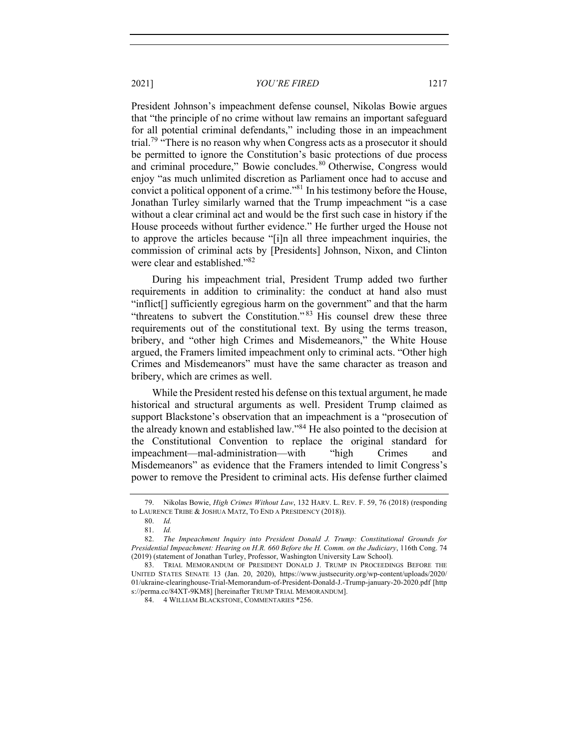President Johnson's impeachment defense counsel, Nikolas Bowie argues that "the principle of no crime without law remains an important safeguard for all potential criminal defendants," including those in an impeachment trial.<sup>79</sup> "There is no reason why when Congress acts as a prosecutor it should be permitted to ignore the Constitution's basic protections of due process and criminal procedure," Bowie concludes.<sup>80</sup> Otherwise, Congress would enjoy "as much unlimited discretion as Parliament once had to accuse and convict a political opponent of a crime."<sup>81</sup> In his testimony before the House, Jonathan Turley similarly warned that the Trump impeachment "is a case without a clear criminal act and would be the first such case in history if the House proceeds without further evidence." He further urged the House not to approve the articles because "[i]n all three impeachment inquiries, the commission of criminal acts by [Presidents] Johnson, Nixon, and Clinton were clear and established."<sup>82</sup>

During his impeachment trial, President Trump added two further requirements in addition to criminality: the conduct at hand also must "inflict[] sufficiently egregious harm on the government" and that the harm "threatens to subvert the Constitution."<sup>83</sup> His counsel drew these three requirements out of the constitutional text. By using the terms treason, bribery, and "other high Crimes and Misdemeanors," the White House argued, the Framers limited impeachment only to criminal acts. "Other high Crimes and Misdemeanors" must have the same character as treason and bribery, which are crimes as well.

While the President rested his defense on this textual argument, he made historical and structural arguments as well. President Trump claimed as support Blackstone's observation that an impeachment is a "prosecution of the already known and established law."<sup>84</sup> He also pointed to the decision at the Constitutional Convention to replace the original standard for impeachment—mal-administration—with "high Crimes and Misdemeanors" as evidence that the Framers intended to limit Congress's power to remove the President to criminal acts. His defense further claimed

<sup>79.</sup> Nikolas Bowie, *High Crimes Without Law*, 132 HARV. L. REV. F. 59, 76 (2018) (responding to LAURENCE TRIBE & JOSHUA MATZ, TO END A PRESIDENCY (2018)).

<sup>80.</sup> *Id.*

<sup>81.</sup> *Id.*

<sup>82.</sup> *The Impeachment Inquiry into President Donald J. Trump: Constitutional Grounds for Presidential Impeachment: Hearing on H.R. 660 Before the H. Comm. on the Judiciary*, 116th Cong. 74 (2019) (statement of Jonathan Turley, Professor, Washington University Law School).

<sup>83.</sup> TRIAL MEMORANDUM OF PRESIDENT DONALD J. TRUMP IN PROCEEDINGS BEFORE THE UNITED STATES SENATE 13 (Jan. 20, 2020), https://www.justsecurity.org/wp-content/uploads/2020/ 01/ukraine-clearinghouse-Trial-Memorandum-of-President-Donald-J.-Trump-january-20-2020.pdf [http s://perma.cc/84XT-9KM8] [hereinafter TRUMP TRIAL MEMORANDUM].

<sup>84.</sup> 4 WILLIAM BLACKSTONE, COMMENTARIES \*256.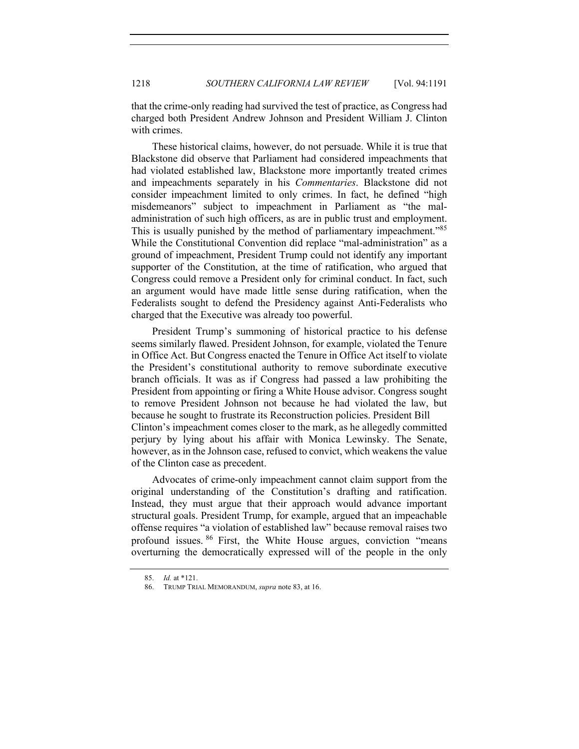that the crime-only reading had survived the test of practice, as Congress had charged both President Andrew Johnson and President William J. Clinton with crimes.

These historical claims, however, do not persuade. While it is true that Blackstone did observe that Parliament had considered impeachments that had violated established law, Blackstone more importantly treated crimes and impeachments separately in his *Commentaries*. Blackstone did not consider impeachment limited to only crimes. In fact, he defined "high misdemeanors" subject to impeachment in Parliament as "the maladministration of such high officers, as are in public trust and employment. This is usually punished by the method of parliamentary impeachment."<sup>85</sup> While the Constitutional Convention did replace "mal-administration" as a ground of impeachment, President Trump could not identify any important supporter of the Constitution, at the time of ratification, who argued that Congress could remove a President only for criminal conduct. In fact, such an argument would have made little sense during ratification, when the Federalists sought to defend the Presidency against Anti-Federalists who charged that the Executive was already too powerful.

President Trump's summoning of historical practice to his defense seems similarly flawed. President Johnson, for example, violated the Tenure in Office Act. But Congress enacted the Tenure in Office Act itself to violate the President's constitutional authority to remove subordinate executive branch officials. It was as if Congress had passed a law prohibiting the President from appointing or firing a White House advisor. Congress sought to remove President Johnson not because he had violated the law, but because he sought to frustrate its Reconstruction policies. President Bill Clinton's impeachment comes closer to the mark, as he allegedly committed perjury by lying about his affair with Monica Lewinsky. The Senate, however, as in the Johnson case, refused to convict, which weakens the value of the Clinton case as precedent.

Advocates of crime-only impeachment cannot claim support from the original understanding of the Constitution's drafting and ratification. Instead, they must argue that their approach would advance important structural goals. President Trump, for example, argued that an impeachable offense requires "a violation of established law" because removal raises two profound issues. <sup>86</sup> First, the White House argues, conviction "means overturning the democratically expressed will of the people in the only

<sup>85.</sup> *Id.* at \*121.

<sup>86.</sup> TRUMP TRIAL MEMORANDUM, *supra* note 83, at 16.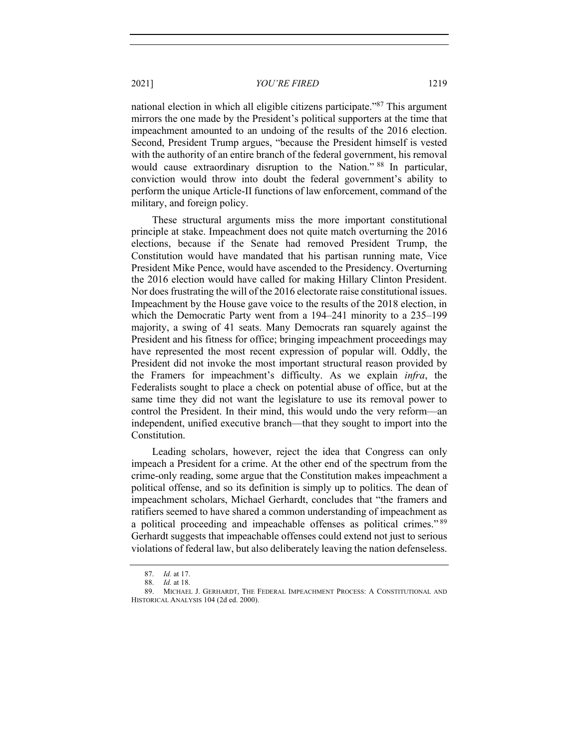national election in which all eligible citizens participate."<sup>87</sup> This argument mirrors the one made by the President's political supporters at the time that impeachment amounted to an undoing of the results of the 2016 election. Second, President Trump argues, "because the President himself is vested with the authority of an entire branch of the federal government, his removal would cause extraordinary disruption to the Nation." <sup>88</sup> In particular, conviction would throw into doubt the federal government's ability to perform the unique Article-II functions of law enforcement, command of the military, and foreign policy.

These structural arguments miss the more important constitutional principle at stake. Impeachment does not quite match overturning the 2016 elections, because if the Senate had removed President Trump, the Constitution would have mandated that his partisan running mate, Vice President Mike Pence, would have ascended to the Presidency. Overturning the 2016 election would have called for making Hillary Clinton President. Nor does frustrating the will of the 2016 electorate raise constitutional issues. Impeachment by the House gave voice to the results of the 2018 election, in which the Democratic Party went from a 194–241 minority to a 235–199 majority, a swing of 41 seats. Many Democrats ran squarely against the President and his fitness for office; bringing impeachment proceedings may have represented the most recent expression of popular will. Oddly, the President did not invoke the most important structural reason provided by the Framers for impeachment's difficulty. As we explain *infra*, the Federalists sought to place a check on potential abuse of office, but at the same time they did not want the legislature to use its removal power to control the President. In their mind, this would undo the very reform—an independent, unified executive branch—that they sought to import into the Constitution.

Leading scholars, however, reject the idea that Congress can only impeach a President for a crime. At the other end of the spectrum from the crime-only reading, some argue that the Constitution makes impeachment a political offense, and so its definition is simply up to politics. The dean of impeachment scholars, Michael Gerhardt, concludes that "the framers and ratifiers seemed to have shared a common understanding of impeachment as a political proceeding and impeachable offenses as political crimes."<sup>89</sup> Gerhardt suggests that impeachable offenses could extend not just to serious violations of federal law, but also deliberately leaving the nation defenseless.

<sup>87.</sup> *Id.* at 17.

<sup>88.</sup> *Id.* at 18.

<sup>89.</sup> MICHAEL J. GERHARDT, THE FEDERAL IMPEACHMENT PROCESS: A CONSTITUTIONAL AND HISTORICAL ANALYSIS 104 (2d ed. 2000).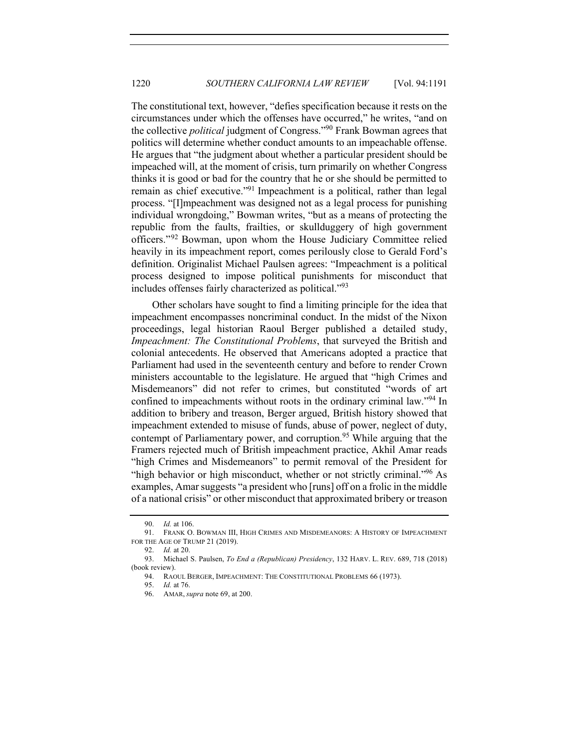The constitutional text, however, "defies specification because it rests on the circumstances under which the offenses have occurred," he writes, "and on the collective *political* judgment of Congress."90 Frank Bowman agrees that politics will determine whether conduct amounts to an impeachable offense. He argues that "the judgment about whether a particular president should be impeached will, at the moment of crisis, turn primarily on whether Congress thinks it is good or bad for the country that he or she should be permitted to remain as chief executive."<sup>91</sup> Impeachment is a political, rather than legal process. "[I]mpeachment was designed not as a legal process for punishing individual wrongdoing," Bowman writes, "but as a means of protecting the republic from the faults, frailties, or skullduggery of high government officers."<sup>92</sup> Bowman, upon whom the House Judiciary Committee relied heavily in its impeachment report, comes perilously close to Gerald Ford's definition. Originalist Michael Paulsen agrees: "Impeachment is a political process designed to impose political punishments for misconduct that includes offenses fairly characterized as political."<sup>93</sup>

Other scholars have sought to find a limiting principle for the idea that impeachment encompasses noncriminal conduct. In the midst of the Nixon proceedings, legal historian Raoul Berger published a detailed study, *Impeachment: The Constitutional Problems*, that surveyed the British and colonial antecedents. He observed that Americans adopted a practice that Parliament had used in the seventeenth century and before to render Crown ministers accountable to the legislature. He argued that "high Crimes and Misdemeanors" did not refer to crimes, but constituted "words of art confined to impeachments without roots in the ordinary criminal law."<sup>94</sup> In addition to bribery and treason, Berger argued, British history showed that impeachment extended to misuse of funds, abuse of power, neglect of duty, contempt of Parliamentary power, and corruption.<sup>95</sup> While arguing that the Framers rejected much of British impeachment practice, Akhil Amar reads "high Crimes and Misdemeanors" to permit removal of the President for "high behavior or high misconduct, whether or not strictly criminal."<sup>96</sup> As examples, Amar suggests "a president who [runs] off on a frolic in the middle of a national crisis" or other misconduct that approximated bribery or treason

95. *Id.* at 76.

<sup>90.</sup> *Id.* at 106.

<sup>91.</sup> FRANK O. BOWMAN III, HIGH CRIMES AND MISDEMEANORS: A HISTORY OF IMPEACHMENT FOR THE AGE OF TRUMP 21 (2019).

<sup>92.</sup> *Id.* at 20.

<sup>93.</sup> Michael S. Paulsen, *To End a (Republican) Presidency*, 132 HARV. L. REV. 689, 718 (2018) (book review).

<sup>94.</sup> RAOUL BERGER, IMPEACHMENT: THE CONSTITUTIONAL PROBLEMS 66 (1973).

<sup>96.</sup> AMAR, *supra* note 69, at 200.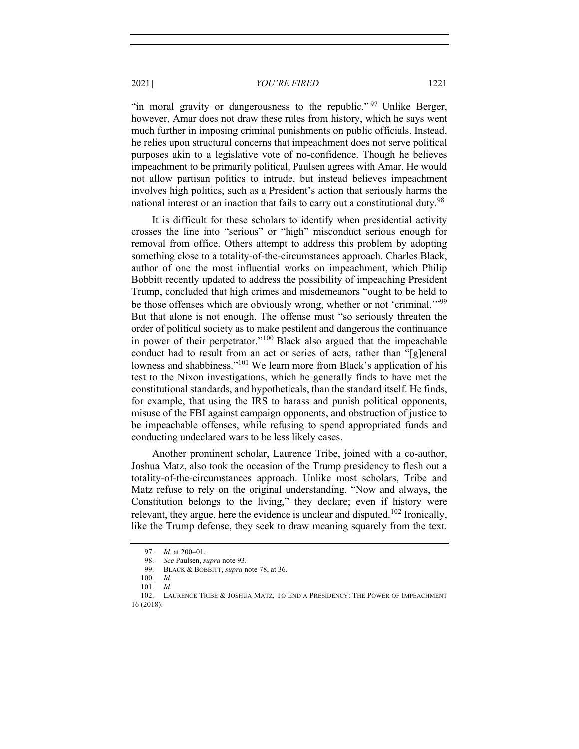"in moral gravity or dangerousness to the republic."<sup>97</sup> Unlike Berger, however, Amar does not draw these rules from history, which he says went much further in imposing criminal punishments on public officials. Instead, he relies upon structural concerns that impeachment does not serve political purposes akin to a legislative vote of no-confidence. Though he believes impeachment to be primarily political, Paulsen agrees with Amar. He would not allow partisan politics to intrude, but instead believes impeachment involves high politics, such as a President's action that seriously harms the national interest or an inaction that fails to carry out a constitutional duty.<sup>98</sup>

It is difficult for these scholars to identify when presidential activity crosses the line into "serious" or "high" misconduct serious enough for removal from office. Others attempt to address this problem by adopting something close to a totality-of-the-circumstances approach. Charles Black, author of one the most influential works on impeachment, which Philip Bobbitt recently updated to address the possibility of impeaching President Trump, concluded that high crimes and misdemeanors "ought to be held to be those offenses which are obviously wrong, whether or not 'criminal.'"<sup>99</sup> But that alone is not enough. The offense must "so seriously threaten the order of political society as to make pestilent and dangerous the continuance in power of their perpetrator."<sup>100</sup> Black also argued that the impeachable conduct had to result from an act or series of acts, rather than "[g]eneral lowness and shabbiness."<sup>101</sup> We learn more from Black's application of his test to the Nixon investigations, which he generally finds to have met the constitutional standards, and hypotheticals, than the standard itself. He finds, for example, that using the IRS to harass and punish political opponents, misuse of the FBI against campaign opponents, and obstruction of justice to be impeachable offenses, while refusing to spend appropriated funds and conducting undeclared wars to be less likely cases.

Another prominent scholar, Laurence Tribe, joined with a co-author, Joshua Matz, also took the occasion of the Trump presidency to flesh out a totality-of-the-circumstances approach. Unlike most scholars, Tribe and Matz refuse to rely on the original understanding. "Now and always, the Constitution belongs to the living," they declare; even if history were relevant, they argue, here the evidence is unclear and disputed.<sup>102</sup> Ironically, like the Trump defense, they seek to draw meaning squarely from the text.

<sup>97.</sup> *Id.* at 200–01.

<sup>98.</sup> *See* Paulsen, *supra* note 93.

<sup>99.</sup> BLACK & BOBBITT, *supra* note 78, at 36.

<sup>100.</sup> *Id.*

<sup>101.</sup> *Id.*

<sup>102.</sup> LAURENCE TRIBE & JOSHUA MATZ, TO END A PRESIDENCY: THE POWER OF IMPEACHMENT 16 (2018).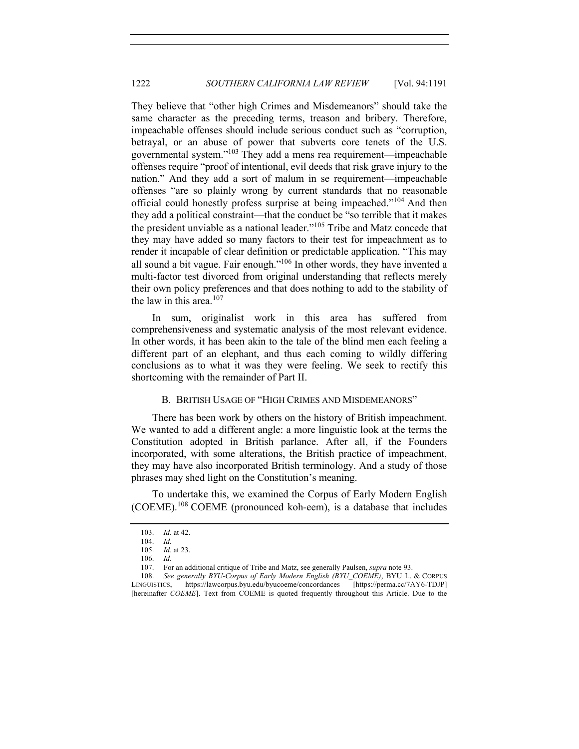They believe that "other high Crimes and Misdemeanors" should take the same character as the preceding terms, treason and bribery. Therefore, impeachable offenses should include serious conduct such as "corruption, betrayal, or an abuse of power that subverts core tenets of the U.S. governmental system."103 They add a mens rea requirement—impeachable offenses require "proof of intentional, evil deeds that risk grave injury to the nation." And they add a sort of malum in se requirement—impeachable offenses "are so plainly wrong by current standards that no reasonable official could honestly profess surprise at being impeached."<sup>104</sup> And then they add a political constraint—that the conduct be "so terrible that it makes the president unviable as a national leader."<sup>105</sup> Tribe and Matz concede that they may have added so many factors to their test for impeachment as to render it incapable of clear definition or predictable application. "This may all sound a bit vague. Fair enough."106 In other words, they have invented a multi-factor test divorced from original understanding that reflects merely their own policy preferences and that does nothing to add to the stability of the law in this area.<sup>107</sup>

In sum, originalist work in this area has suffered from comprehensiveness and systematic analysis of the most relevant evidence. In other words, it has been akin to the tale of the blind men each feeling a different part of an elephant, and thus each coming to wildly differing conclusions as to what it was they were feeling. We seek to rectify this shortcoming with the remainder of Part II.

# B. BRITISH USAGE OF "HIGH CRIMES AND MISDEMEANORS"

There has been work by others on the history of British impeachment. We wanted to add a different angle: a more linguistic look at the terms the Constitution adopted in British parlance. After all, if the Founders incorporated, with some alterations, the British practice of impeachment, they may have also incorporated British terminology. And a study of those phrases may shed light on the Constitution's meaning.

To undertake this, we examined the Corpus of Early Modern English (COEME).<sup>108</sup> COEME (pronounced koh-eem), is a database that includes

<sup>103.</sup> *Id.* at 42.

<sup>104.</sup> *Id.*

<sup>105.</sup> *Id.* at 23.

<sup>106.</sup> *Id*.

<sup>107.</sup> For an additional critique of Tribe and Matz, see generally Paulsen, *supra* note 93.

<sup>108.</sup> *See generally BYU-Corpus of Early Modern English (BYU\_COEME)*, BYU L. & CORPUS LINGUISTICS, https://lawcorpus.byu.edu/byucoeme/concordances [https://perma.cc/7AY6-TDJP] [hereinafter *COEME*]. Text from COEME is quoted frequently throughout this Article. Due to the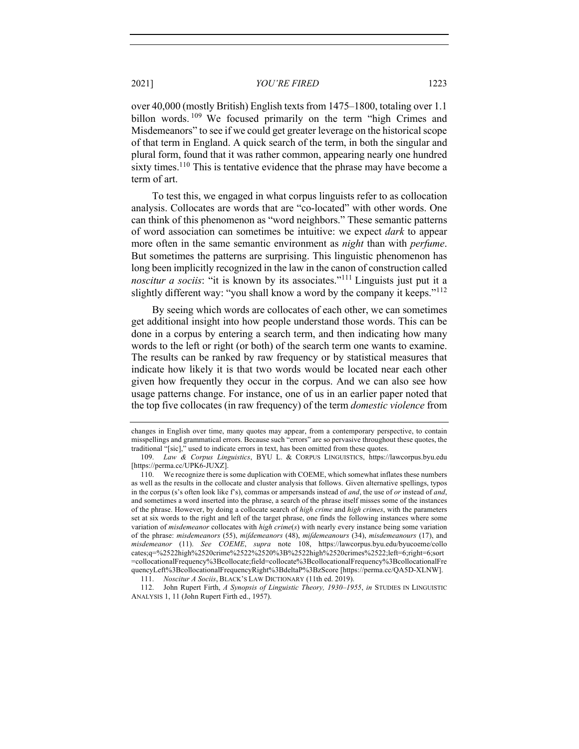over 40,000 (mostly British) English texts from 1475–1800, totaling over 1.1 billon words. <sup>109</sup> We focused primarily on the term "high Crimes and Misdemeanors" to see if we could get greater leverage on the historical scope of that term in England. A quick search of the term, in both the singular and plural form, found that it was rather common, appearing nearly one hundred sixty times.<sup>110</sup> This is tentative evidence that the phrase may have become a term of art.

To test this, we engaged in what corpus linguists refer to as collocation analysis. Collocates are words that are "co-located" with other words. One can think of this phenomenon as "word neighbors." These semantic patterns of word association can sometimes be intuitive: we expect *dark* to appear more often in the same semantic environment as *night* than with *perfume*. But sometimes the patterns are surprising. This linguistic phenomenon has long been implicitly recognized in the law in the canon of construction called *noscitur a sociis*: "it is known by its associates."<sup>111</sup> Linguists just put it a slightly different way: "you shall know a word by the company it keeps."<sup>112</sup>

By seeing which words are collocates of each other, we can sometimes get additional insight into how people understand those words. This can be done in a corpus by entering a search term, and then indicating how many words to the left or right (or both) of the search term one wants to examine. The results can be ranked by raw frequency or by statistical measures that indicate how likely it is that two words would be located near each other given how frequently they occur in the corpus. And we can also see how usage patterns change. For instance, one of us in an earlier paper noted that the top five collocates (in raw frequency) of the term *domestic violence* from

changes in English over time, many quotes may appear, from a contemporary perspective, to contain misspellings and grammatical errors. Because such "errors" are so pervasive throughout these quotes, the traditional "[sic]," used to indicate errors in text, has been omitted from these quotes.

<sup>109.</sup> *Law & Corpus Linguistics*, BYU L. & CORPUS LINGUISTICS, https://lawcorpus.byu.edu [https://perma.cc/UPK6-JUXZ].

<sup>110.</sup> We recognize there is some duplication with COEME, which somewhat inflates these numbers as well as the results in the collocate and cluster analysis that follows. Given alternative spellings, typos in the corpus (s's often look like f's), commas or ampersands instead of *and*, the use of *or* instead of *and*, and sometimes a word inserted into the phrase, a search of the phrase itself misses some of the instances of the phrase. However, by doing a collocate search of *high crime* and *high crimes*, with the parameters set at six words to the right and left of the target phrase, one finds the following instances where some variation of *misdemeanor* collocates with *high crime*(*s*) with nearly every instance being some variation of the phrase: *misdemeanors* (55), *miſdemeanors* (48), *miſdemeanours* (34), *misdemeanours* (17), and *misdemeanor* (11). *See COEME*, *supra* note 108, https://lawcorpus.byu.edu/byucoeme/collo cates;q=%2522high%2520crime%2522%2520%3B%2522high%2520crimes%2522;left=6;right=6;sort =collocationalFrequency%3Bcollocate;field=collocate%3BcollocationalFrequency%3BcollocationalFre quencyLeft%3BcollocationalFrequencyRight%3BdeltaP%3BzScore [https://perma.cc/QA5D-XLNW].

<sup>111.</sup> *Noscitur A Sociis*, BLACK'S LAW DICTIONARY (11th ed. 2019).

<sup>112.</sup> John Rupert Firth, *A Synopsis of Linguistic Theory, 1930–1955*, *in* STUDIES IN LINGUISTIC ANALYSIS 1, 11 (John Rupert Firth ed., 1957).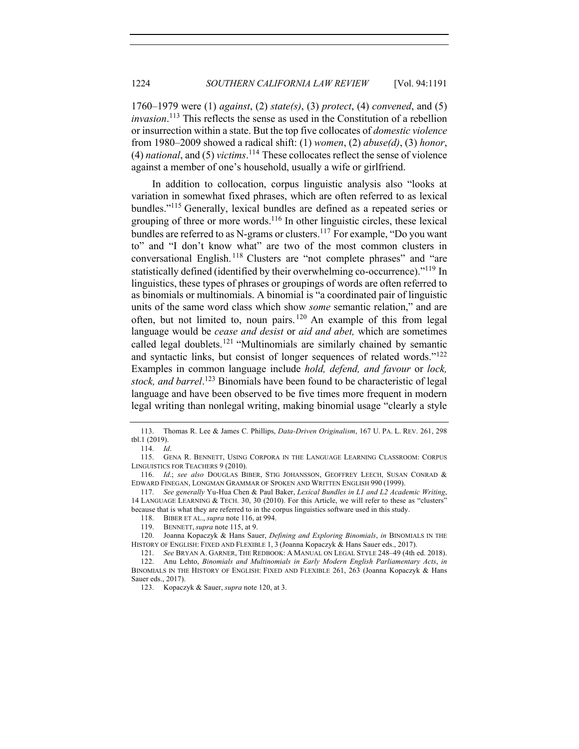1760–1979 were (1) *against*, (2) *state(s)*, (3) *protect*, (4) *convened*, and (5) *invasion*. <sup>113</sup> This reflects the sense as used in the Constitution of a rebellion or insurrection within a state. But the top five collocates of *domestic violence*  from 1980–2009 showed a radical shift: (1) *women*, (2) *abuse(d)*, (3) *honor*, (4) *national*, and (5) *victims*. <sup>114</sup> These collocates reflect the sense of violence against a member of one's household, usually a wife or girlfriend.

In addition to collocation, corpus linguistic analysis also "looks at variation in somewhat fixed phrases, which are often referred to as lexical bundles."115 Generally, lexical bundles are defined as a repeated series or grouping of three or more words.116 In other linguistic circles, these lexical bundles are referred to as N-grams or clusters.<sup>117</sup> For example, "Do you want to" and "I don't know what" are two of the most common clusters in conversational English. <sup>118</sup> Clusters are "not complete phrases" and "are statistically defined (identified by their overwhelming co-occurrence)."119 In linguistics, these types of phrases or groupings of words are often referred to as binomials or multinomials. A binomial is "a coordinated pair of linguistic units of the same word class which show *some* semantic relation," and are often, but not limited to, noun pairs. <sup>120</sup> An example of this from legal language would be *cease and desist* or *aid and abet,* which are sometimes called legal doublets.<sup>121</sup> "Multinomials are similarly chained by semantic and syntactic links, but consist of longer sequences of related words."<sup>122</sup> Examples in common language include *hold, defend, and favour* or *lock, stock, and barrel*. <sup>123</sup> Binomials have been found to be characteristic of legal language and have been observed to be five times more frequent in modern legal writing than nonlegal writing, making binomial usage "clearly a style

<sup>113.</sup> Thomas R. Lee & James C. Phillips, *Data-Driven Originalism*, 167 U. PA. L. REV. 261, 298 tbl.1 (2019).

<sup>114.</sup> *Id*.

<sup>115.</sup> GENA R. BENNETT, USING CORPORA IN THE LANGUAGE LEARNING CLASSROOM: CORPUS LINGUISTICS FOR TEACHERS 9 (2010).

<sup>116.</sup> *Id*.; *see also* DOUGLAS BIBER, STIG JOHANSSON, GEOFFREY LEECH, SUSAN CONRAD & EDWARD FINEGAN, LONGMAN GRAMMAR OF SPOKEN AND WRITTEN ENGLISH 990 (1999).

<sup>117.</sup> *See generally* Yu-Hua Chen & Paul Baker, *Lexical Bundles in L1 and L2 Academic Writing*, 14 LANGUAGE LEARNING & TECH. 30, 30 (2010). For this Article, we will refer to these as "clusters" because that is what they are referred to in the corpus linguistics software used in this study.

<sup>118.</sup> BIBER ET AL., *supra* note 116, at 994.

<sup>119.</sup> BENNETT, *supra* note 115, at 9.

<sup>120.</sup> Joanna Kopaczyk & Hans Sauer, *Defining and Exploring Binomials*, *in* BINOMIALS IN THE HISTORY OF ENGLISH: FIXED AND FLEXIBLE 1, 3 (Joanna Kopaczyk & Hans Sauer eds., 2017).

<sup>121.</sup> *See* BRYAN A. GARNER, THE REDBOOK: A MANUAL ON LEGAL STYLE 248–49 (4th ed. 2018). 122. Anu Lehto, *Binomials and Multinomials in Early Modern English Parliamentary Acts*, *in* BINOMIALS IN THE HISTORY OF ENGLISH: FIXED AND FLEXIBLE 261, 263 (Joanna Kopaczyk & Hans Sauer eds., 2017).

<sup>123.</sup> Kopaczyk & Sauer, *supra* note 120, at 3.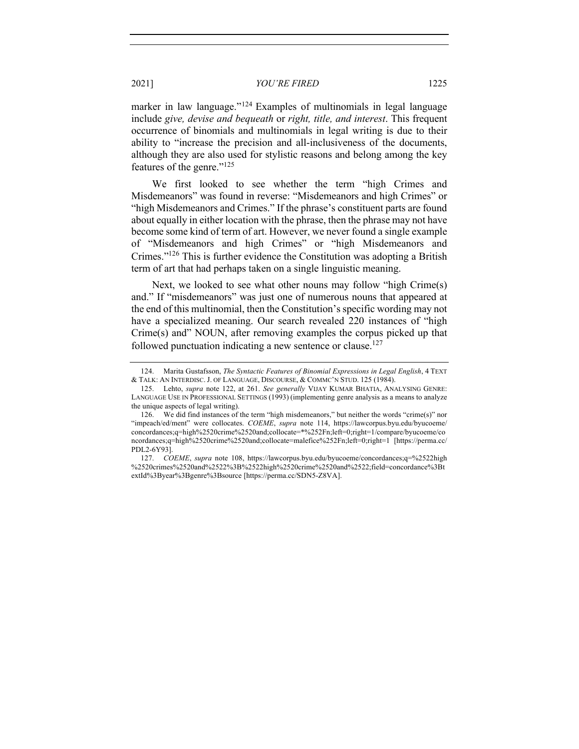marker in law language."<sup>124</sup> Examples of multinomials in legal language include *give, devise and bequeath* or *right, title, and interest*. This frequent occurrence of binomials and multinomials in legal writing is due to their ability to "increase the precision and all-inclusiveness of the documents, although they are also used for stylistic reasons and belong among the key features of the genre."<sup>125</sup>

We first looked to see whether the term "high Crimes and Misdemeanors" was found in reverse: "Misdemeanors and high Crimes" or "high Misdemeanors and Crimes." If the phrase's constituent parts are found about equally in either location with the phrase, then the phrase may not have become some kind of term of art. However, we never found a single example of "Misdemeanors and high Crimes" or "high Misdemeanors and Crimes."126 This is further evidence the Constitution was adopting a British term of art that had perhaps taken on a single linguistic meaning.

Next, we looked to see what other nouns may follow "high Crime(s) and." If "misdemeanors" was just one of numerous nouns that appeared at the end of this multinomial, then the Constitution's specific wording may not have a specialized meaning. Our search revealed 220 instances of "high Crime(s) and" NOUN, after removing examples the corpus picked up that followed punctuation indicating a new sentence or clause.<sup>127</sup>

<sup>124.</sup> Marita Gustafsson, *The Syntactic Features of Binomial Expressions in Legal English*, 4 TEXT & TALK: AN INTERDISC. J. OF LANGUAGE, DISCOURSE, & COMMC'N STUD. 125 (1984).

<sup>125.</sup> Lehto, *supra* note 122, at 261. *See generally* VIJAY KUMAR BHATIA, ANALYSING GENRE: LANGUAGE USE IN PROFESSIONAL SETTINGS (1993) (implementing genre analysis as a means to analyze the unique aspects of legal writing).

<sup>126.</sup> We did find instances of the term "high misdemeanors," but neither the words "crime(s)" nor "impeach/ed/ment" were collocates. *COEME*, *supra* note 114, https://lawcorpus.byu.edu/byucoeme/ concordances;q=high%2520crime%2520and;collocate=\*%252Fn;left=0;right=1/compare/byucoeme/co ncordances;q=high%2520crime%2520and;collocate=malefice%252Fn;left=0;right=1 [https://perma.cc/ PDL2-6Y93].

<sup>127.</sup> *COEME*, *supra* note 108, https://lawcorpus.byu.edu/byucoeme/concordances;q=%2522high %2520crimes%2520and%2522%3B%2522high%2520crime%2520and%2522;field=concordance%3Bt extId%3Byear%3Bgenre%3Bsource [https://perma.cc/SDN5-Z8VA].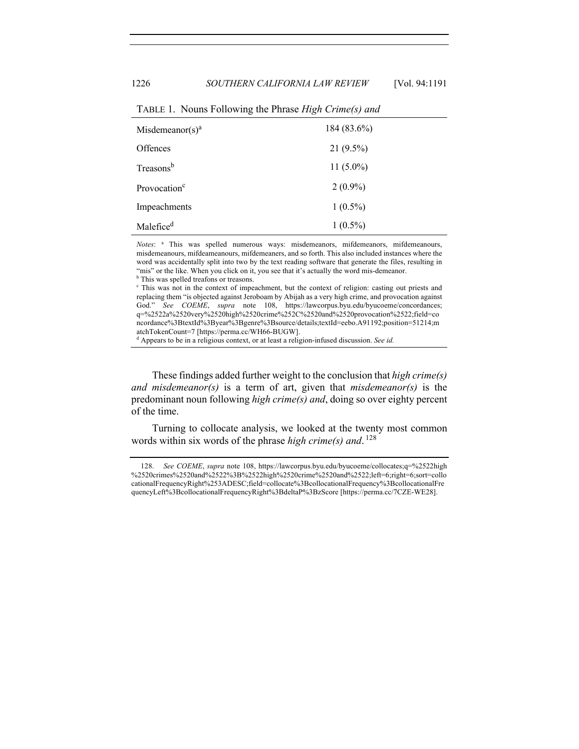| Misdemeanor(s) <sup>a</sup> | 184 (83.6%) |
|-----------------------------|-------------|
| <b>Offences</b>             | $21(9.5\%)$ |
| Treasons <sup>b</sup>       | $11(5.0\%)$ |
| Provocation <sup>c</sup>    | $2(0.9\%)$  |
| Impeachments                | $1(0.5\%)$  |
| Malefice <sup>d</sup>       | $1(0.5\%)$  |

TABLE 1. Nouns Following the Phrase *High Crime(s) and*

*Notes*: <sup>a</sup> This was spelled numerous ways: misdemeanors, mifdemeanors, mifdemeanours, misdemeanours, mifdeameanours, mifdemeaners, and so forth. This also included instances where the word was accidentally split into two by the text reading software that generate the files, resulting in "mis" or the like. When you click on it, you see that it's actually the word mis-demeanor. b This was spelled treafons or treasons.

<sup>c</sup> This was not in the context of impeachment, but the context of religion: casting out priests and replacing them "is objected against Jeroboam by Abijah as a very high crime, and provocation against God." *See COEME*, *supra* note 108, https://lawcorpus.byu.edu/byucoeme/concordances; q=%2522a%2520very%2520high%2520crime%252C%2520and%2520provocation%2522;field=co ncordance%3BtextId%3Byear%3Bgenre%3Bsource/details;textId=eebo.A91192;position=51214;m atchTokenCount=7 [https://perma.cc/WH66-BUGW].

<sup>d</sup> Appears to be in a religious context, or at least a religion-infused discussion. *See id.*

These findings added further weight to the conclusion that *high crime(s) and misdemeanor(s)* is a term of art, given that *misdemeanor(s)* is the predominant noun following *high crime(s) and*, doing so over eighty percent of the time.

Turning to collocate analysis, we looked at the twenty most common words within six words of the phrase *high crime(s) and*. <sup>128</sup>

<sup>128.</sup> *See COEME*, *supra* note 108, https://lawcorpus.byu.edu/byucoeme/collocates;q=%2522high %2520crimes%2520and%2522%3B%2522high%2520crime%2520and%2522;left=6;right=6;sort=collo cationalFrequencyRight%253ADESC;field=collocate%3BcollocationalFrequency%3BcollocationalFre quencyLeft%3BcollocationalFrequencyRight%3BdeltaP%3BzScore [https://perma.cc/7CZE-WE28].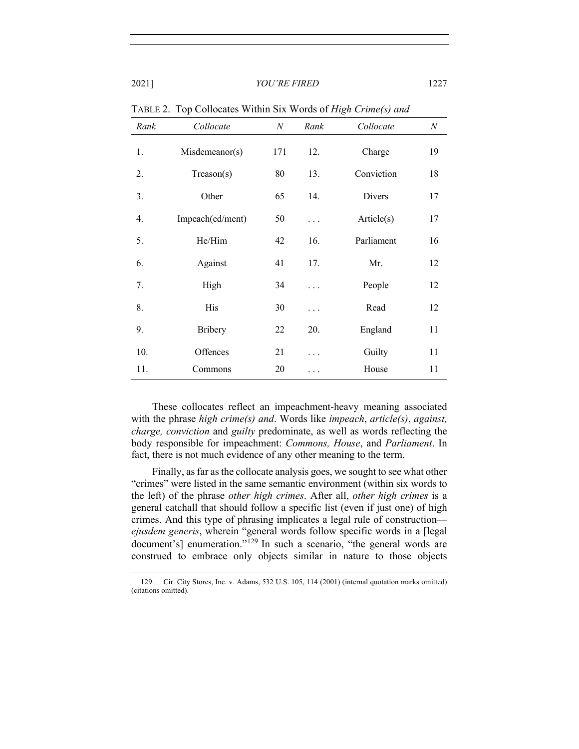| Rank | Collocate        | N   | Rank     | Collocate  | $\boldsymbol{N}$ |
|------|------------------|-----|----------|------------|------------------|
| 1.   | Misdemeanor(s)   | 171 | 12.      | Charge     | 19               |
| 2.   | Treason(s)       | 80  | 13.      | Conviction | 18               |
| 3.   | Other            | 65  | 14.      | Divers     | 17               |
| 4.   | Impeach(ed/ment) | 50  | .        | Article(s) | 17               |
| 5.   | He/Him           | 42  | 16.      | Parliament | 16               |
| 6.   | Against          | 41  | 17.      | Mr.        | 12               |
| 7.   | High             | 34  | .        | People     | 12               |
| 8.   | His              | 30  | $\cdots$ | Read       | 12               |
| 9.   | <b>Bribery</b>   | 22  | 20.      | England    | 11               |
| 10.  | Offences         | 21  | .        | Guilty     | 11               |
| 11.  | Commons          | 20  |          | House      | 11               |

TABLE 2. Top Collocates Within Six Words of *High Crime(s) and*

These collocates reflect an impeachment-heavy meaning associated with the phrase *high crime(s) and*. Words like *impeach*, *article(s)*, *against, charge, conviction* and *guilty* predominate, as well as words reflecting the body responsible for impeachment: *Commons, House*, and *Parliament*. In fact, there is not much evidence of any other meaning to the term.

Finally, as far as the collocate analysis goes, we sought to see what other "crimes" were listed in the same semantic environment (within six words to the left) of the phrase *other high crimes*. After all, *other high crimes* is a general catchall that should follow a specific list (even if just one) of high crimes. And this type of phrasing implicates a legal rule of construction *ejusdem generis*, wherein "general words follow specific words in a [legal document's] enumeration."<sup>129</sup> In such a scenario, "the general words are construed to embrace only objects similar in nature to those objects

<sup>129.</sup> Cir. City Stores, Inc. v. Adams, 532 U.S. 105, 114 (2001) (internal quotation marks omitted) (citations omitted).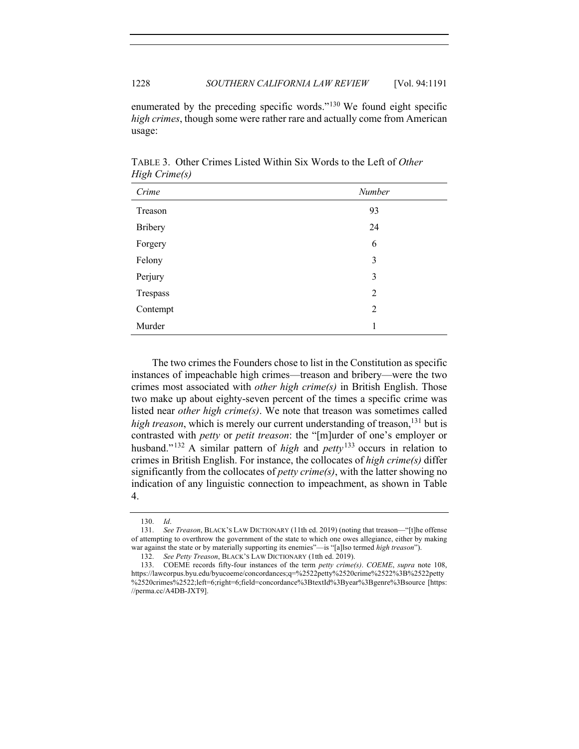enumerated by the preceding specific words."<sup>130</sup> We found eight specific *high crimes*, though some were rather rare and actually come from American usage:

| Crime    | Number         |
|----------|----------------|
| Treason  | 93             |
| Bribery  | 24             |
| Forgery  | 6              |
| Felony   | 3              |
| Perjury  | 3              |
| Trespass | $\overline{2}$ |
| Contempt | $\overline{2}$ |
| Murder   | 1              |

TABLE 3. Other Crimes Listed Within Six Words to the Left of *Other High Crime(s)*

The two crimes the Founders chose to list in the Constitution as specific instances of impeachable high crimes—treason and bribery—were the two crimes most associated with *other high crime(s)* in British English. Those two make up about eighty-seven percent of the times a specific crime was listed near *other high crime(s)*. We note that treason was sometimes called *high treason*, which is merely our current understanding of treason,<sup>131</sup> but is contrasted with *petty* or *petit treason*: the "[m]urder of one's employer or husband."<sup>132</sup> A similar pattern of *high* and *petty*<sup>133</sup> occurs in relation to crimes in British English. For instance, the collocates of *high crime(s)* differ significantly from the collocates of *petty crime(s)*, with the latter showing no indication of any linguistic connection to impeachment, as shown in Table 4.

<sup>130.</sup> *Id*.

<sup>131.</sup> *See Treason*, BLACK'S LAW DICTIONARY (11th ed. 2019) (noting that treason—"[t]he offense of attempting to overthrow the government of the state to which one owes allegiance, either by making war against the state or by materially supporting its enemies"—is "[a]lso termed *high treason*").

<sup>132.</sup> *See Petty Treason*, BLACK'S LAW DICTIONARY (1tth ed. 2019).

<sup>133.</sup> COEME records fifty-four instances of the term *petty crime(s)*. *COEME*, *supra* note 108, https://lawcorpus.byu.edu/byucoeme/concordances;q=%2522petty%2520crime%2522%3B%2522petty %2520crimes%2522;left=6;right=6;field=concordance%3BtextId%3Byear%3Bgenre%3Bsource [https: //perma.cc/A4DB-JXT9].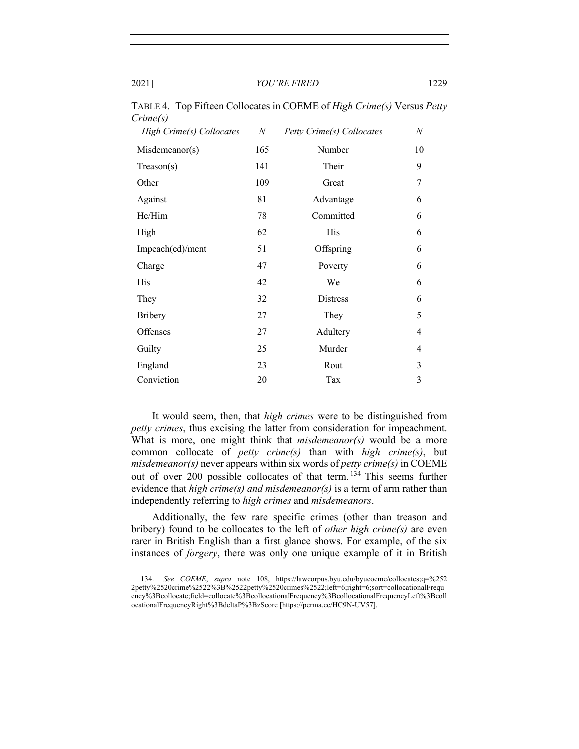| High Crime(s) Collocates | $N_{\rm \scriptscriptstyle I}$ | Petty Crime(s) Collocates | N  |
|--------------------------|--------------------------------|---------------------------|----|
| Misdemeanor(s)           | 165                            | Number                    | 10 |
| $T$ reason(s)            | 141                            | Their                     | 9  |
| Other                    | 109                            | Great                     | 7  |
| Against                  | 81                             | Advantage                 | 6  |
| He/Him                   | 78                             | Committed                 | 6  |
| High                     | 62                             | His                       | 6  |
| Impeach(ed)/ment         | 51                             | Offspring                 | 6  |
| Charge                   | 47                             | Poverty                   | 6  |
| His                      | 42                             | We                        | 6  |
| They                     | 32                             | <b>Distress</b>           | 6  |
| <b>Bribery</b>           | 27                             | They                      | 5  |
| Offenses                 | 27                             | Adultery                  | 4  |
| Guilty                   | 25                             | Murder                    | 4  |
| England                  | 23                             | Rout                      | 3  |
| Conviction               | 20                             | Tax                       | 3  |

TABLE 4. Top Fifteen Collocates in COEME of *High Crime(s)* Versus *Petty Crime(s)*

It would seem, then, that *high crimes* were to be distinguished from *petty crimes*, thus excising the latter from consideration for impeachment. What is more, one might think that *misdemeanor(s)* would be a more common collocate of *petty crime(s)* than with *high crime(s)*, but *misdemeanor(s)* never appears within six words of *petty crime(s)* in COEME out of over 200 possible collocates of that term.<sup>134</sup> This seems further evidence that *high crime(s) and misdemeanor(s)* is a term of arm rather than independently referring to *high crimes* and *misdemeanors*.

Additionally, the few rare specific crimes (other than treason and bribery) found to be collocates to the left of *other high crime(s)* are even rarer in British English than a first glance shows. For example, of the six instances of *forgery*, there was only one unique example of it in British

<sup>134.</sup> *See COEME*, *supra* note 108, https://lawcorpus.byu.edu/byucoeme/collocates;q=%252 2petty%2520crime%2522%3B%2522petty%2520crimes%2522;left=6;right=6;sort=collocationalFrequ ency%3Bcollocate;field=collocate%3BcollocationalFrequency%3BcollocationalFrequencyLeft%3Bcoll ocationalFrequencyRight%3BdeltaP%3BzScore [https://perma.cc/HC9N-UV57].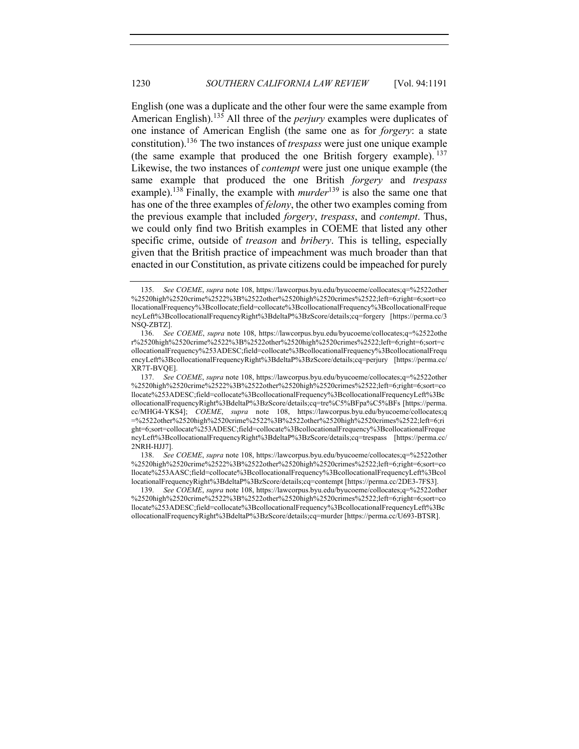English (one was a duplicate and the other four were the same example from American English).<sup>135</sup> All three of the *perjury* examples were duplicates of one instance of American English (the same one as for *forgery*: a state constitution).136 The two instances of *trespass* were just one unique example (the same example that produced the one British forgery example).  $137$ Likewise, the two instances of *contempt* were just one unique example (the same example that produced the one British *forgery* and *trespass* example).<sup>138</sup> Finally, the example with *murder*<sup>139</sup> is also the same one that has one of the three examples of *felony*, the other two examples coming from the previous example that included *forgery*, *trespass*, and *contempt*. Thus, we could only find two British examples in COEME that listed any other specific crime, outside of *treason* and *bribery*. This is telling, especially given that the British practice of impeachment was much broader than that enacted in our Constitution, as private citizens could be impeached for purely

<sup>135.</sup> *See COEME*, *supra* note 108, https://lawcorpus.byu.edu/byucoeme/collocates;q=%2522other %2520high%2520crime%2522%3B%2522other%2520high%2520crimes%2522;left=6;right=6;sort=co llocationalFrequency%3Bcollocate;field=collocate%3BcollocationalFrequency%3BcollocationalFreque ncyLeft%3BcollocationalFrequencyRight%3BdeltaP%3BzScore/details;cq=forgery [https://perma.cc/3 NSQ-ZBTZ].

<sup>136.</sup> *See COEME*, *supra* note 108, https://lawcorpus.byu.edu/byucoeme/collocates;q=%2522othe r%2520high%2520crime%2522%3B%2522other%2520high%2520crimes%2522;left=6;right=6;sort=c ollocationalFrequency%253ADESC;field=collocate%3BcollocationalFrequency%3BcollocationalFrequ encyLeft%3BcollocationalFrequencyRight%3BdeltaP%3BzScore/details;cq=perjury [https://perma.cc/ XR7T-BVQE].

<sup>137.</sup> *See COEME*, *supra* note 108, https://lawcorpus.byu.edu/byucoeme/collocates;q=%2522other %2520high%2520crime%2522%3B%2522other%2520high%2520crimes%2522;left=6;right=6;sort=co llocate%253ADESC;field=collocate%3BcollocationalFrequency%3BcollocationalFrequencyLeft%3Bc ollocationalFrequencyRight%3BdeltaP%3BzScore/details;cq=tre%C5%BFpa%C5%BFs [https://perma. cc/MHG4-YKS4]; *COEME*, *supra* note 108, https://lawcorpus.byu.edu/byucoeme/collocates;q =%2522other%2520high%2520crime%2522%3B%2522other%2520high%2520crimes%2522;left=6;ri ght=6;sort=collocate%253ADESC;field=collocate%3BcollocationalFrequency%3BcollocationalFreque ncyLeft%3BcollocationalFrequencyRight%3BdeltaP%3BzScore/details;cq=trespass [https://perma.cc/ 2NRH-HJJ7].

<sup>138.</sup> *See COEME*, *supra* note 108, https://lawcorpus.byu.edu/byucoeme/collocates;q=%2522other %2520high%2520crime%2522%3B%2522other%2520high%2520crimes%2522;left=6;right=6;sort=co llocate%253AASC;field=collocate%3BcollocationalFrequency%3BcollocationalFrequencyLeft%3Bcol locationalFrequencyRight%3BdeltaP%3BzScore/details;cq=contempt [https://perma.cc/2DE3-7FS3].

<sup>139.</sup> *See COEME*, *supra* note 108, https://lawcorpus.byu.edu/byucoeme/collocates;q=%2522other %2520high%2520crime%2522%3B%2522other%2520high%2520crimes%2522;left=6;right=6;sort=co llocate%253ADESC;field=collocate%3BcollocationalFrequency%3BcollocationalFrequencyLeft%3Bc ollocationalFrequencyRight%3BdeltaP%3BzScore/details;cq=murder [https://perma.cc/U693-BTSR].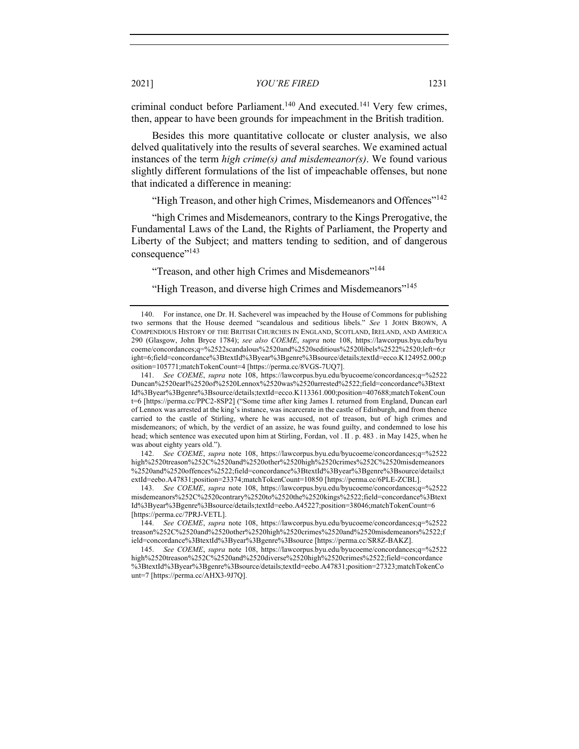criminal conduct before Parliament.<sup>140</sup> And executed.<sup>141</sup> Very few crimes, then, appear to have been grounds for impeachment in the British tradition.

Besides this more quantitative collocate or cluster analysis, we also delved qualitatively into the results of several searches. We examined actual instances of the term *high crime(s) and misdemeanor(s)*. We found various slightly different formulations of the list of impeachable offenses, but none that indicated a difference in meaning:

"High Treason, and other high Crimes, Misdemeanors and Offences"<sup>142</sup>

"high Crimes and Misdemeanors, contrary to the Kings Prerogative, the Fundamental Laws of the Land, the Rights of Parliament, the Property and Liberty of the Subject; and matters tending to sedition, and of dangerous consequence"<sup>143</sup>

"Treason, and other high Crimes and Misdemeanors"144

"High Treason, and diverse high Crimes and Misdemeanors"<sup>145</sup>

<sup>140.</sup> For instance, one Dr. H. Sacheverel was impeached by the House of Commons for publishing two sermons that the House deemed "scandalous and seditious libels." *See* 1 JOHN BROWN, A COMPENDIOUS HISTORY OF THE BRITISH CHURCHES IN ENGLAND, SCOTLAND, IRELAND, AND AMERICA 290 (Glasgow, John Bryce 1784); *see also COEME*, *supra* note 108, https://lawcorpus.byu.edu/byu coeme/concordances;q=%2522scandalous%2520and%2520seditious%2520libels%2522%2520;left=6;r ight=6;field=concordance%3BtextId%3Byear%3Bgenre%3Bsource/details;textId=ecco.K124952.000;p osition=105771;matchTokenCount=4 [https://perma.cc/8VGS-7UQ7].

<sup>141.</sup> *See COEME*, *supra* note 108, https://lawcorpus.byu.edu/byucoeme/concordances;q=%2522 Duncan%2520earl%2520of%2520Lennox%2520was%2520arrested%2522;field=concordance%3Btext Id%3Byear%3Bgenre%3Bsource/details;textId=ecco.K113361.000;position=407688;matchTokenCoun t=6 [https://perma.cc/PPC2-8SP2] ("Some time after king James I. returned from England, Duncan earl of Lennox was arrested at the king's instance, was incarcerate in the castle of Edinburgh, and from thence carried to the castle of Stirling, where he was accused, not of treason, but of high crimes and misdemeanors; of which, by the verdict of an assize, he was found guilty, and condemned to lose his head; which sentence was executed upon him at Stirling, Fordan, vol . II . p. 483 . in May 1425, when he was about eighty years old.").

<sup>142.</sup> *See COEME*, *supra* note 108, https://lawcorpus.byu.edu/byucoeme/concordances;q=%2522 high%2520treason%252C%2520and%2520other%2520high%2520crimes%252C%2520misdemeanors %2520and%2520offences%2522;field=concordance%3BtextId%3Byear%3Bgenre%3Bsource/details;t extId=eebo.A47831;position=23374;matchTokenCount=10850 [https://perma.cc/6PLE-ZCBL].

<sup>143.</sup> *See COEME*, *supra* note 108, https://lawcorpus.byu.edu/byucoeme/concordances;q=%2522 misdemeanors%252C%2520contrary%2520to%2520the%2520kings%2522;field=concordance%3Btext Id%3Byear%3Bgenre%3Bsource/details;textId=eebo.A45227;position=38046;matchTokenCount=6 [https://perma.cc/7PRJ-VETL].

<sup>144.</sup> *See COEME*, *supra* note 108, https://lawcorpus.byu.edu/byucoeme/concordances;q=%2522 treason%252C%2520and%2520other%2520high%2520crimes%2520and%2520misdemeanors%2522;f ield=concordance%3BtextId%3Byear%3Bgenre%3Bsource [https://perma.cc/SR8Z-BAKZ].

<sup>145.</sup> *See COEME*, *supra* note 108, https://lawcorpus.byu.edu/byucoeme/concordances;q=%2522 high%2520treason%252C%2520and%2520diverse%2520high%2520crimes%2522;field=concordance %3BtextId%3Byear%3Bgenre%3Bsource/details;textId=eebo.A47831;position=27323;matchTokenCo unt=7 [https://perma.cc/AHX3-9J7Q].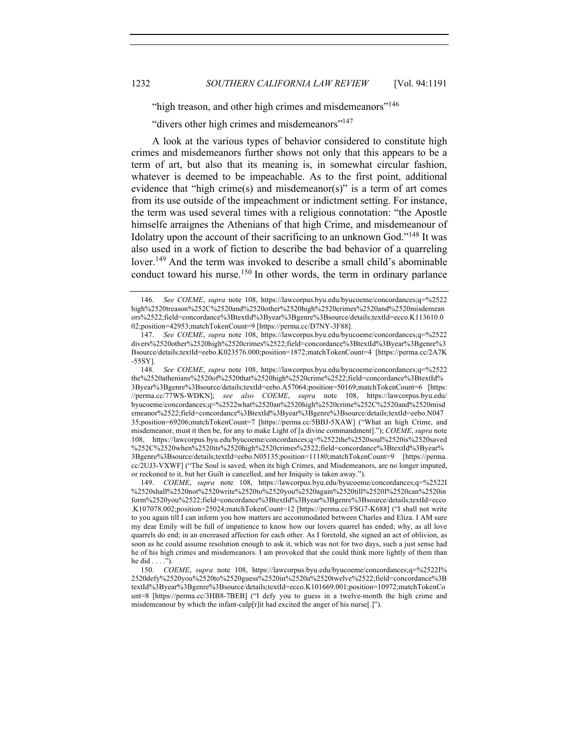"high treason, and other high crimes and misdemeanors"<sup>146</sup>

"divers other high crimes and misdemeanors"<sup>147</sup>

A look at the various types of behavior considered to constitute high crimes and misdemeanors further shows not only that this appears to be a term of art, but also that its meaning is, in somewhat circular fashion, whatever is deemed to be impeachable. As to the first point, additional evidence that "high crime(s) and misdemeanor(s)" is a term of art comes from its use outside of the impeachment or indictment setting. For instance, the term was used several times with a religious connotation: "the Apostle himselfe arraignes the Athenians of that high Crime, and misdemeanour of Idolatry upon the account of their sacrificing to an unknown God."<sup>148</sup> It was also used in a work of fiction to describe the bad behavior of a quarreling lover.<sup>149</sup> And the term was invoked to describe a small child's abominable conduct toward his nurse.<sup>150</sup> In other words, the term in ordinary parlance

<sup>146.</sup> *See COEME*, *supra* note 108, https://lawcorpus.byu.edu/byucoeme/concordances;q=%2522 high%2520treason%252C%2520and%2520other%2520high%2520crimes%2520and%2520misdemean ors%2522;field=concordance%3BtextId%3Byear%3Bgenre%3Bsource/details;textId=ecco.K113610.0 02;position=42953;matchTokenCount=9 [https://perma.cc/D7NY-3F88].

<sup>147.</sup> *See COEME*, *supra* note 108, https://lawcorpus.byu.edu/byucoeme/concordances;q=%2522 divers%2520other%2520high%2520crimes%2522;field=concordance%3BtextId%3Byear%3Bgenre%3 Bsource/details;textId=eebo.K023576.000;position=1872;matchTokenCount=4 [https://perma.cc/2A7K -55SY].

<sup>148.</sup> *See COEME*, *supra* note 108, https://lawcorpus.byu.edu/byucoeme/concordances;q=%2522 the%2520athenians%2520of%2520that%2520high%2520crime%2522;field=concordance%3BtextId% 3Byear%3Bgenre%3Bsource/details;textId=eebo.A57064;position=50169;matchTokenCount=6 [https: //perma.cc/77WS-WDKN]; *see also COEME*, *supra* note 108, https://lawcorpus.byu.edu/ byucoeme/concordances;q=%2522what%2520an%2520high%2520crime%252C%2520and%2520misd emeanor%2522;field=concordance%3BtextId%3Byear%3Bgenre%3Bsource/details;textId=eebo.N047 35;position=69206;matchTokenCount=7 [https://perma.cc/5BBJ-5XAW] ("What an high Crime, and misdemeanor, must it then be, for any to make Light of [a divine commandment]."); *COEME*, *supra* note 108, https://lawcorpus.byu.edu/byucoeme/concordances;q=%2522the%2520soul%2520is%2520saved %252C%2520when%2520its%2520high%2520crimes%2522;field=concordance%3BtextId%3Byear% 3Bgenre%3Bsource/details;textId=eebo.N05135;position=11180;matchTokenCount=9 [https://perma. cc/2UJ3-VXWF] ("The Soul is saved, when its high Crimes, and Misdemeanors, are no longer imputed, or reckoned to it, but her Guilt is cancelled, and her Iniquity is taken away.").

<sup>149.</sup> *COEME*, *supra* note 108, https://lawcorpus.byu.edu/byucoeme/concordances;q=%2522I %2520shall%2520not%2520write%2520to%2520you%2520again%2520till%2520I%2520can%2520in form%2520you%2522;field=concordance%3BtextId%3Byear%3Bgenre%3Bsource/details;textId=ecco .K107078.002;position=25024;matchTokenCount=12 [https://perma.cc/FSG7-K688] ("I shall not write to you again till I can inform you how matters are accommodated between Charles and Eliza. I AM sure my dear Emily will be full of impatience to know how our lovers quarrel has ended; why, as all love quarrels do end; in an encreased affection for each other. As I foretold, she signed an act of oblivion, as soon as he could assume resolution enough to ask it, which was not for two days, such a just sense had he of his high crimes and misdemeanors. I am provoked that she could think more lightly of them than he did . . . .").

<sup>150.</sup> *COEME*, *supra* note 108, https://lawcorpus.byu.edu/byucoeme/concordances;q=%2522I% 2520defy%2520you%2520to%2520guess%2520in%2520a%2520twelve%2522;field=concordance%3B textId%3Byear%3Bgenre%3Bsource/details;textId=ecco.K101669.001;position=10972;matchTokenCo unt=8 [https://perma.cc/3HB8-7BEB] ("I defy you to guess in a twelve-month the high crime and misdemeanour by which the infant-culp[r]it had excited the anger of his nurse[.]").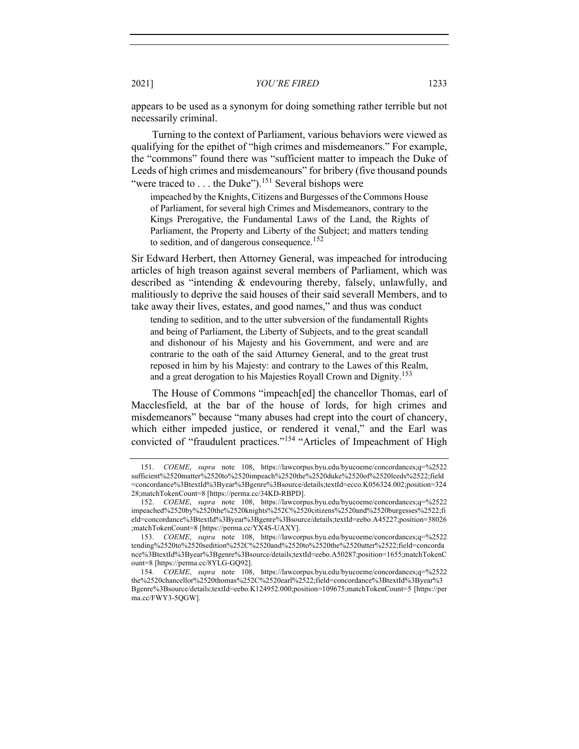appears to be used as a synonym for doing something rather terrible but not necessarily criminal.

Turning to the context of Parliament, various behaviors were viewed as qualifying for the epithet of "high crimes and misdemeanors." For example, the "commons" found there was "sufficient matter to impeach the Duke of Leeds of high crimes and misdemeanours" for bribery (five thousand pounds "were traced to . . . the Duke").<sup>151</sup> Several bishops were

impeached by the Knights, Citizens and Burgesses of the Commons House of Parliament, for several high Crimes and Misdemeanors, contrary to the Kings Prerogative, the Fundamental Laws of the Land, the Rights of Parliament, the Property and Liberty of the Subject; and matters tending to sedition, and of dangerous consequence.<sup>152</sup>

Sir Edward Herbert, then Attorney General, was impeached for introducing articles of high treason against several members of Parliament, which was described as "intending & endevouring thereby, falsely, unlawfully, and malitiously to deprive the said houses of their said severall Members, and to take away their lives, estates, and good names," and thus was conduct

tending to sedition, and to the utter subversion of the fundamentall Rights and being of Parliament, the Liberty of Subjects, and to the great scandall and dishonour of his Majesty and his Government, and were and are contrarie to the oath of the said Atturney General, and to the great trust reposed in him by his Majesty: and contrary to the Lawes of this Realm, and a great derogation to his Majesties Royall Crown and Dignity.<sup>153</sup>

The House of Commons "impeach[ed] the chancellor Thomas, earl of Macclesfield, at the bar of the house of lords, for high crimes and misdemeanors" because "many abuses had crept into the court of chancery, which either impeded justice, or rendered it venal," and the Earl was convicted of "fraudulent practices."<sup>154</sup> "Articles of Impeachment of High

<sup>151.</sup> *COEME*, *supra* note 108, https://lawcorpus.byu.edu/byucoeme/concordances;q=%2522 sufficient%2520matter%2520to%2520impeach%2520the%2520duke%2520of%2520leeds%2522;field =concordance%3BtextId%3Byear%3Bgenre%3Bsource/details;textId=ecco.K056324.002;position=324 28;matchTokenCount=8 [https://perma.cc/34KD-RBPD].

<sup>152.</sup> *COEME*, *supra* note 108, https://lawcorpus.byu.edu/byucoeme/concordances;q=%2522 impeached%2520by%2520the%2520knights%252C%2520citizens%2520and%2520burgesses%2522;fi eld=concordance%3BtextId%3Byear%3Bgenre%3Bsource/details;textId=eebo.A45227;position=38026 ;matchTokenCount=8 [https://perma.cc/YX4S-UAXY].

<sup>153.</sup> *COEME*, *supra* note 108, https://lawcorpus.byu.edu/byucoeme/concordances;q=%2522 tending%2520to%2520sedition%252C%2520and%2520to%2520the%2520utter%2522;field=concorda nce%3BtextId%3Byear%3Bgenre%3Bsource/details;textId=eebo.A50287;position=1655;matchTokenC ount=8 [https://perma.cc/8YLG-GQ92].

<sup>154.</sup> *COEME*, *supra* note 108, https://lawcorpus.byu.edu/byucoeme/concordances;q=%2522 the%2520chancellor%2520thomas%252C%2520earl%2522;field=concordance%3BtextId%3Byear%3 Bgenre%3Bsource/details;textId=eebo.K124952.000;position=109675;matchTokenCount=5 [https://per ma.cc/FWY3-5QGW].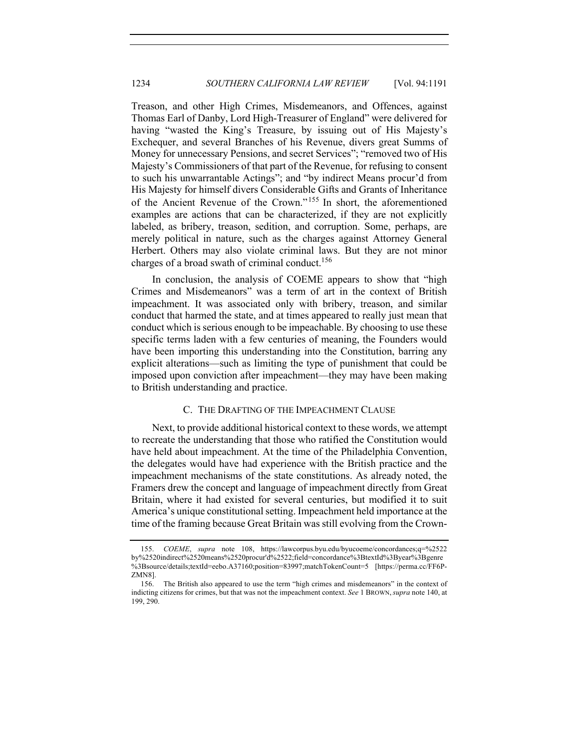Treason, and other High Crimes, Misdemeanors, and Offences, against Thomas Earl of Danby, Lord High-Treasurer of England" were delivered for having "wasted the King's Treasure, by issuing out of His Majesty's Exchequer, and several Branches of his Revenue, divers great Summs of Money for unnecessary Pensions, and secret Services"; "removed two of His Majesty's Commissioners of that part of the Revenue, for refusing to consent to such his unwarrantable Actings"; and "by indirect Means procur'd from His Majesty for himself divers Considerable Gifts and Grants of Inheritance of the Ancient Revenue of the Crown." <sup>155</sup> In short, the aforementioned examples are actions that can be characterized, if they are not explicitly labeled, as bribery, treason, sedition, and corruption. Some, perhaps, are merely political in nature, such as the charges against Attorney General Herbert. Others may also violate criminal laws. But they are not minor charges of a broad swath of criminal conduct.<sup>156</sup>

In conclusion, the analysis of COEME appears to show that "high Crimes and Misdemeanors" was a term of art in the context of British impeachment. It was associated only with bribery, treason, and similar conduct that harmed the state, and at times appeared to really just mean that conduct which is serious enough to be impeachable. By choosing to use these specific terms laden with a few centuries of meaning, the Founders would have been importing this understanding into the Constitution, barring any explicit alterations—such as limiting the type of punishment that could be imposed upon conviction after impeachment—they may have been making to British understanding and practice.

# C. THE DRAFTING OF THE IMPEACHMENT CLAUSE

Next, to provide additional historical context to these words, we attempt to recreate the understanding that those who ratified the Constitution would have held about impeachment. At the time of the Philadelphia Convention, the delegates would have had experience with the British practice and the impeachment mechanisms of the state constitutions. As already noted, the Framers drew the concept and language of impeachment directly from Great Britain, where it had existed for several centuries, but modified it to suit America's unique constitutional setting. Impeachment held importance at the time of the framing because Great Britain was still evolving from the Crown-

<sup>155.</sup> *COEME*, *supra* note 108, https://lawcorpus.byu.edu/byucoeme/concordances;q=%2522 by%2520indirect%2520means%2520procur'd%2522;field=concordance%3BtextId%3Byear%3Bgenre %3Bsource/details;textId=eebo.A37160;position=83997;matchTokenCount=5 [https://perma.cc/FF6P-ZMN8].

<sup>156.</sup> The British also appeared to use the term "high crimes and misdemeanors" in the context of indicting citizens for crimes, but that was not the impeachment context. *See* 1 BROWN,*supra* note 140, at 199, 290.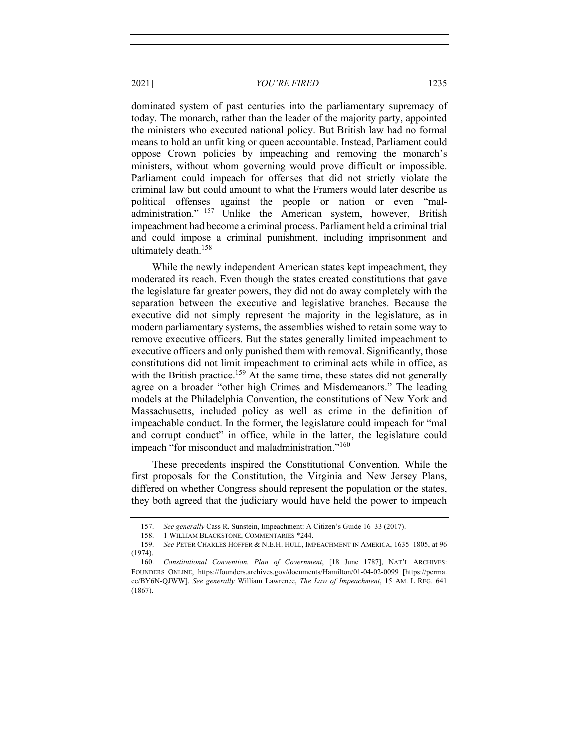dominated system of past centuries into the parliamentary supremacy of today. The monarch, rather than the leader of the majority party, appointed the ministers who executed national policy. But British law had no formal means to hold an unfit king or queen accountable. Instead, Parliament could oppose Crown policies by impeaching and removing the monarch's ministers, without whom governing would prove difficult or impossible. Parliament could impeach for offenses that did not strictly violate the criminal law but could amount to what the Framers would later describe as political offenses against the people or nation or even "maladministration." <sup>157</sup> Unlike the American system, however, British impeachment had become a criminal process. Parliament held a criminal trial and could impose a criminal punishment, including imprisonment and ultimately death.<sup>158</sup>

While the newly independent American states kept impeachment, they moderated its reach. Even though the states created constitutions that gave the legislature far greater powers, they did not do away completely with the separation between the executive and legislative branches. Because the executive did not simply represent the majority in the legislature, as in modern parliamentary systems, the assemblies wished to retain some way to remove executive officers. But the states generally limited impeachment to executive officers and only punished them with removal. Significantly, those constitutions did not limit impeachment to criminal acts while in office, as with the British practice.<sup>159</sup> At the same time, these states did not generally agree on a broader "other high Crimes and Misdemeanors." The leading models at the Philadelphia Convention, the constitutions of New York and Massachusetts, included policy as well as crime in the definition of impeachable conduct. In the former, the legislature could impeach for "mal and corrupt conduct" in office, while in the latter, the legislature could impeach "for misconduct and maladministration."<sup>160</sup>

These precedents inspired the Constitutional Convention. While the first proposals for the Constitution, the Virginia and New Jersey Plans, differed on whether Congress should represent the population or the states, they both agreed that the judiciary would have held the power to impeach

<sup>157.</sup> *See generally* Cass R. Sunstein, Impeachment: A Citizen's Guide 16–33 (2017).

<sup>158.</sup> 1 WILLIAM BLACKSTONE, COMMENTARIES \*244.

<sup>159.</sup> *See* PETER CHARLES HOFFER & N.E.H. HULL, IMPEACHMENT IN AMERICA, 1635–1805, at 96 (1974).

<sup>160.</sup> *Constitutional Convention. Plan of Government*, [18 June 1787], NAT'L ARCHIVES: FOUNDERS ONLINE, https://founders.archives.gov/documents/Hamilton/01-04-02-0099 [https://perma. cc/BY6N-QJWW]. *See generally* William Lawrence, *The Law of Impeachment*, 15 AM. L REG. 641 (1867).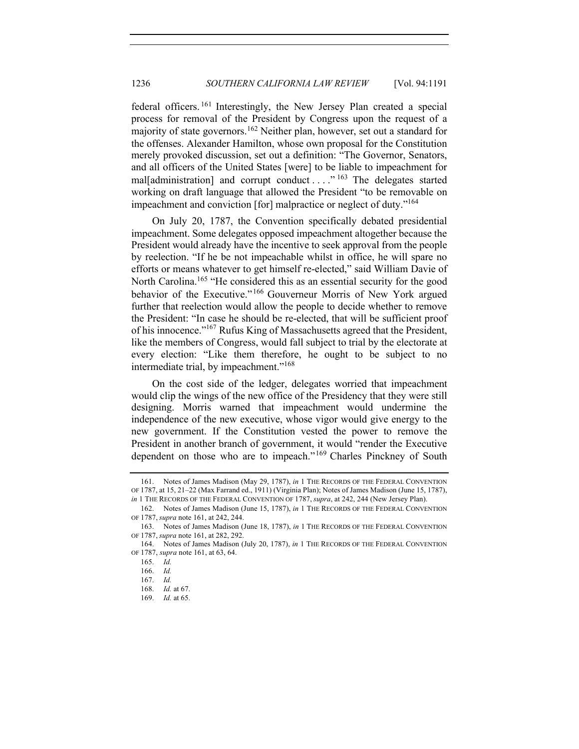federal officers. <sup>161</sup> Interestingly, the New Jersey Plan created a special process for removal of the President by Congress upon the request of a majority of state governors.<sup>162</sup> Neither plan, however, set out a standard for the offenses. Alexander Hamilton, whose own proposal for the Constitution merely provoked discussion, set out a definition: "The Governor, Senators, and all officers of the United States [were] to be liable to impeachment for mal[administration] and corrupt conduct . . . ." <sup>163</sup> The delegates started working on draft language that allowed the President "to be removable on impeachment and conviction [for] malpractice or neglect of duty."<sup>164</sup>

On July 20, 1787, the Convention specifically debated presidential impeachment. Some delegates opposed impeachment altogether because the President would already have the incentive to seek approval from the people by reelection. "If he be not impeachable whilst in office, he will spare no efforts or means whatever to get himself re-elected," said William Davie of North Carolina.<sup>165</sup> "He considered this as an essential security for the good behavior of the Executive."<sup>166</sup> Gouverneur Morris of New York argued further that reelection would allow the people to decide whether to remove the President: "In case he should be re-elected, that will be sufficient proof of his innocence."167 Rufus King of Massachusetts agreed that the President, like the members of Congress, would fall subject to trial by the electorate at every election: "Like them therefore, he ought to be subject to no intermediate trial, by impeachment."<sup>168</sup>

On the cost side of the ledger, delegates worried that impeachment would clip the wings of the new office of the Presidency that they were still designing. Morris warned that impeachment would undermine the independence of the new executive, whose vigor would give energy to the new government. If the Constitution vested the power to remove the President in another branch of government, it would "render the Executive dependent on those who are to impeach."<sup>169</sup> Charles Pinckney of South

<sup>161.</sup> Notes of James Madison (May 29, 1787), *in* 1 THE RECORDS OF THE FEDERAL CONVENTION OF 1787, at 15, 21–22 (Max Farrand ed., 1911) (Virginia Plan); Notes of James Madison (June 15, 1787),

*in* 1 THE RECORDS OF THE FEDERAL CONVENTION OF 1787, *supra*, at 242, 244 (New Jersey Plan).

<sup>162.</sup> Notes of James Madison (June 15, 1787), *in* 1 THE RECORDS OF THE FEDERAL CONVENTION OF 1787, *supra* note 161, at 242, 244.

<sup>163.</sup> Notes of James Madison (June 18, 1787), *in* 1 THE RECORDS OF THE FEDERAL CONVENTION OF 1787, *supra* note 161, at 282, 292.

<sup>164.</sup> Notes of James Madison (July 20, 1787), *in* 1 THE RECORDS OF THE FEDERAL CONVENTION OF 1787, *supra* note 161, at 63, 64.

<sup>165.</sup> *Id.*

<sup>166.</sup> *Id.*

<sup>167.</sup> *Id.*

<sup>168.</sup> *Id.* at 67.

<sup>169.</sup> *Id.* at 65.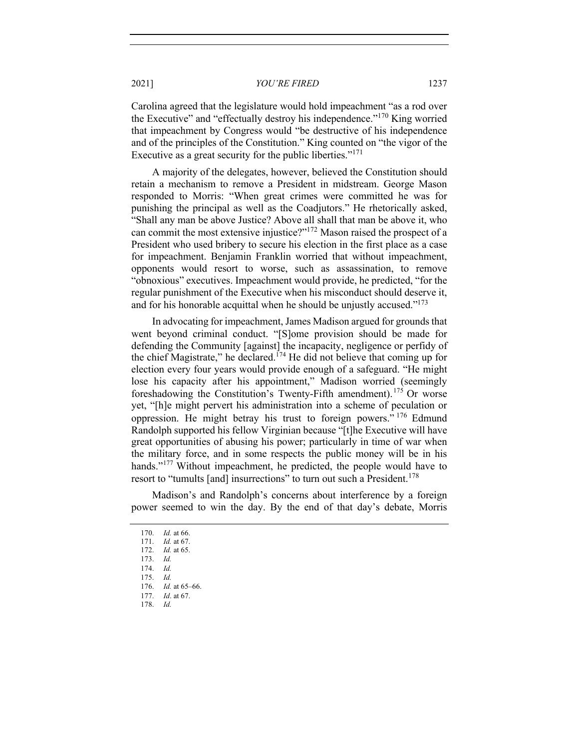Carolina agreed that the legislature would hold impeachment "as a rod over the Executive" and "effectually destroy his independence."<sup>170</sup> King worried that impeachment by Congress would "be destructive of his independence and of the principles of the Constitution." King counted on "the vigor of the Executive as a great security for the public liberties."<sup>171</sup>

A majority of the delegates, however, believed the Constitution should retain a mechanism to remove a President in midstream. George Mason responded to Morris: "When great crimes were committed he was for punishing the principal as well as the Coadjutors." He rhetorically asked, "Shall any man be above Justice? Above all shall that man be above it, who can commit the most extensive injustice?"172 Mason raised the prospect of a President who used bribery to secure his election in the first place as a case for impeachment. Benjamin Franklin worried that without impeachment, opponents would resort to worse, such as assassination, to remove "obnoxious" executives. Impeachment would provide, he predicted, "for the regular punishment of the Executive when his misconduct should deserve it, and for his honorable acquittal when he should be unjustly accused." $173$ 

In advocating for impeachment, James Madison argued for grounds that went beyond criminal conduct. "[S]ome provision should be made for defending the Community [against] the incapacity, negligence or perfidy of the chief Magistrate," he declared.<sup> $174$ </sup> He did not believe that coming up for election every four years would provide enough of a safeguard. "He might lose his capacity after his appointment," Madison worried (seemingly foreshadowing the Constitution's Twenty-Fifth amendment).<sup>175</sup> Or worse yet, "[h]e might pervert his administration into a scheme of peculation or oppression. He might betray his trust to foreign powers." <sup>176</sup> Edmund Randolph supported his fellow Virginian because "[t]he Executive will have great opportunities of abusing his power; particularly in time of war when the military force, and in some respects the public money will be in his hands."<sup>177</sup> Without impeachment, he predicted, the people would have to resort to "tumults [and] insurrections" to turn out such a President.<sup>178</sup>

Madison's and Randolph's concerns about interference by a foreign power seemed to win the day. By the end of that day's debate, Morris

<sup>170.</sup> *Id.* at 66. 171. *Id.* at 67. 172. *Id.* at 65. 173. *Id.* 174. *Id.* 175. *Id.* 176. *Id.* at 65–66.

<sup>177.</sup> *Id*. at 67.

<sup>178.</sup> *Id.*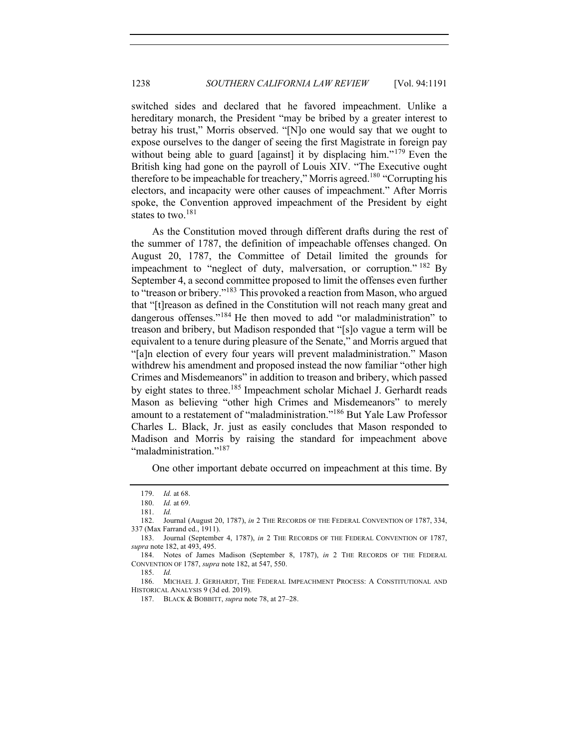switched sides and declared that he favored impeachment. Unlike a hereditary monarch, the President "may be bribed by a greater interest to betray his trust," Morris observed. "[N]o one would say that we ought to expose ourselves to the danger of seeing the first Magistrate in foreign pay without being able to guard [against] it by displacing him."<sup>179</sup> Even the British king had gone on the payroll of Louis XIV. "The Executive ought therefore to be impeachable for treachery," Morris agreed.<sup>180</sup> "Corrupting his electors, and incapacity were other causes of impeachment." After Morris spoke, the Convention approved impeachment of the President by eight states to two. $^{181}$ 

As the Constitution moved through different drafts during the rest of the summer of 1787, the definition of impeachable offenses changed. On August 20, 1787, the Committee of Detail limited the grounds for impeachment to "neglect of duty, malversation, or corruption."  $182$  By September 4, a second committee proposed to limit the offenses even further to "treason or bribery."<sup>183</sup> This provoked a reaction from Mason, who argued that "[t]reason as defined in the Constitution will not reach many great and dangerous offenses."<sup>184</sup> He then moved to add "or maladministration" to treason and bribery, but Madison responded that "[s]o vague a term will be equivalent to a tenure during pleasure of the Senate," and Morris argued that "[a]n election of every four years will prevent maladministration." Mason withdrew his amendment and proposed instead the now familiar "other high Crimes and Misdemeanors" in addition to treason and bribery, which passed by eight states to three.<sup>185</sup> Impeachment scholar Michael J. Gerhardt reads Mason as believing "other high Crimes and Misdemeanors" to merely amount to a restatement of "maladministration."186 But Yale Law Professor Charles L. Black, Jr. just as easily concludes that Mason responded to Madison and Morris by raising the standard for impeachment above "maladministration."<sup>187</sup>

One other important debate occurred on impeachment at this time. By

186. MICHAEL J. GERHARDT, THE FEDERAL IMPEACHMENT PROCESS: A CONSTITUTIONAL AND HISTORICAL ANALYSIS 9 (3d ed. 2019).

<sup>179.</sup> *Id.* at 68.

<sup>180.</sup> *Id.* at 69.

<sup>181.</sup> *Id.*

<sup>182.</sup> Journal (August 20, 1787), *in* 2 THE RECORDS OF THE FEDERAL CONVENTION OF 1787, 334, 337 (Max Farrand ed., 1911).

<sup>183.</sup> Journal (September 4, 1787), *in* 2 THE RECORDS OF THE FEDERAL CONVENTION OF 1787, *supra* note 182, at 493, 495.

<sup>184.</sup> Notes of James Madison (September 8, 1787), *in* 2 THE RECORDS OF THE FEDERAL CONVENTION OF 1787, *supra* note 182, at 547, 550.

<sup>185.</sup> *Id.*

<sup>187.</sup> BLACK & BOBBITT, *supra* note 78, at 27–28.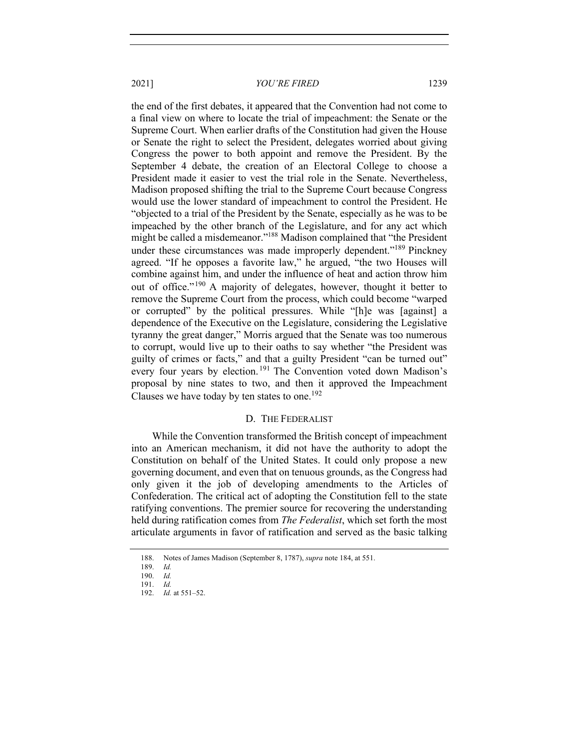the end of the first debates, it appeared that the Convention had not come to a final view on where to locate the trial of impeachment: the Senate or the Supreme Court. When earlier drafts of the Constitution had given the House or Senate the right to select the President, delegates worried about giving Congress the power to both appoint and remove the President. By the September 4 debate, the creation of an Electoral College to choose a President made it easier to vest the trial role in the Senate. Nevertheless, Madison proposed shifting the trial to the Supreme Court because Congress would use the lower standard of impeachment to control the President. He "objected to a trial of the President by the Senate, especially as he was to be impeached by the other branch of the Legislature, and for any act which might be called a misdemeanor."188 Madison complained that "the President under these circumstances was made improperly dependent."<sup>189</sup> Pinckney agreed. "If he opposes a favorite law," he argued, "the two Houses will combine against him, and under the influence of heat and action throw him out of office."<sup>190</sup> A majority of delegates, however, thought it better to remove the Supreme Court from the process, which could become "warped or corrupted" by the political pressures. While "[h]e was [against] a dependence of the Executive on the Legislature, considering the Legislative tyranny the great danger," Morris argued that the Senate was too numerous to corrupt, would live up to their oaths to say whether "the President was guilty of crimes or facts," and that a guilty President "can be turned out" every four years by election.<sup>191</sup> The Convention voted down Madison's proposal by nine states to two, and then it approved the Impeachment Clauses we have today by ten states to one. 192

#### D. THE FEDERALIST

While the Convention transformed the British concept of impeachment into an American mechanism, it did not have the authority to adopt the Constitution on behalf of the United States. It could only propose a new governing document, and even that on tenuous grounds, as the Congress had only given it the job of developing amendments to the Articles of Confederation. The critical act of adopting the Constitution fell to the state ratifying conventions. The premier source for recovering the understanding held during ratification comes from *The Federalist*, which set forth the most articulate arguments in favor of ratification and served as the basic talking

<sup>188.</sup> Notes of James Madison (September 8, 1787), *supra* note 184, at 551.

<sup>189.</sup> *Id.*

<sup>190.</sup> *Id.* 191. *Id.*

<sup>192.</sup> *Id.* at 551–52.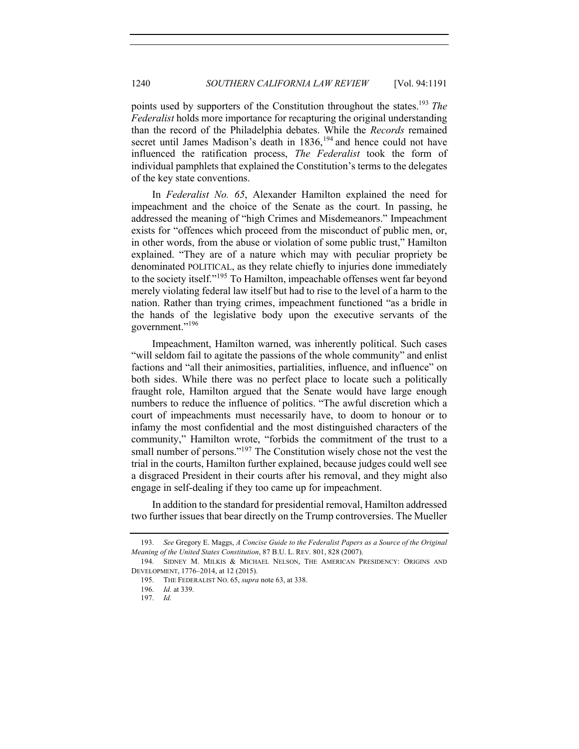points used by supporters of the Constitution throughout the states.<sup>193</sup> *The Federalist* holds more importance for recapturing the original understanding than the record of the Philadelphia debates. While the *Records* remained secret until James Madison's death in  $1836$ ,  $194$  and hence could not have influenced the ratification process, *The Federalist* took the form of individual pamphlets that explained the Constitution's terms to the delegates of the key state conventions.

In *Federalist No. 65*, Alexander Hamilton explained the need for impeachment and the choice of the Senate as the court. In passing, he addressed the meaning of "high Crimes and Misdemeanors." Impeachment exists for "offences which proceed from the misconduct of public men, or, in other words, from the abuse or violation of some public trust," Hamilton explained. "They are of a nature which may with peculiar propriety be denominated POLITICAL, as they relate chiefly to injuries done immediately to the society itself."<sup>195</sup> To Hamilton, impeachable offenses went far beyond merely violating federal law itself but had to rise to the level of a harm to the nation. Rather than trying crimes, impeachment functioned "as a bridle in the hands of the legislative body upon the executive servants of the government."<sup>196</sup>

Impeachment, Hamilton warned, was inherently political. Such cases "will seldom fail to agitate the passions of the whole community" and enlist factions and "all their animosities, partialities, influence, and influence" on both sides. While there was no perfect place to locate such a politically fraught role, Hamilton argued that the Senate would have large enough numbers to reduce the influence of politics. "The awful discretion which a court of impeachments must necessarily have, to doom to honour or to infamy the most confidential and the most distinguished characters of the community," Hamilton wrote, "forbids the commitment of the trust to a small number of persons."<sup>197</sup> The Constitution wisely chose not the vest the trial in the courts, Hamilton further explained, because judges could well see a disgraced President in their courts after his removal, and they might also engage in self-dealing if they too came up for impeachment.

In addition to the standard for presidential removal, Hamilton addressed two further issues that bear directly on the Trump controversies. The Mueller

<sup>193.</sup> *See* Gregory E. Maggs, *A Concise Guide to the Federalist Papers as a Source of the Original Meaning of the United States Constitution*, 87 B.U. L. REV. 801, 828 (2007).

<sup>194.</sup> SIDNEY M. MILKIS & MICHAEL NELSON, THE AMERICAN PRESIDENCY: ORIGINS AND DEVELOPMENT, 1776–2014, at 12 (2015).

<sup>195.</sup> THE FEDERALIST NO. 65, *supra* note 63, at 338.

<sup>196.</sup> *Id.* at 339.

<sup>197.</sup> *Id.*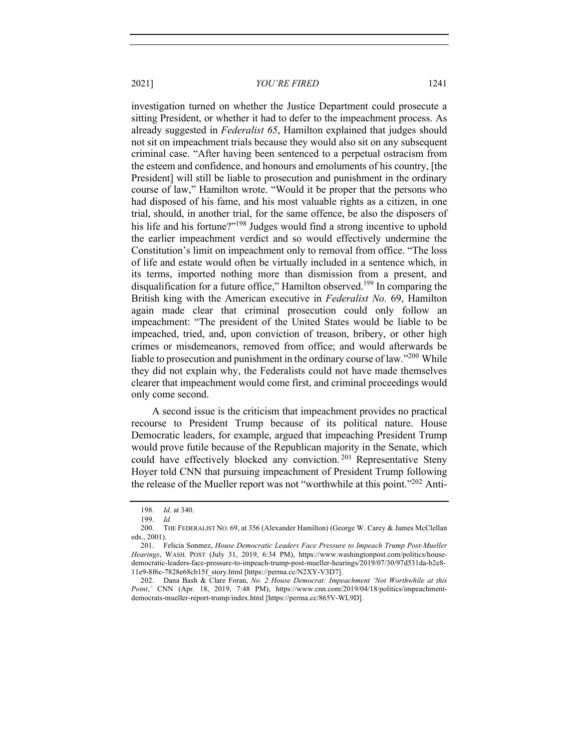investigation turned on whether the Justice Department could prosecute a sitting President, or whether it had to defer to the impeachment process. As already suggested in *Federalist 65*, Hamilton explained that judges should not sit on impeachment trials because they would also sit on any subsequent criminal case. "After having been sentenced to a perpetual ostracism from the esteem and confidence, and honours and emoluments of his country, [the President] will still be liable to prosecution and punishment in the ordinary course of law," Hamilton wrote. "Would it be proper that the persons who had disposed of his fame, and his most valuable rights as a citizen, in one trial, should, in another trial, for the same offence, be also the disposers of his life and his fortune?"<sup>198</sup> Judges would find a strong incentive to uphold the earlier impeachment verdict and so would effectively undermine the Constitution's limit on impeachment only to removal from office. "The loss of life and estate would often be virtually included in a sentence which, in its terms, imported nothing more than dismission from a present, and disqualification for a future office," Hamilton observed.<sup>199</sup> In comparing the British king with the American executive in *Federalist No.* 69, Hamilton again made clear that criminal prosecution could only follow an impeachment: "The president of the United States would be liable to be impeached, tried, and, upon conviction of treason, bribery, or other high crimes or misdemeanors, removed from office; and would afterwards be liable to prosecution and punishment in the ordinary course of law."<sup>200</sup> While they did not explain why, the Federalists could not have made themselves clearer that impeachment would come first, and criminal proceedings would only come second.

A second issue is the criticism that impeachment provides no practical recourse to President Trump because of its political nature. House Democratic leaders, for example, argued that impeaching President Trump would prove futile because of the Republican majority in the Senate, which could have effectively blocked any conviction.<sup>201</sup> Representative Steny Hoyer told CNN that pursuing impeachment of President Trump following the release of the Mueller report was not "worthwhile at this point."<sup>202</sup> Anti-

<sup>198.</sup> *Id.* at 340.

<sup>199.</sup> *Id.*

<sup>200.</sup> THE FEDERALIST NO. 69, at 356 (Alexander Hamilton) (George W. Carey & James McClellan eds., 2001).

<sup>201.</sup> Felicia Sonmez, *House Democratic Leaders Face Pressure to Impeach Trump Post-Mueller Hearings*, WASH. POST (July 31, 2019, 6:34 PM), https://www.washingtonpost.com/politics/housedemocratic-leaders-face-pressure-to-impeach-trump-post-mueller-hearings/2019/07/30/97d531da-b2e8- 11e9-8f6c-7828e68cb15f\_story.html [https://perma.cc/N2XY-V3D7].

<sup>202.</sup> Dana Bash & Clare Foran, *No. 2 House Democrat: Impeachment 'Not Worthwhile at this Point*,*'* CNN (Apr. 18, 2019, 7:48 PM), https://www.cnn.com/2019/04/18/politics/impeachmentdemocrats-mueller-report-trump/index.html [https://perma.cc/865V-WL9D].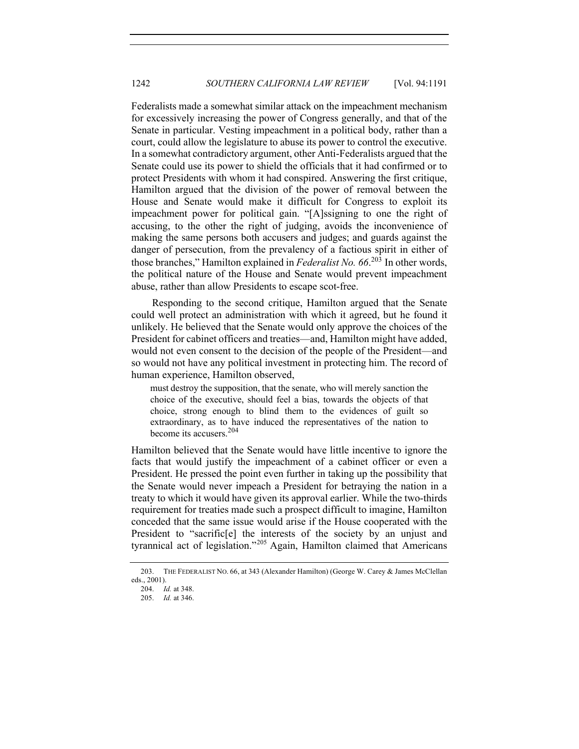Federalists made a somewhat similar attack on the impeachment mechanism for excessively increasing the power of Congress generally, and that of the Senate in particular. Vesting impeachment in a political body, rather than a court, could allow the legislature to abuse its power to control the executive. In a somewhat contradictory argument, other Anti-Federalists argued that the Senate could use its power to shield the officials that it had confirmed or to protect Presidents with whom it had conspired. Answering the first critique, Hamilton argued that the division of the power of removal between the House and Senate would make it difficult for Congress to exploit its impeachment power for political gain. "[A]ssigning to one the right of accusing, to the other the right of judging, avoids the inconvenience of making the same persons both accusers and judges; and guards against the danger of persecution, from the prevalency of a factious spirit in either of those branches," Hamilton explained in *Federalist No. 66*. <sup>203</sup> In other words, the political nature of the House and Senate would prevent impeachment abuse, rather than allow Presidents to escape scot-free.

Responding to the second critique, Hamilton argued that the Senate could well protect an administration with which it agreed, but he found it unlikely. He believed that the Senate would only approve the choices of the President for cabinet officers and treaties—and, Hamilton might have added, would not even consent to the decision of the people of the President—and so would not have any political investment in protecting him. The record of human experience, Hamilton observed,

must destroy the supposition, that the senate, who will merely sanction the choice of the executive, should feel a bias, towards the objects of that choice, strong enough to blind them to the evidences of guilt so extraordinary, as to have induced the representatives of the nation to become its accusers.<sup>204</sup>

Hamilton believed that the Senate would have little incentive to ignore the facts that would justify the impeachment of a cabinet officer or even a President. He pressed the point even further in taking up the possibility that the Senate would never impeach a President for betraying the nation in a treaty to which it would have given its approval earlier. While the two-thirds requirement for treaties made such a prospect difficult to imagine, Hamilton conceded that the same issue would arise if the House cooperated with the President to "sacrific<sup>[e]</sup> the interests of the society by an unjust and tyrannical act of legislation."<sup>205</sup> Again, Hamilton claimed that Americans

<sup>203.</sup> THE FEDERALIST NO. 66, at 343 (Alexander Hamilton) (George W. Carey & James McClellan eds., 2001).

<sup>204.</sup> *Id.* at 348.

<sup>205.</sup> *Id.* at 346.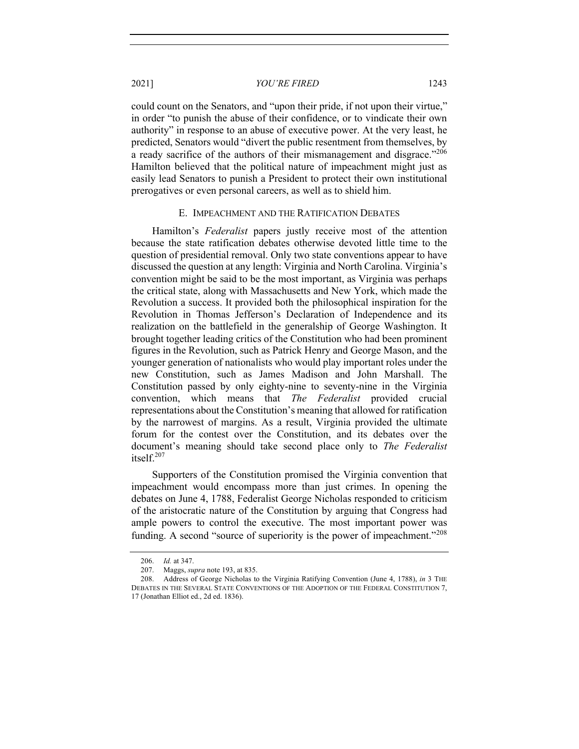could count on the Senators, and "upon their pride, if not upon their virtue," in order "to punish the abuse of their confidence, or to vindicate their own authority" in response to an abuse of executive power. At the very least, he predicted, Senators would "divert the public resentment from themselves, by a ready sacrifice of the authors of their mismanagement and disgrace."<sup>206</sup> Hamilton believed that the political nature of impeachment might just as easily lead Senators to punish a President to protect their own institutional prerogatives or even personal careers, as well as to shield him.

## E. IMPEACHMENT AND THE RATIFICATION DEBATES

Hamilton's *Federalist* papers justly receive most of the attention because the state ratification debates otherwise devoted little time to the question of presidential removal. Only two state conventions appear to have discussed the question at any length: Virginia and North Carolina. Virginia's convention might be said to be the most important, as Virginia was perhaps the critical state, along with Massachusetts and New York, which made the Revolution a success. It provided both the philosophical inspiration for the Revolution in Thomas Jefferson's Declaration of Independence and its realization on the battlefield in the generalship of George Washington. It brought together leading critics of the Constitution who had been prominent figures in the Revolution, such as Patrick Henry and George Mason, and the younger generation of nationalists who would play important roles under the new Constitution, such as James Madison and John Marshall. The Constitution passed by only eighty-nine to seventy-nine in the Virginia convention, which means that *The Federalist* provided crucial representations about the Constitution's meaning that allowed for ratification by the narrowest of margins. As a result, Virginia provided the ultimate forum for the contest over the Constitution, and its debates over the document's meaning should take second place only to *The Federalist* itself.<sup>207</sup>

Supporters of the Constitution promised the Virginia convention that impeachment would encompass more than just crimes. In opening the debates on June 4, 1788, Federalist George Nicholas responded to criticism of the aristocratic nature of the Constitution by arguing that Congress had ample powers to control the executive. The most important power was funding. A second "source of superiority is the power of impeachment."<sup>208</sup>

<sup>206.</sup> *Id.* at 347.

<sup>207.</sup> Maggs, *supra* note 193, at 835.

<sup>208.</sup> Address of George Nicholas to the Virginia Ratifying Convention (June 4, 1788), *in* 3 THE DEBATES IN THE SEVERAL STATE CONVENTIONS OF THE ADOPTION OF THE FEDERAL CONSTITUTION 7, 17 (Jonathan Elliot ed., 2d ed. 1836).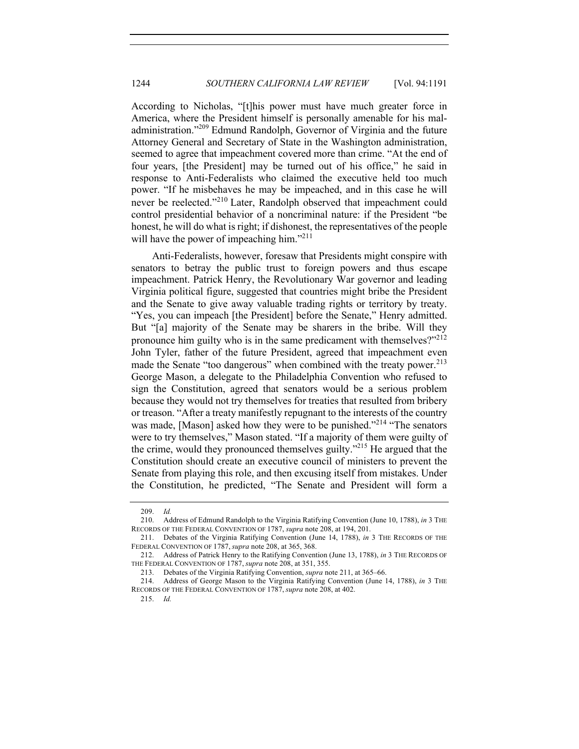According to Nicholas, "[t]his power must have much greater force in America, where the President himself is personally amenable for his maladministration."<sup>209</sup> Edmund Randolph, Governor of Virginia and the future Attorney General and Secretary of State in the Washington administration, seemed to agree that impeachment covered more than crime. "At the end of four years, [the President] may be turned out of his office," he said in response to Anti-Federalists who claimed the executive held too much power. "If he misbehaves he may be impeached, and in this case he will never be reelected."<sup>210</sup> Later, Randolph observed that impeachment could control presidential behavior of a noncriminal nature: if the President "be honest, he will do what is right; if dishonest, the representatives of the people will have the power of impeaching him."<sup>211</sup>

Anti-Federalists, however, foresaw that Presidents might conspire with senators to betray the public trust to foreign powers and thus escape impeachment. Patrick Henry, the Revolutionary War governor and leading Virginia political figure, suggested that countries might bribe the President and the Senate to give away valuable trading rights or territory by treaty. "Yes, you can impeach [the President] before the Senate," Henry admitted. But "[a] majority of the Senate may be sharers in the bribe. Will they pronounce him guilty who is in the same predicament with themselves?"<sup>212</sup> John Tyler, father of the future President, agreed that impeachment even made the Senate "too dangerous" when combined with the treaty power.<sup>213</sup> George Mason, a delegate to the Philadelphia Convention who refused to sign the Constitution, agreed that senators would be a serious problem because they would not try themselves for treaties that resulted from bribery or treason. "After a treaty manifestly repugnant to the interests of the country was made, [Mason] asked how they were to be punished."<sup>214</sup> "The senators" were to try themselves," Mason stated. "If a majority of them were guilty of the crime, would they pronounced themselves guilty."<sup>215</sup> He argued that the Constitution should create an executive council of ministers to prevent the Senate from playing this role, and then excusing itself from mistakes. Under the Constitution, he predicted, "The Senate and President will form a

<sup>209.</sup> *Id.*

<sup>210.</sup> Address of Edmund Randolph to the Virginia Ratifying Convention (June 10, 1788), *in* 3 THE RECORDS OF THE FEDERAL CONVENTION OF 1787, *supra* note 208, at 194, 201.

<sup>211.</sup> Debates of the Virginia Ratifying Convention (June 14, 1788), *in* 3 THE RECORDS OF THE FEDERAL CONVENTION OF 1787, *supra* note 208, at 365, 368.

<sup>212.</sup> Address of Patrick Henry to the Ratifying Convention (June 13, 1788), *in* 3 THE RECORDS OF THE FEDERAL CONVENTION OF 1787, *supra* note 208, at 351, 355.

<sup>213.</sup> Debates of the Virginia Ratifying Convention, *supra* note 211, at 365–66.

<sup>214.</sup> Address of George Mason to the Virginia Ratifying Convention (June 14, 1788), *in* 3 THE RECORDS OF THE FEDERAL CONVENTION OF 1787, *supra* note 208, at 402.

<sup>215.</sup> *Id.*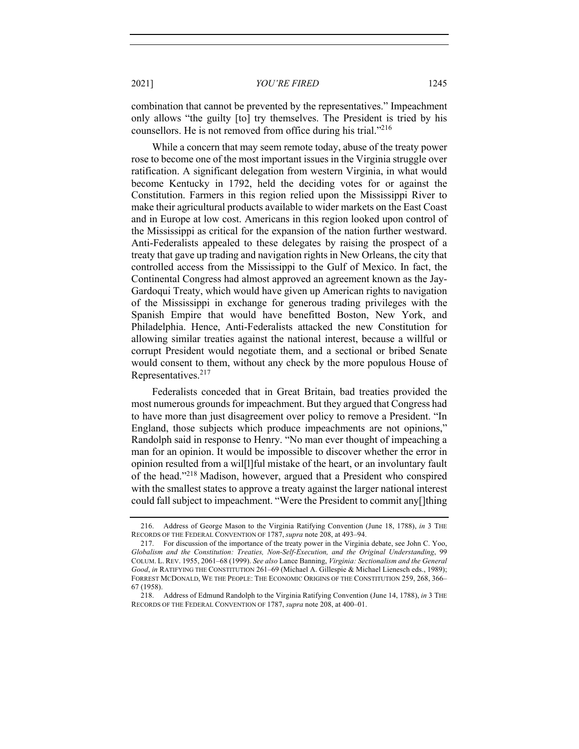combination that cannot be prevented by the representatives." Impeachment only allows "the guilty [to] try themselves. The President is tried by his counsellors. He is not removed from office during his trial."<sup>216</sup>

While a concern that may seem remote today, abuse of the treaty power rose to become one of the most important issues in the Virginia struggle over ratification. A significant delegation from western Virginia, in what would become Kentucky in 1792, held the deciding votes for or against the Constitution. Farmers in this region relied upon the Mississippi River to make their agricultural products available to wider markets on the East Coast and in Europe at low cost. Americans in this region looked upon control of the Mississippi as critical for the expansion of the nation further westward. Anti-Federalists appealed to these delegates by raising the prospect of a treaty that gave up trading and navigation rights in New Orleans, the city that controlled access from the Mississippi to the Gulf of Mexico. In fact, the Continental Congress had almost approved an agreement known as the Jay-Gardoqui Treaty, which would have given up American rights to navigation of the Mississippi in exchange for generous trading privileges with the Spanish Empire that would have benefitted Boston, New York, and Philadelphia. Hence, Anti-Federalists attacked the new Constitution for allowing similar treaties against the national interest, because a willful or corrupt President would negotiate them, and a sectional or bribed Senate would consent to them, without any check by the more populous House of Representatives.<sup>217</sup>

Federalists conceded that in Great Britain, bad treaties provided the most numerous grounds for impeachment. But they argued that Congress had to have more than just disagreement over policy to remove a President. "In England, those subjects which produce impeachments are not opinions," Randolph said in response to Henry. "No man ever thought of impeaching a man for an opinion. It would be impossible to discover whether the error in opinion resulted from a wil[l]ful mistake of the heart, or an involuntary fault of the head."218 Madison, however, argued that a President who conspired with the smallest states to approve a treaty against the larger national interest could fall subject to impeachment. "Were the President to commit any[]thing

<sup>216.</sup> Address of George Mason to the Virginia Ratifying Convention (June 18, 1788), *in* 3 THE RECORDS OF THE FEDERAL CONVENTION OF 1787, *supra* note 208, at 493–94.

<sup>217.</sup> For discussion of the importance of the treaty power in the Virginia debate, see John C. Yoo, *Globalism and the Constitution: Treaties, Non-Self-Execution, and the Original Understanding*, 99 COLUM. L. REV. 1955, 2061–68 (1999). *See also* Lance Banning, *Virginia: Sectionalism and the General Good*, *in* RATIFYING THE CONSTITUTION 261–69 (Michael A. Gillespie & Michael Lienesch eds., 1989); FORREST MCDONALD, WE THE PEOPLE: THE ECONOMIC ORIGINS OF THE CONSTITUTION 259, 268, 366– 67 (1958).

<sup>218.</sup> Address of Edmund Randolph to the Virginia Ratifying Convention (June 14, 1788), *in* 3 THE RECORDS OF THE FEDERAL CONVENTION OF 1787, *supra* note 208, at 400–01.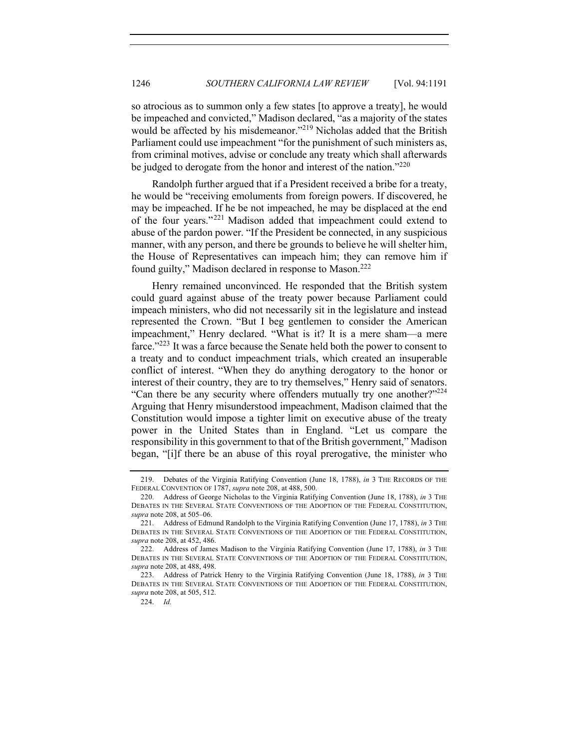so atrocious as to summon only a few states [to approve a treaty], he would be impeached and convicted," Madison declared, "as a majority of the states would be affected by his misdemeanor."<sup>219</sup> Nicholas added that the British Parliament could use impeachment "for the punishment of such ministers as, from criminal motives, advise or conclude any treaty which shall afterwards be judged to derogate from the honor and interest of the nation."<sup>220</sup>

Randolph further argued that if a President received a bribe for a treaty, he would be "receiving emoluments from foreign powers. If discovered, he may be impeached. If he be not impeached, he may be displaced at the end of the four years."<sup>221</sup> Madison added that impeachment could extend to abuse of the pardon power. "If the President be connected, in any suspicious manner, with any person, and there be grounds to believe he will shelter him, the House of Representatives can impeach him; they can remove him if found guilty," Madison declared in response to Mason.<sup>222</sup>

Henry remained unconvinced. He responded that the British system could guard against abuse of the treaty power because Parliament could impeach ministers, who did not necessarily sit in the legislature and instead represented the Crown. "But I beg gentlemen to consider the American impeachment," Henry declared. "What is it? It is a mere sham—a mere farce."223 It was a farce because the Senate held both the power to consent to a treaty and to conduct impeachment trials, which created an insuperable conflict of interest. "When they do anything derogatory to the honor or interest of their country, they are to try themselves," Henry said of senators. "Can there be any security where offenders mutually try one another?"<sup>224</sup> Arguing that Henry misunderstood impeachment, Madison claimed that the Constitution would impose a tighter limit on executive abuse of the treaty power in the United States than in England. "Let us compare the responsibility in this government to that of the British government," Madison began, "[i]f there be an abuse of this royal prerogative, the minister who

<sup>219.</sup> Debates of the Virginia Ratifying Convention (June 18, 1788), *in* 3 THE RECORDS OF THE FEDERAL CONVENTION OF 1787, *supra* note 208, at 488, 500.

<sup>220.</sup> Address of George Nicholas to the Virginia Ratifying Convention (June 18, 1788), *in* 3 THE DEBATES IN THE SEVERAL STATE CONVENTIONS OF THE ADOPTION OF THE FEDERAL CONSTITUTION, *supra* note 208, at 505–06.

<sup>221.</sup> Address of Edmund Randolph to the Virginia Ratifying Convention (June 17, 1788), *in* 3 THE DEBATES IN THE SEVERAL STATE CONVENTIONS OF THE ADOPTION OF THE FEDERAL CONSTITUTION, *supra* note 208, at 452, 486.

<sup>222.</sup> Address of James Madison to the Virginia Ratifying Convention (June 17, 1788), *in* 3 THE DEBATES IN THE SEVERAL STATE CONVENTIONS OF THE ADOPTION OF THE FEDERAL CONSTITUTION, *supra* note 208, at 488, 498.

<sup>223.</sup> Address of Patrick Henry to the Virginia Ratifying Convention (June 18, 1788), *in* 3 THE DEBATES IN THE SEVERAL STATE CONVENTIONS OF THE ADOPTION OF THE FEDERAL CONSTITUTION, *supra* note 208, at 505, 512.

<sup>224.</sup> *Id.*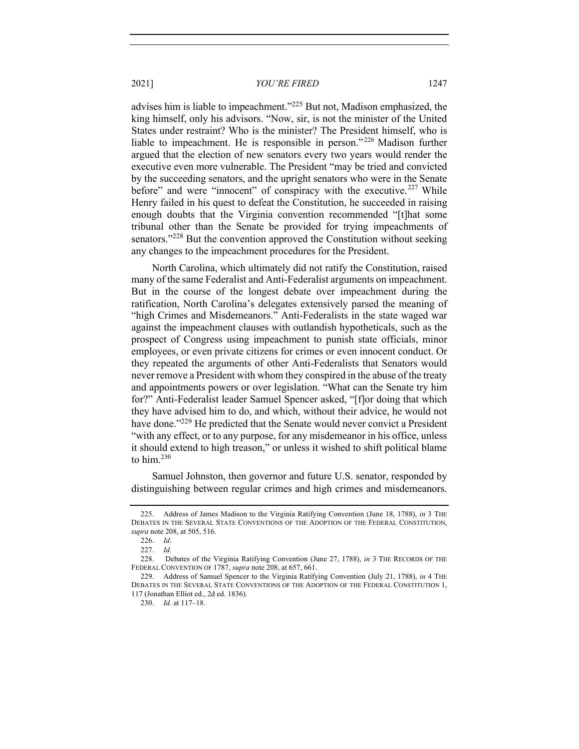advises him is liable to impeachment."225 But not, Madison emphasized, the king himself, only his advisors. "Now, sir, is not the minister of the United States under restraint? Who is the minister? The President himself, who is liable to impeachment. He is responsible in person."<sup>226</sup> Madison further argued that the election of new senators every two years would render the executive even more vulnerable. The President "may be tried and convicted by the succeeding senators, and the upright senators who were in the Senate before" and were "innocent" of conspiracy with the executive. $227$  While Henry failed in his quest to defeat the Constitution, he succeeded in raising enough doubts that the Virginia convention recommended "[t]hat some tribunal other than the Senate be provided for trying impeachments of senators."<sup>228</sup> But the convention approved the Constitution without seeking any changes to the impeachment procedures for the President.

North Carolina, which ultimately did not ratify the Constitution, raised many of the same Federalist and Anti-Federalist arguments on impeachment. But in the course of the longest debate over impeachment during the ratification, North Carolina's delegates extensively parsed the meaning of "high Crimes and Misdemeanors." Anti-Federalists in the state waged war against the impeachment clauses with outlandish hypotheticals, such as the prospect of Congress using impeachment to punish state officials, minor employees, or even private citizens for crimes or even innocent conduct. Or they repeated the arguments of other Anti-Federalists that Senators would never remove a President with whom they conspired in the abuse of the treaty and appointments powers or over legislation. "What can the Senate try him for?" Anti-Federalist leader Samuel Spencer asked, "[f]or doing that which they have advised him to do, and which, without their advice, he would not have done."<sup>229</sup> He predicted that the Senate would never convict a President "with any effect, or to any purpose, for any misdemeanor in his office, unless it should extend to high treason," or unless it wished to shift political blame to him. $230$ 

Samuel Johnston, then governor and future U.S. senator, responded by distinguishing between regular crimes and high crimes and misdemeanors.

<sup>225.</sup> Address of James Madison to the Virginia Ratifying Convention (June 18, 1788), *in* 3 THE DEBATES IN THE SEVERAL STATE CONVENTIONS OF THE ADOPTION OF THE FEDERAL CONSTITUTION, *supra* note 208, at 505, 516.

<sup>226.</sup> *Id*.

<sup>227.</sup> *Id.*

<sup>228.</sup> Debates of the Virginia Ratifying Convention (June 27, 1788), *in* 3 THE RECORDS OF THE FEDERAL CONVENTION OF 1787, *supra* note 208, at 657, 661.

<sup>229.</sup> Address of Samuel Spencer to the Virginia Ratifying Convention (July 21, 1788), *in* 4 THE DEBATES IN THE SEVERAL STATE CONVENTIONS OF THE ADOPTION OF THE FEDERAL CONSTITUTION 1, 117 (Jonathan Elliot ed., 2d ed. 1836).

<sup>230.</sup> *Id.* at 117–18.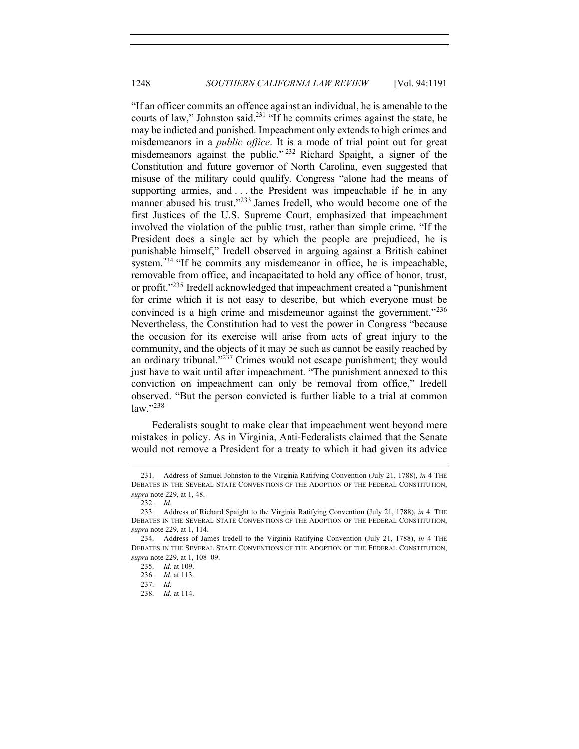"If an officer commits an offence against an individual, he is amenable to the courts of law," Johnston said.<sup>231</sup> "If he commits crimes against the state, he may be indicted and punished. Impeachment only extends to high crimes and misdemeanors in a *public office*. It is a mode of trial point out for great misdemeanors against the public." <sup>232</sup> Richard Spaight, a signer of the Constitution and future governor of North Carolina, even suggested that misuse of the military could qualify. Congress "alone had the means of supporting armies, and . . . the President was impeachable if he in any manner abused his trust."<sup>233</sup> James Iredell, who would become one of the first Justices of the U.S. Supreme Court, emphasized that impeachment involved the violation of the public trust, rather than simple crime. "If the President does a single act by which the people are prejudiced, he is punishable himself," Iredell observed in arguing against a British cabinet system.<sup>234</sup> "If he commits any misdemeanor in office, he is impeachable, removable from office, and incapacitated to hold any office of honor, trust, or profit."235 Iredell acknowledged that impeachment created a "punishment for crime which it is not easy to describe, but which everyone must be convinced is a high crime and misdemeanor against the government."<sup>236</sup> Nevertheless, the Constitution had to vest the power in Congress "because the occasion for its exercise will arise from acts of great injury to the community, and the objects of it may be such as cannot be easily reached by an ordinary tribunal. $1^{237}$  Crimes would not escape punishment; they would just have to wait until after impeachment. "The punishment annexed to this conviction on impeachment can only be removal from office," Iredell observed. "But the person convicted is further liable to a trial at common law."238

Federalists sought to make clear that impeachment went beyond mere mistakes in policy. As in Virginia, Anti-Federalists claimed that the Senate would not remove a President for a treaty to which it had given its advice

<sup>231.</sup> Address of Samuel Johnston to the Virginia Ratifying Convention (July 21, 1788), *in* 4 THE DEBATES IN THE SEVERAL STATE CONVENTIONS OF THE ADOPTION OF THE FEDERAL CONSTITUTION, *supra* note 229, at 1, 48.

<sup>232.</sup> *Id.*

<sup>233.</sup> Address of Richard Spaight to the Virginia Ratifying Convention (July 21, 1788), *in* 4 THE DEBATES IN THE SEVERAL STATE CONVENTIONS OF THE ADOPTION OF THE FEDERAL CONSTITUTION, *supra* note 229, at 1, 114.

<sup>234.</sup> Address of James Iredell to the Virginia Ratifying Convention (July 21, 1788), *in* 4 THE DEBATES IN THE SEVERAL STATE CONVENTIONS OF THE ADOPTION OF THE FEDERAL CONSTITUTION, *supra* note 229, at 1, 108–09.

<sup>235.</sup> *Id.* at 109.

<sup>236.</sup> *Id.* at 113.

<sup>237.</sup> *Id.*

<sup>238.</sup> *Id.* at 114.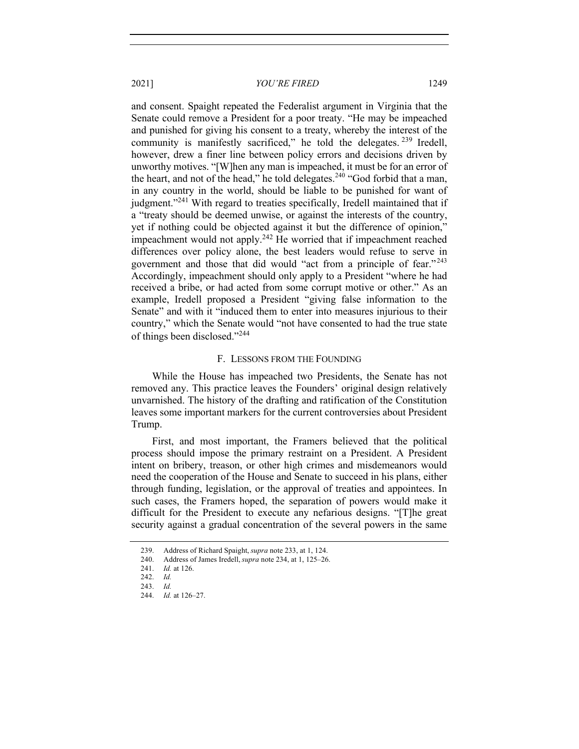and consent. Spaight repeated the Federalist argument in Virginia that the Senate could remove a President for a poor treaty. "He may be impeached and punished for giving his consent to a treaty, whereby the interest of the community is manifestly sacrificed," he told the delegates.  $239$  Iredell, however, drew a finer line between policy errors and decisions driven by unworthy motives. "[W]hen any man is impeached, it must be for an error of the heart, and not of the head," he told delegates.<sup>240</sup> "God forbid that a man, in any country in the world, should be liable to be punished for want of judgment."<sup>241</sup> With regard to treaties specifically, Iredell maintained that if a "treaty should be deemed unwise, or against the interests of the country, yet if nothing could be objected against it but the difference of opinion," impeachment would not apply.<sup>242</sup> He worried that if impeachment reached differences over policy alone, the best leaders would refuse to serve in government and those that did would "act from a principle of fear."<sup>243</sup> Accordingly, impeachment should only apply to a President "where he had received a bribe, or had acted from some corrupt motive or other." As an example, Iredell proposed a President "giving false information to the Senate" and with it "induced them to enter into measures injurious to their country," which the Senate would "not have consented to had the true state of things been disclosed."<sup>244</sup>

## F. LESSONS FROM THE FOUNDING

While the House has impeached two Presidents, the Senate has not removed any. This practice leaves the Founders' original design relatively unvarnished. The history of the drafting and ratification of the Constitution leaves some important markers for the current controversies about President Trump.

First, and most important, the Framers believed that the political process should impose the primary restraint on a President. A President intent on bribery, treason, or other high crimes and misdemeanors would need the cooperation of the House and Senate to succeed in his plans, either through funding, legislation, or the approval of treaties and appointees. In such cases, the Framers hoped, the separation of powers would make it difficult for the President to execute any nefarious designs. "[T]he great security against a gradual concentration of the several powers in the same

<sup>239.</sup> Address of Richard Spaight, *supra* note 233, at 1, 124.

<sup>240.</sup> Address of James Iredell, *supra* note 234, at 1, 125–26.

<sup>241.</sup> *Id.* at 126.

<sup>242.</sup> *Id.*

<sup>243.</sup> *Id.*

<sup>244.</sup> *Id.* at 126–27.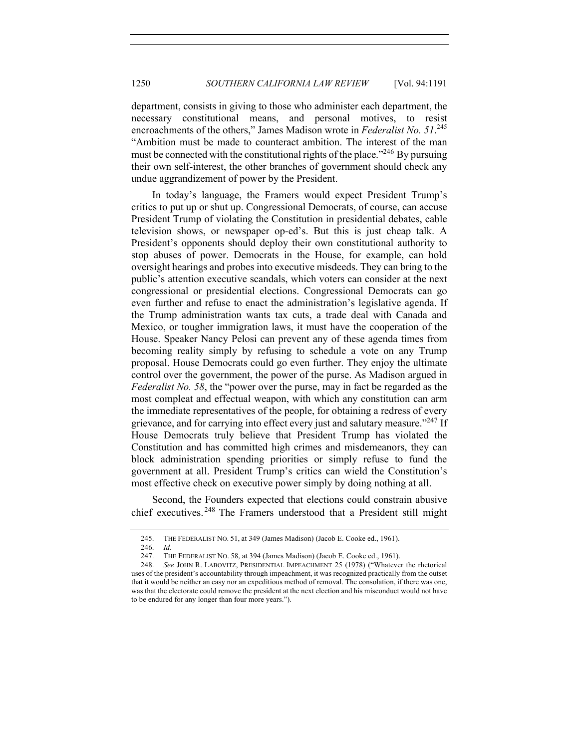department, consists in giving to those who administer each department, the necessary constitutional means, and personal motives, to resist encroachments of the others," James Madison wrote in *Federalist No. 51*. 245 "Ambition must be made to counteract ambition. The interest of the man must be connected with the constitutional rights of the place."<sup>246</sup> By pursuing their own self-interest, the other branches of government should check any undue aggrandizement of power by the President.

In today's language, the Framers would expect President Trump's critics to put up or shut up. Congressional Democrats, of course, can accuse President Trump of violating the Constitution in presidential debates, cable television shows, or newspaper op-ed's. But this is just cheap talk. A President's opponents should deploy their own constitutional authority to stop abuses of power. Democrats in the House, for example, can hold oversight hearings and probes into executive misdeeds. They can bring to the public's attention executive scandals, which voters can consider at the next congressional or presidential elections. Congressional Democrats can go even further and refuse to enact the administration's legislative agenda. If the Trump administration wants tax cuts, a trade deal with Canada and Mexico, or tougher immigration laws, it must have the cooperation of the House. Speaker Nancy Pelosi can prevent any of these agenda times from becoming reality simply by refusing to schedule a vote on any Trump proposal. House Democrats could go even further. They enjoy the ultimate control over the government, the power of the purse. As Madison argued in *Federalist No. 58*, the "power over the purse, may in fact be regarded as the most compleat and effectual weapon, with which any constitution can arm the immediate representatives of the people, for obtaining a redress of every grievance, and for carrying into effect every just and salutary measure."<sup>247</sup> If House Democrats truly believe that President Trump has violated the Constitution and has committed high crimes and misdemeanors, they can block administration spending priorities or simply refuse to fund the government at all. President Trump's critics can wield the Constitution's most effective check on executive power simply by doing nothing at all.

Second, the Founders expected that elections could constrain abusive chief executives. <sup>248</sup> The Framers understood that a President still might

<sup>245.</sup> THE FEDERALIST NO. 51, at 349 (James Madison) (Jacob E. Cooke ed., 1961).

<sup>246.</sup> *Id.*

<sup>247.</sup> THE FEDERALIST NO. 58, at 394 (James Madison) (Jacob E. Cooke ed., 1961).

<sup>248.</sup> *See* JOHN R. LABOVITZ, PRESIDENTIAL IMPEACHMENT 25 (1978) ("Whatever the rhetorical uses of the president's accountability through impeachment, it was recognized practically from the outset that it would be neither an easy nor an expeditious method of removal. The consolation, if there was one, was that the electorate could remove the president at the next election and his misconduct would not have to be endured for any longer than four more years.").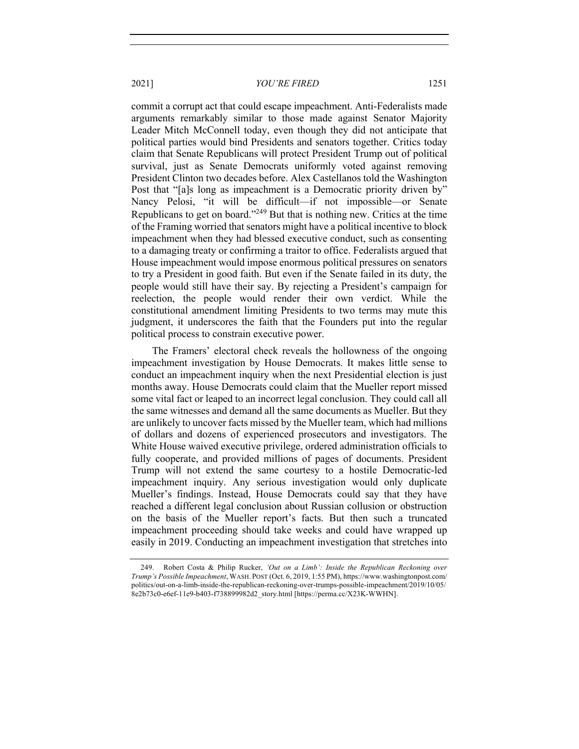commit a corrupt act that could escape impeachment. Anti-Federalists made arguments remarkably similar to those made against Senator Majority Leader Mitch McConnell today, even though they did not anticipate that political parties would bind Presidents and senators together. Critics today claim that Senate Republicans will protect President Trump out of political survival, just as Senate Democrats uniformly voted against removing President Clinton two decades before. Alex Castellanos told the Washington Post that "[a]s long as impeachment is a Democratic priority driven by" Nancy Pelosi, "it will be difficult—if not impossible—or Senate Republicans to get on board."249 But that is nothing new. Critics at the time of the Framing worried that senators might have a political incentive to block impeachment when they had blessed executive conduct, such as consenting to a damaging treaty or confirming a traitor to office. Federalists argued that House impeachment would impose enormous political pressures on senators to try a President in good faith. But even if the Senate failed in its duty, the people would still have their say. By rejecting a President's campaign for reelection, the people would render their own verdict. While the constitutional amendment limiting Presidents to two terms may mute this judgment, it underscores the faith that the Founders put into the regular political process to constrain executive power.

The Framers' electoral check reveals the hollowness of the ongoing impeachment investigation by House Democrats. It makes little sense to conduct an impeachment inquiry when the next Presidential election is just months away. House Democrats could claim that the Mueller report missed some vital fact or leaped to an incorrect legal conclusion. They could call all the same witnesses and demand all the same documents as Mueller. But they are unlikely to uncover facts missed by the Mueller team, which had millions of dollars and dozens of experienced prosecutors and investigators. The White House waived executive privilege, ordered administration officials to fully cooperate, and provided millions of pages of documents. President Trump will not extend the same courtesy to a hostile Democratic-led impeachment inquiry. Any serious investigation would only duplicate Mueller's findings. Instead, House Democrats could say that they have reached a different legal conclusion about Russian collusion or obstruction on the basis of the Mueller report's facts. But then such a truncated impeachment proceeding should take weeks and could have wrapped up easily in 2019. Conducting an impeachment investigation that stretches into

<sup>249.</sup> Robert Costa & Philip Rucker, *'Out on a Limb': Inside the Republican Reckoning over Trump's Possible Impeachment*, WASH. POST (Oct. 6, 2019, 1:55 PM), https://www.washingtonpost.com/ politics/out-on-a-limb-inside-the-republican-reckoning-over-trumps-possible-impeachment/2019/10/05/ 8e2b73c0-e6ef-11e9-b403-f738899982d2\_story.html [https://perma.cc/X23K-WWHN].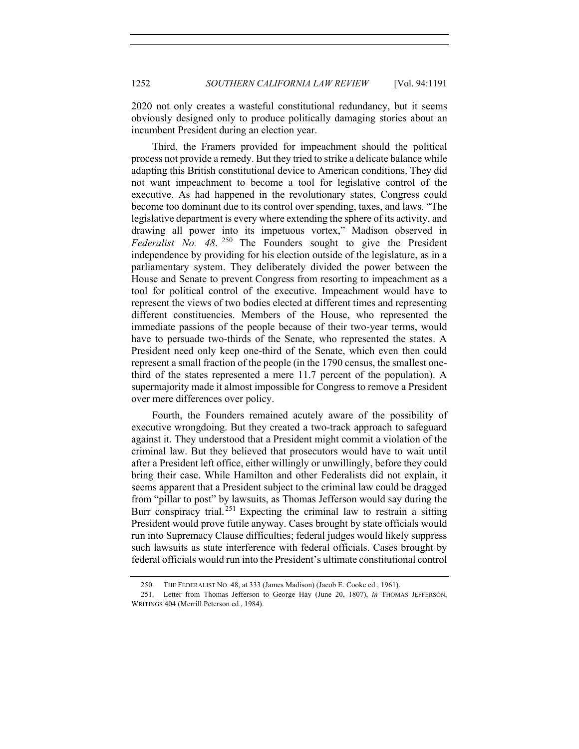2020 not only creates a wasteful constitutional redundancy, but it seems obviously designed only to produce politically damaging stories about an incumbent President during an election year.

Third, the Framers provided for impeachment should the political process not provide a remedy. But they tried to strike a delicate balance while adapting this British constitutional device to American conditions. They did not want impeachment to become a tool for legislative control of the executive. As had happened in the revolutionary states, Congress could become too dominant due to its control over spending, taxes, and laws. "The legislative department is every where extending the sphere of its activity, and drawing all power into its impetuous vortex," Madison observed in *Federalist No. 48*. <sup>250</sup> The Founders sought to give the President independence by providing for his election outside of the legislature, as in a parliamentary system. They deliberately divided the power between the House and Senate to prevent Congress from resorting to impeachment as a tool for political control of the executive. Impeachment would have to represent the views of two bodies elected at different times and representing different constituencies. Members of the House, who represented the immediate passions of the people because of their two-year terms, would have to persuade two-thirds of the Senate, who represented the states. A President need only keep one-third of the Senate, which even then could represent a small fraction of the people (in the 1790 census, the smallest onethird of the states represented a mere 11.7 percent of the population). A supermajority made it almost impossible for Congress to remove a President over mere differences over policy.

Fourth, the Founders remained acutely aware of the possibility of executive wrongdoing. But they created a two-track approach to safeguard against it. They understood that a President might commit a violation of the criminal law. But they believed that prosecutors would have to wait until after a President left office, either willingly or unwillingly, before they could bring their case. While Hamilton and other Federalists did not explain, it seems apparent that a President subject to the criminal law could be dragged from "pillar to post" by lawsuits, as Thomas Jefferson would say during the Burr conspiracy trial.<sup>251</sup> Expecting the criminal law to restrain a sitting President would prove futile anyway. Cases brought by state officials would run into Supremacy Clause difficulties; federal judges would likely suppress such lawsuits as state interference with federal officials. Cases brought by federal officials would run into the President's ultimate constitutional control

<sup>250.</sup> THE FEDERALIST NO. 48, at 333 (James Madison) (Jacob E. Cooke ed., 1961).

<sup>251.</sup> Letter from Thomas Jefferson to George Hay (June 20, 1807), *in* THOMAS JEFFERSON, WRITINGS 404 (Merrill Peterson ed., 1984).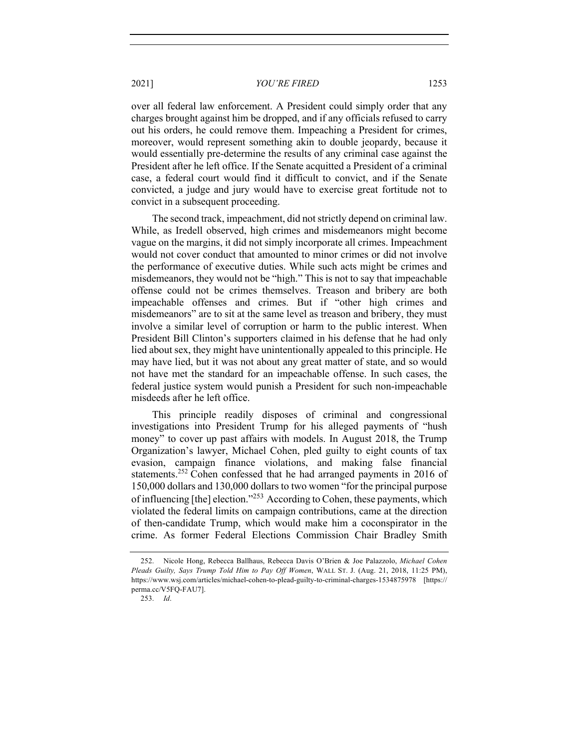over all federal law enforcement. A President could simply order that any charges brought against him be dropped, and if any officials refused to carry out his orders, he could remove them. Impeaching a President for crimes, moreover, would represent something akin to double jeopardy, because it would essentially pre-determine the results of any criminal case against the President after he left office. If the Senate acquitted a President of a criminal case, a federal court would find it difficult to convict, and if the Senate convicted, a judge and jury would have to exercise great fortitude not to convict in a subsequent proceeding.

The second track, impeachment, did not strictly depend on criminal law. While, as Iredell observed, high crimes and misdemeanors might become vague on the margins, it did not simply incorporate all crimes. Impeachment would not cover conduct that amounted to minor crimes or did not involve the performance of executive duties. While such acts might be crimes and misdemeanors, they would not be "high." This is not to say that impeachable offense could not be crimes themselves. Treason and bribery are both impeachable offenses and crimes. But if "other high crimes and misdemeanors" are to sit at the same level as treason and bribery, they must involve a similar level of corruption or harm to the public interest. When President Bill Clinton's supporters claimed in his defense that he had only lied about sex, they might have unintentionally appealed to this principle. He may have lied, but it was not about any great matter of state, and so would not have met the standard for an impeachable offense. In such cases, the federal justice system would punish a President for such non-impeachable misdeeds after he left office.

This principle readily disposes of criminal and congressional investigations into President Trump for his alleged payments of "hush money" to cover up past affairs with models. In August 2018, the Trump Organization's lawyer, Michael Cohen, pled guilty to eight counts of tax evasion, campaign finance violations, and making false financial statements.<sup>252</sup> Cohen confessed that he had arranged payments in 2016 of 150,000 dollars and 130,000 dollars to two women "for the principal purpose of influencing [the] election."253 According to Cohen, these payments, which violated the federal limits on campaign contributions, came at the direction of then-candidate Trump, which would make him a coconspirator in the crime. As former Federal Elections Commission Chair Bradley Smith

<sup>252.</sup> Nicole Hong, Rebecca Ballhaus, Rebecca Davis O'Brien & Joe Palazzolo, *Michael Cohen Pleads Guilty, Says Trump Told Him to Pay Off Women*, WALL ST. J. (Aug. 21, 2018, 11:25 PM), https://www.wsj.com/articles/michael-cohen-to-plead-guilty-to-criminal-charges-1534875978 [https:// perma.cc/V5FQ-FAU7].

<sup>253.</sup> *Id*.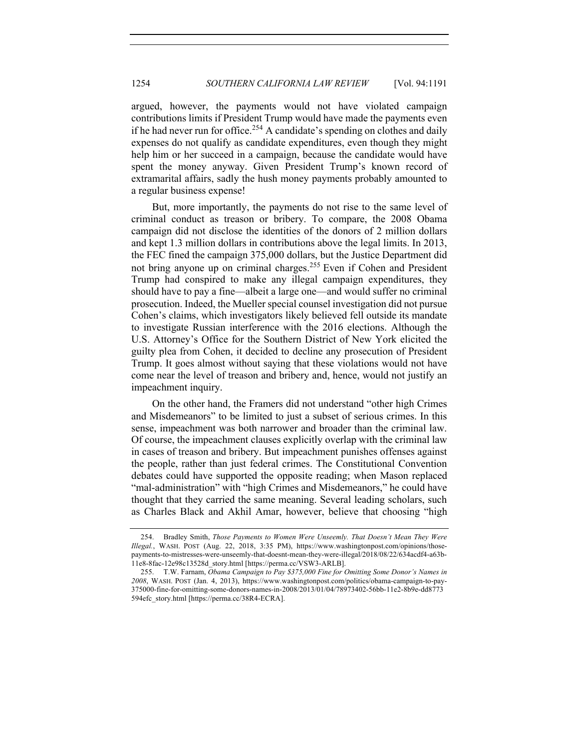argued, however, the payments would not have violated campaign contributions limits if President Trump would have made the payments even if he had never run for office.<sup>254</sup> A candidate's spending on clothes and daily expenses do not qualify as candidate expenditures, even though they might help him or her succeed in a campaign, because the candidate would have spent the money anyway. Given President Trump's known record of extramarital affairs, sadly the hush money payments probably amounted to a regular business expense!

But, more importantly, the payments do not rise to the same level of criminal conduct as treason or bribery. To compare, the 2008 Obama campaign did not disclose the identities of the donors of 2 million dollars and kept 1.3 million dollars in contributions above the legal limits. In 2013, the FEC fined the campaign 375,000 dollars, but the Justice Department did not bring anyone up on criminal charges.<sup>255</sup> Even if Cohen and President Trump had conspired to make any illegal campaign expenditures, they should have to pay a fine—albeit a large one—and would suffer no criminal prosecution. Indeed, the Mueller special counsel investigation did not pursue Cohen's claims, which investigators likely believed fell outside its mandate to investigate Russian interference with the 2016 elections. Although the U.S. Attorney's Office for the Southern District of New York elicited the guilty plea from Cohen, it decided to decline any prosecution of President Trump. It goes almost without saying that these violations would not have come near the level of treason and bribery and, hence, would not justify an impeachment inquiry.

On the other hand, the Framers did not understand "other high Crimes and Misdemeanors" to be limited to just a subset of serious crimes. In this sense, impeachment was both narrower and broader than the criminal law. Of course, the impeachment clauses explicitly overlap with the criminal law in cases of treason and bribery. But impeachment punishes offenses against the people, rather than just federal crimes. The Constitutional Convention debates could have supported the opposite reading; when Mason replaced "mal-administration" with "high Crimes and Misdemeanors," he could have thought that they carried the same meaning. Several leading scholars, such as Charles Black and Akhil Amar, however, believe that choosing "high

<sup>254.</sup> Bradley Smith, *Those Payments to Women Were Unseemly. That Doesn't Mean They Were Illegal.*, WASH. POST (Aug. 22, 2018, 3:35 PM), https://www.washingtonpost.com/opinions/thosepayments-to-mistresses-were-unseemly-that-doesnt-mean-they-were-illegal/2018/08/22/634acdf4-a63b-11e8-8fac-12e98c13528d\_story.html [https://perma.cc/VSW3-ARLB].

<sup>255.</sup> T.W. Farnam, *Obama Campaign to Pay \$375,000 Fine for Omitting Some Donor's Names in 2008*, WASH. POST (Jan. 4, 2013), https://www.washingtonpost.com/politics/obama-campaign-to-pay-375000-fine-for-omitting-some-donors-names-in-2008/2013/01/04/78973402-56bb-11e2-8b9e-dd8773 594efc\_story.html [https://perma.cc/38R4-ECRA].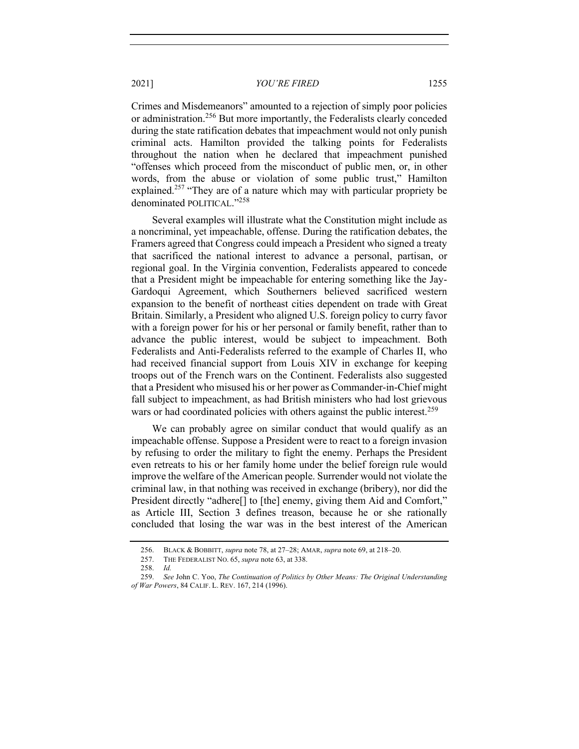Crimes and Misdemeanors" amounted to a rejection of simply poor policies or administration.<sup>256</sup> But more importantly, the Federalists clearly conceded during the state ratification debates that impeachment would not only punish criminal acts. Hamilton provided the talking points for Federalists throughout the nation when he declared that impeachment punished "offenses which proceed from the misconduct of public men, or, in other words, from the abuse or violation of some public trust," Hamilton explained.<sup>257</sup> "They are of a nature which may with particular propriety be denominated POLITICAL."<sup>258</sup>

Several examples will illustrate what the Constitution might include as a noncriminal, yet impeachable, offense. During the ratification debates, the Framers agreed that Congress could impeach a President who signed a treaty that sacrificed the national interest to advance a personal, partisan, or regional goal. In the Virginia convention, Federalists appeared to concede that a President might be impeachable for entering something like the Jay-Gardoqui Agreement, which Southerners believed sacrificed western expansion to the benefit of northeast cities dependent on trade with Great Britain. Similarly, a President who aligned U.S. foreign policy to curry favor with a foreign power for his or her personal or family benefit, rather than to advance the public interest, would be subject to impeachment. Both Federalists and Anti-Federalists referred to the example of Charles II, who had received financial support from Louis XIV in exchange for keeping troops out of the French wars on the Continent. Federalists also suggested that a President who misused his or her power as Commander-in-Chief might fall subject to impeachment, as had British ministers who had lost grievous wars or had coordinated policies with others against the public interest.<sup>259</sup>

We can probably agree on similar conduct that would qualify as an impeachable offense. Suppose a President were to react to a foreign invasion by refusing to order the military to fight the enemy. Perhaps the President even retreats to his or her family home under the belief foreign rule would improve the welfare of the American people. Surrender would not violate the criminal law, in that nothing was received in exchange (bribery), nor did the President directly "adhere<sup>[]</sup> to [the] enemy, giving them Aid and Comfort," as Article III, Section 3 defines treason, because he or she rationally concluded that losing the war was in the best interest of the American

<sup>256.</sup> BLACK & BOBBITT, *supra* note 78, at 27–28; AMAR, *supra* note 69, at 218–20.

<sup>257.</sup> THE FEDERALIST NO. 65, *supra* note 63, at 338.

<sup>258.</sup> *Id.*

<sup>259.</sup> *See* John C. Yoo, *The Continuation of Politics by Other Means: The Original Understanding of War Powers*, 84 CALIF. L. REV. 167, 214 (1996).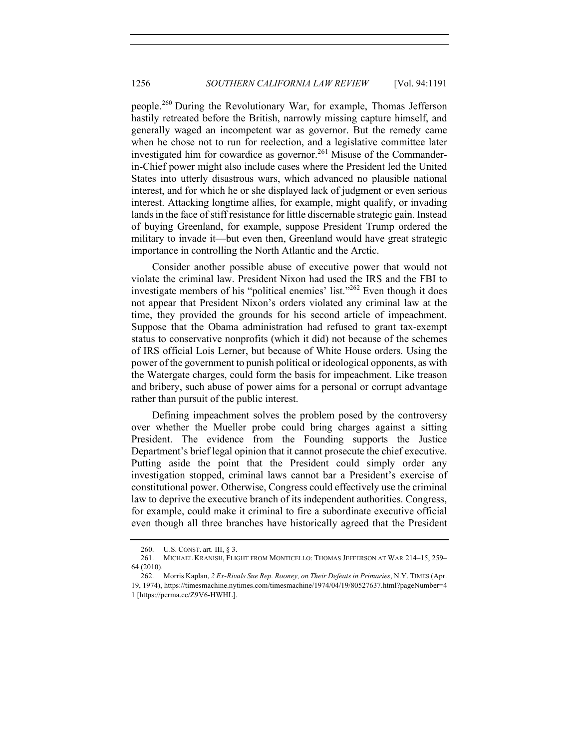people.<sup>260</sup> During the Revolutionary War, for example, Thomas Jefferson hastily retreated before the British, narrowly missing capture himself, and generally waged an incompetent war as governor. But the remedy came when he chose not to run for reelection, and a legislative committee later investigated him for cowardice as governor.<sup>261</sup> Misuse of the Commanderin-Chief power might also include cases where the President led the United States into utterly disastrous wars, which advanced no plausible national interest, and for which he or she displayed lack of judgment or even serious interest. Attacking longtime allies, for example, might qualify, or invading lands in the face of stiff resistance for little discernable strategic gain. Instead of buying Greenland, for example, suppose President Trump ordered the military to invade it—but even then, Greenland would have great strategic importance in controlling the North Atlantic and the Arctic.

Consider another possible abuse of executive power that would not violate the criminal law. President Nixon had used the IRS and the FBI to investigate members of his "political enemies' list."<sup>262</sup> Even though it does not appear that President Nixon's orders violated any criminal law at the time, they provided the grounds for his second article of impeachment. Suppose that the Obama administration had refused to grant tax-exempt status to conservative nonprofits (which it did) not because of the schemes of IRS official Lois Lerner, but because of White House orders. Using the power of the government to punish political or ideological opponents, as with the Watergate charges, could form the basis for impeachment. Like treason and bribery, such abuse of power aims for a personal or corrupt advantage rather than pursuit of the public interest.

Defining impeachment solves the problem posed by the controversy over whether the Mueller probe could bring charges against a sitting President. The evidence from the Founding supports the Justice Department's brief legal opinion that it cannot prosecute the chief executive. Putting aside the point that the President could simply order any investigation stopped, criminal laws cannot bar a President's exercise of constitutional power. Otherwise, Congress could effectively use the criminal law to deprive the executive branch of its independent authorities. Congress, for example, could make it criminal to fire a subordinate executive official even though all three branches have historically agreed that the President

<sup>260.</sup> U.S. CONST. art. III, § 3.

<sup>261.</sup> MICHAEL KRANISH, FLIGHT FROM MONTICELLO: THOMAS JEFFERSON AT WAR 214–15, 259– 64 (2010).

<sup>262.</sup> Morris Kaplan, *2 Ex-Rivals Sue Rep. Rooney, on Their Defeats in Primaries*, N.Y. TIMES (Apr. 19, 1974), https://timesmachine.nytimes.com/timesmachine/1974/04/19/80527637.html?pageNumber=4 1 [https://perma.cc/Z9V6-HWHL].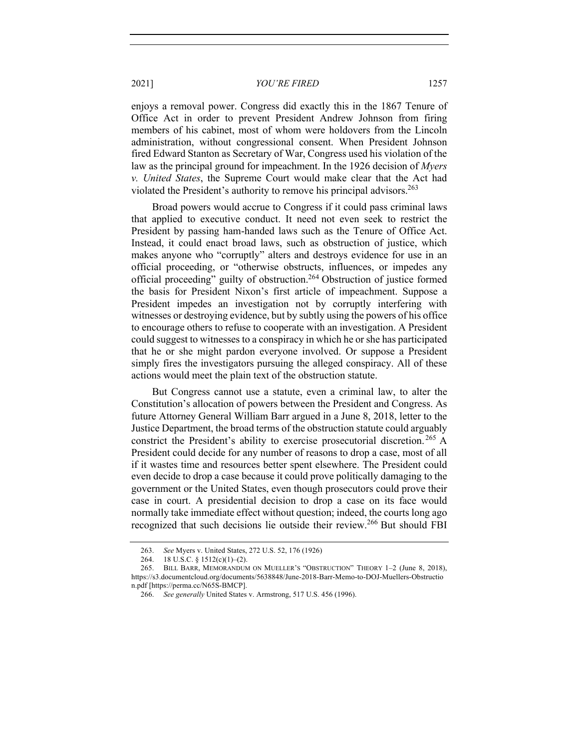enjoys a removal power. Congress did exactly this in the 1867 Tenure of Office Act in order to prevent President Andrew Johnson from firing members of his cabinet, most of whom were holdovers from the Lincoln administration, without congressional consent. When President Johnson fired Edward Stanton as Secretary of War, Congress used his violation of the law as the principal ground for impeachment. In the 1926 decision of *Myers v. United States*, the Supreme Court would make clear that the Act had violated the President's authority to remove his principal advisors.<sup>263</sup>

Broad powers would accrue to Congress if it could pass criminal laws that applied to executive conduct. It need not even seek to restrict the President by passing ham-handed laws such as the Tenure of Office Act. Instead, it could enact broad laws, such as obstruction of justice, which makes anyone who "corruptly" alters and destroys evidence for use in an official proceeding, or "otherwise obstructs, influences, or impedes any official proceeding" guilty of obstruction.<sup>264</sup> Obstruction of justice formed the basis for President Nixon's first article of impeachment. Suppose a President impedes an investigation not by corruptly interfering with witnesses or destroying evidence, but by subtly using the powers of his office to encourage others to refuse to cooperate with an investigation. A President could suggest to witnesses to a conspiracy in which he or she has participated that he or she might pardon everyone involved. Or suppose a President simply fires the investigators pursuing the alleged conspiracy. All of these actions would meet the plain text of the obstruction statute.

But Congress cannot use a statute, even a criminal law, to alter the Constitution's allocation of powers between the President and Congress. As future Attorney General William Barr argued in a June 8, 2018, letter to the Justice Department, the broad terms of the obstruction statute could arguably constrict the President's ability to exercise prosecutorial discretion. <sup>265</sup> A President could decide for any number of reasons to drop a case, most of all if it wastes time and resources better spent elsewhere. The President could even decide to drop a case because it could prove politically damaging to the government or the United States, even though prosecutors could prove their case in court. A presidential decision to drop a case on its face would normally take immediate effect without question; indeed, the courts long ago recognized that such decisions lie outside their review.<sup>266</sup> But should FBI

<sup>263.</sup> *See* Myers v. United States, 272 U.S. 52, 176 (1926)

<sup>264.</sup> 18 U.S.C. § 1512(c)(1)–(2).

<sup>265.</sup> BILL BARR, MEMORANDUM ON MUELLER'S "OBSTRUCTION" THEORY 1–2 (June 8, 2018), https://s3.documentcloud.org/documents/5638848/June-2018-Barr-Memo-to-DOJ-Muellers-Obstructio n.pdf [https://perma.cc/N65S-BMCP].

<sup>266.</sup> *See generally* United States v. Armstrong, 517 U.S. 456 (1996).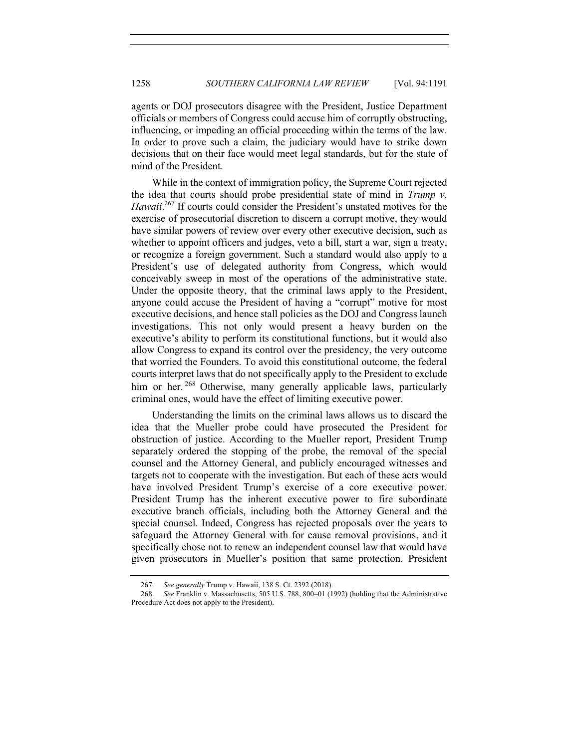agents or DOJ prosecutors disagree with the President, Justice Department officials or members of Congress could accuse him of corruptly obstructing, influencing, or impeding an official proceeding within the terms of the law. In order to prove such a claim, the judiciary would have to strike down decisions that on their face would meet legal standards, but for the state of mind of the President.

While in the context of immigration policy, the Supreme Court rejected the idea that courts should probe presidential state of mind in *Trump v.*  Hawaii.<sup>267</sup> If courts could consider the President's unstated motives for the exercise of prosecutorial discretion to discern a corrupt motive, they would have similar powers of review over every other executive decision, such as whether to appoint officers and judges, veto a bill, start a war, sign a treaty, or recognize a foreign government. Such a standard would also apply to a President's use of delegated authority from Congress, which would conceivably sweep in most of the operations of the administrative state. Under the opposite theory, that the criminal laws apply to the President, anyone could accuse the President of having a "corrupt" motive for most executive decisions, and hence stall policies as the DOJ and Congress launch investigations. This not only would present a heavy burden on the executive's ability to perform its constitutional functions, but it would also allow Congress to expand its control over the presidency, the very outcome that worried the Founders. To avoid this constitutional outcome, the federal courts interpret laws that do not specifically apply to the President to exclude him or her.<sup>268</sup> Otherwise, many generally applicable laws, particularly criminal ones, would have the effect of limiting executive power.

Understanding the limits on the criminal laws allows us to discard the idea that the Mueller probe could have prosecuted the President for obstruction of justice. According to the Mueller report, President Trump separately ordered the stopping of the probe, the removal of the special counsel and the Attorney General, and publicly encouraged witnesses and targets not to cooperate with the investigation. But each of these acts would have involved President Trump's exercise of a core executive power. President Trump has the inherent executive power to fire subordinate executive branch officials, including both the Attorney General and the special counsel. Indeed, Congress has rejected proposals over the years to safeguard the Attorney General with for cause removal provisions, and it specifically chose not to renew an independent counsel law that would have given prosecutors in Mueller's position that same protection. President

<sup>267.</sup> *See generally* Trump v. Hawaii, 138 S. Ct. 2392 (2018).

<sup>268.</sup> *See* Franklin v. Massachusetts, 505 U.S. 788, 800–01 (1992) (holding that the Administrative Procedure Act does not apply to the President).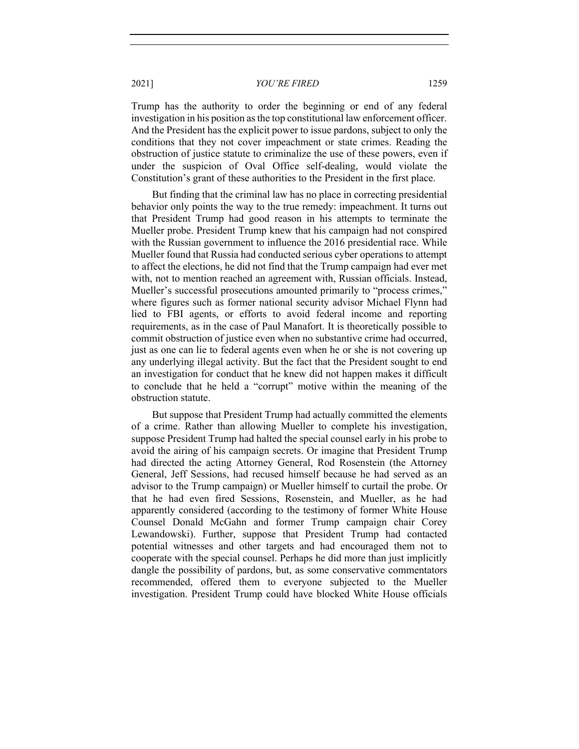Trump has the authority to order the beginning or end of any federal investigation in his position as the top constitutional law enforcement officer. And the President has the explicit power to issue pardons, subject to only the conditions that they not cover impeachment or state crimes. Reading the obstruction of justice statute to criminalize the use of these powers, even if under the suspicion of Oval Office self-dealing, would violate the Constitution's grant of these authorities to the President in the first place.

But finding that the criminal law has no place in correcting presidential behavior only points the way to the true remedy: impeachment. It turns out that President Trump had good reason in his attempts to terminate the Mueller probe. President Trump knew that his campaign had not conspired with the Russian government to influence the 2016 presidential race. While Mueller found that Russia had conducted serious cyber operations to attempt to affect the elections, he did not find that the Trump campaign had ever met with, not to mention reached an agreement with, Russian officials. Instead, Mueller's successful prosecutions amounted primarily to "process crimes," where figures such as former national security advisor Michael Flynn had lied to FBI agents, or efforts to avoid federal income and reporting requirements, as in the case of Paul Manafort. It is theoretically possible to commit obstruction of justice even when no substantive crime had occurred, just as one can lie to federal agents even when he or she is not covering up any underlying illegal activity. But the fact that the President sought to end an investigation for conduct that he knew did not happen makes it difficult to conclude that he held a "corrupt" motive within the meaning of the obstruction statute.

But suppose that President Trump had actually committed the elements of a crime. Rather than allowing Mueller to complete his investigation, suppose President Trump had halted the special counsel early in his probe to avoid the airing of his campaign secrets. Or imagine that President Trump had directed the acting Attorney General, Rod Rosenstein (the Attorney General, Jeff Sessions, had recused himself because he had served as an advisor to the Trump campaign) or Mueller himself to curtail the probe. Or that he had even fired Sessions, Rosenstein, and Mueller, as he had apparently considered (according to the testimony of former White House Counsel Donald McGahn and former Trump campaign chair Corey Lewandowski). Further, suppose that President Trump had contacted potential witnesses and other targets and had encouraged them not to cooperate with the special counsel. Perhaps he did more than just implicitly dangle the possibility of pardons, but, as some conservative commentators recommended, offered them to everyone subjected to the Mueller investigation. President Trump could have blocked White House officials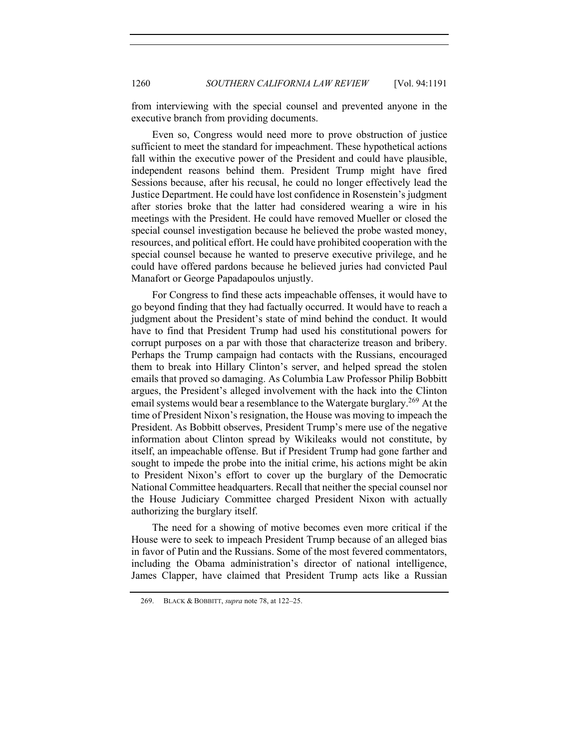from interviewing with the special counsel and prevented anyone in the executive branch from providing documents.

Even so, Congress would need more to prove obstruction of justice sufficient to meet the standard for impeachment. These hypothetical actions fall within the executive power of the President and could have plausible, independent reasons behind them. President Trump might have fired Sessions because, after his recusal, he could no longer effectively lead the Justice Department. He could have lost confidence in Rosenstein's judgment after stories broke that the latter had considered wearing a wire in his meetings with the President. He could have removed Mueller or closed the special counsel investigation because he believed the probe wasted money, resources, and political effort. He could have prohibited cooperation with the special counsel because he wanted to preserve executive privilege, and he could have offered pardons because he believed juries had convicted Paul Manafort or George Papadapoulos unjustly.

For Congress to find these acts impeachable offenses, it would have to go beyond finding that they had factually occurred. It would have to reach a judgment about the President's state of mind behind the conduct. It would have to find that President Trump had used his constitutional powers for corrupt purposes on a par with those that characterize treason and bribery. Perhaps the Trump campaign had contacts with the Russians, encouraged them to break into Hillary Clinton's server, and helped spread the stolen emails that proved so damaging. As Columbia Law Professor Philip Bobbitt argues, the President's alleged involvement with the hack into the Clinton email systems would bear a resemblance to the Watergate burglary.<sup>269</sup> At the time of President Nixon's resignation, the House was moving to impeach the President. As Bobbitt observes, President Trump's mere use of the negative information about Clinton spread by Wikileaks would not constitute, by itself, an impeachable offense. But if President Trump had gone farther and sought to impede the probe into the initial crime, his actions might be akin to President Nixon's effort to cover up the burglary of the Democratic National Committee headquarters. Recall that neither the special counsel nor the House Judiciary Committee charged President Nixon with actually authorizing the burglary itself.

The need for a showing of motive becomes even more critical if the House were to seek to impeach President Trump because of an alleged bias in favor of Putin and the Russians. Some of the most fevered commentators, including the Obama administration's director of national intelligence, James Clapper, have claimed that President Trump acts like a Russian

<sup>269.</sup> BLACK & BOBBITT, *supra* note 78, at 122–25.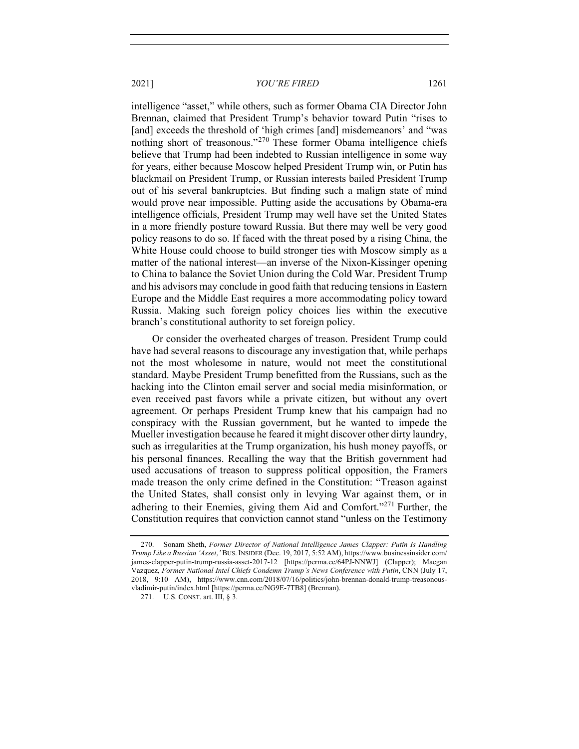intelligence "asset," while others, such as former Obama CIA Director John Brennan, claimed that President Trump's behavior toward Putin "rises to [and] exceeds the threshold of 'high crimes [and] misdemeanors' and "was nothing short of treasonous."<sup>270</sup> These former Obama intelligence chiefs believe that Trump had been indebted to Russian intelligence in some way for years, either because Moscow helped President Trump win, or Putin has blackmail on President Trump, or Russian interests bailed President Trump out of his several bankruptcies. But finding such a malign state of mind would prove near impossible. Putting aside the accusations by Obama-era intelligence officials, President Trump may well have set the United States in a more friendly posture toward Russia. But there may well be very good policy reasons to do so. If faced with the threat posed by a rising China, the White House could choose to build stronger ties with Moscow simply as a matter of the national interest—an inverse of the Nixon-Kissinger opening to China to balance the Soviet Union during the Cold War. President Trump and his advisors may conclude in good faith that reducing tensions in Eastern Europe and the Middle East requires a more accommodating policy toward Russia. Making such foreign policy choices lies within the executive branch's constitutional authority to set foreign policy.

Or consider the overheated charges of treason. President Trump could have had several reasons to discourage any investigation that, while perhaps not the most wholesome in nature, would not meet the constitutional standard. Maybe President Trump benefitted from the Russians, such as the hacking into the Clinton email server and social media misinformation, or even received past favors while a private citizen, but without any overt agreement. Or perhaps President Trump knew that his campaign had no conspiracy with the Russian government, but he wanted to impede the Mueller investigation because he feared it might discover other dirty laundry, such as irregularities at the Trump organization, his hush money payoffs, or his personal finances. Recalling the way that the British government had used accusations of treason to suppress political opposition, the Framers made treason the only crime defined in the Constitution: "Treason against the United States, shall consist only in levying War against them, or in adhering to their Enemies, giving them Aid and Comfort."<sup>271</sup> Further, the Constitution requires that conviction cannot stand "unless on the Testimony

<sup>270.</sup> Sonam Sheth, *Former Director of National Intelligence James Clapper: Putin Is Handling Trump Like a Russian 'Asset*,*'* BUS.INSIDER (Dec. 19, 2017, 5:52 AM), https://www.businessinsider.com/ james-clapper-putin-trump-russia-asset-2017-12 [https://perma.cc/64PJ-NNWJ] (Clapper); Maegan Vazquez, *Former National Intel Chiefs Condemn Trump's News Conference with Putin*, CNN (July 17, 2018, 9:10 AM), https://www.cnn.com/2018/07/16/politics/john-brennan-donald-trump-treasonousvladimir-putin/index.html [https://perma.cc/NG9E-7TB8] (Brennan).

<sup>271.</sup> U.S. CONST. art. III, § 3.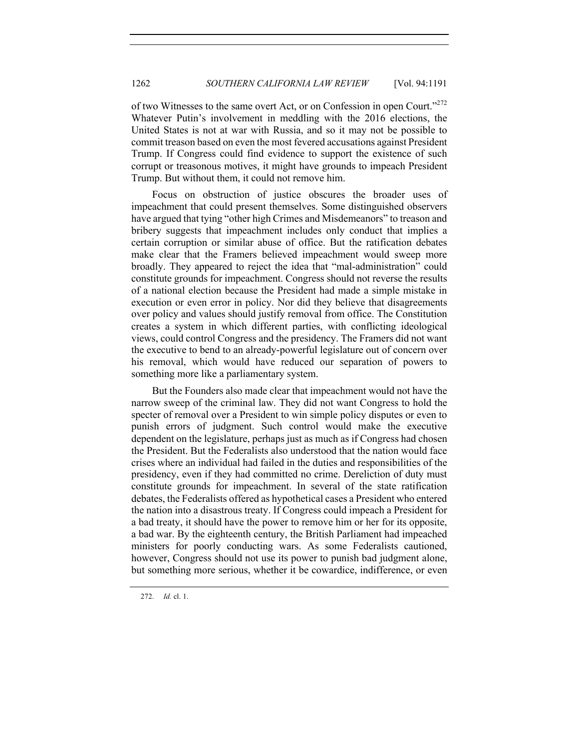of two Witnesses to the same overt Act, or on Confession in open Court."<sup>272</sup> Whatever Putin's involvement in meddling with the 2016 elections, the United States is not at war with Russia, and so it may not be possible to commit treason based on even the most fevered accusations against President Trump. If Congress could find evidence to support the existence of such corrupt or treasonous motives, it might have grounds to impeach President Trump. But without them, it could not remove him.

Focus on obstruction of justice obscures the broader uses of impeachment that could present themselves. Some distinguished observers have argued that tying "other high Crimes and Misdemeanors" to treason and bribery suggests that impeachment includes only conduct that implies a certain corruption or similar abuse of office. But the ratification debates make clear that the Framers believed impeachment would sweep more broadly. They appeared to reject the idea that "mal-administration" could constitute grounds for impeachment. Congress should not reverse the results of a national election because the President had made a simple mistake in execution or even error in policy. Nor did they believe that disagreements over policy and values should justify removal from office. The Constitution creates a system in which different parties, with conflicting ideological views, could control Congress and the presidency. The Framers did not want the executive to bend to an already-powerful legislature out of concern over his removal, which would have reduced our separation of powers to something more like a parliamentary system.

But the Founders also made clear that impeachment would not have the narrow sweep of the criminal law. They did not want Congress to hold the specter of removal over a President to win simple policy disputes or even to punish errors of judgment. Such control would make the executive dependent on the legislature, perhaps just as much as if Congress had chosen the President. But the Federalists also understood that the nation would face crises where an individual had failed in the duties and responsibilities of the presidency, even if they had committed no crime. Dereliction of duty must constitute grounds for impeachment. In several of the state ratification debates, the Federalists offered as hypothetical cases a President who entered the nation into a disastrous treaty. If Congress could impeach a President for a bad treaty, it should have the power to remove him or her for its opposite, a bad war. By the eighteenth century, the British Parliament had impeached ministers for poorly conducting wars. As some Federalists cautioned, however, Congress should not use its power to punish bad judgment alone, but something more serious, whether it be cowardice, indifference, or even

272. *Id.* cl. 1.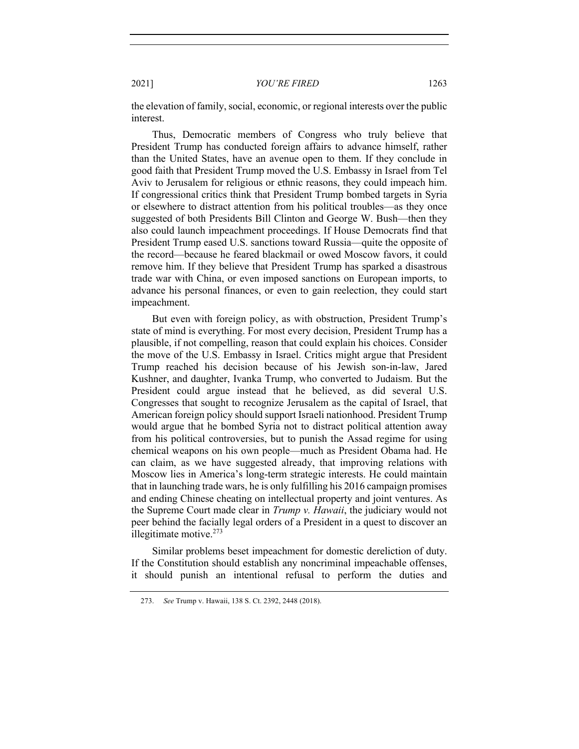the elevation of family, social, economic, or regional interests over the public interest.

Thus, Democratic members of Congress who truly believe that President Trump has conducted foreign affairs to advance himself, rather than the United States, have an avenue open to them. If they conclude in good faith that President Trump moved the U.S. Embassy in Israel from Tel Aviv to Jerusalem for religious or ethnic reasons, they could impeach him. If congressional critics think that President Trump bombed targets in Syria or elsewhere to distract attention from his political troubles—as they once suggested of both Presidents Bill Clinton and George W. Bush—then they also could launch impeachment proceedings. If House Democrats find that President Trump eased U.S. sanctions toward Russia—quite the opposite of the record—because he feared blackmail or owed Moscow favors, it could remove him. If they believe that President Trump has sparked a disastrous trade war with China, or even imposed sanctions on European imports, to advance his personal finances, or even to gain reelection, they could start impeachment.

But even with foreign policy, as with obstruction, President Trump's state of mind is everything. For most every decision, President Trump has a plausible, if not compelling, reason that could explain his choices. Consider the move of the U.S. Embassy in Israel. Critics might argue that President Trump reached his decision because of his Jewish son-in-law, Jared Kushner, and daughter, Ivanka Trump, who converted to Judaism. But the President could argue instead that he believed, as did several U.S. Congresses that sought to recognize Jerusalem as the capital of Israel, that American foreign policy should support Israeli nationhood. President Trump would argue that he bombed Syria not to distract political attention away from his political controversies, but to punish the Assad regime for using chemical weapons on his own people—much as President Obama had. He can claim, as we have suggested already, that improving relations with Moscow lies in America's long-term strategic interests. He could maintain that in launching trade wars, he is only fulfilling his 2016 campaign promises and ending Chinese cheating on intellectual property and joint ventures. As the Supreme Court made clear in *Trump v. Hawaii*, the judiciary would not peer behind the facially legal orders of a President in a quest to discover an illegitimate motive. $273$ 

Similar problems beset impeachment for domestic dereliction of duty. If the Constitution should establish any noncriminal impeachable offenses, it should punish an intentional refusal to perform the duties and

<sup>273.</sup> *See* Trump v. Hawaii, 138 S. Ct. 2392, 2448 (2018).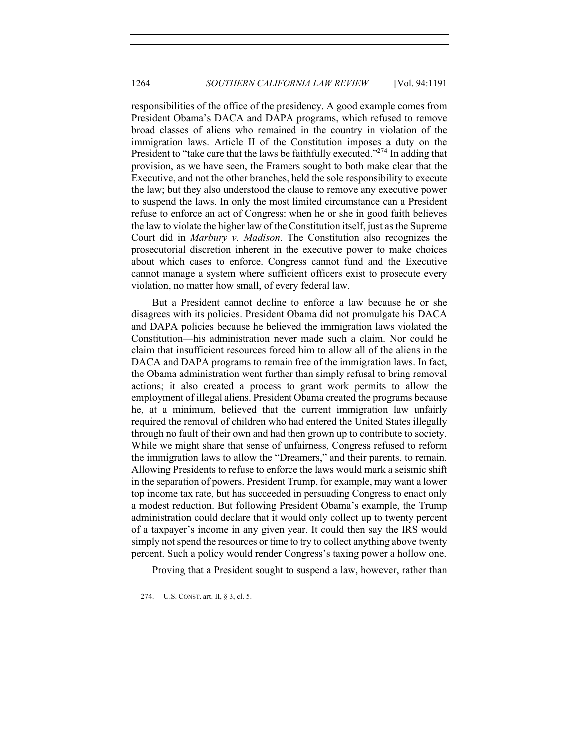responsibilities of the office of the presidency. A good example comes from President Obama's DACA and DAPA programs, which refused to remove broad classes of aliens who remained in the country in violation of the immigration laws. Article II of the Constitution imposes a duty on the President to "take care that the laws be faithfully executed."<sup>274</sup> In adding that provision, as we have seen, the Framers sought to both make clear that the Executive, and not the other branches, held the sole responsibility to execute the law; but they also understood the clause to remove any executive power to suspend the laws. In only the most limited circumstance can a President refuse to enforce an act of Congress: when he or she in good faith believes the law to violate the higher law of the Constitution itself, just as the Supreme Court did in *Marbury v. Madison*. The Constitution also recognizes the prosecutorial discretion inherent in the executive power to make choices about which cases to enforce. Congress cannot fund and the Executive cannot manage a system where sufficient officers exist to prosecute every violation, no matter how small, of every federal law.

But a President cannot decline to enforce a law because he or she disagrees with its policies. President Obama did not promulgate his DACA and DAPA policies because he believed the immigration laws violated the Constitution—his administration never made such a claim. Nor could he claim that insufficient resources forced him to allow all of the aliens in the DACA and DAPA programs to remain free of the immigration laws. In fact, the Obama administration went further than simply refusal to bring removal actions; it also created a process to grant work permits to allow the employment of illegal aliens. President Obama created the programs because he, at a minimum, believed that the current immigration law unfairly required the removal of children who had entered the United States illegally through no fault of their own and had then grown up to contribute to society. While we might share that sense of unfairness, Congress refused to reform the immigration laws to allow the "Dreamers," and their parents, to remain. Allowing Presidents to refuse to enforce the laws would mark a seismic shift in the separation of powers. President Trump, for example, may want a lower top income tax rate, but has succeeded in persuading Congress to enact only a modest reduction. But following President Obama's example, the Trump administration could declare that it would only collect up to twenty percent of a taxpayer's income in any given year. It could then say the IRS would simply not spend the resources or time to try to collect anything above twenty percent. Such a policy would render Congress's taxing power a hollow one.

Proving that a President sought to suspend a law, however, rather than

<sup>274.</sup> U.S. CONST. art. II, § 3, cl. 5.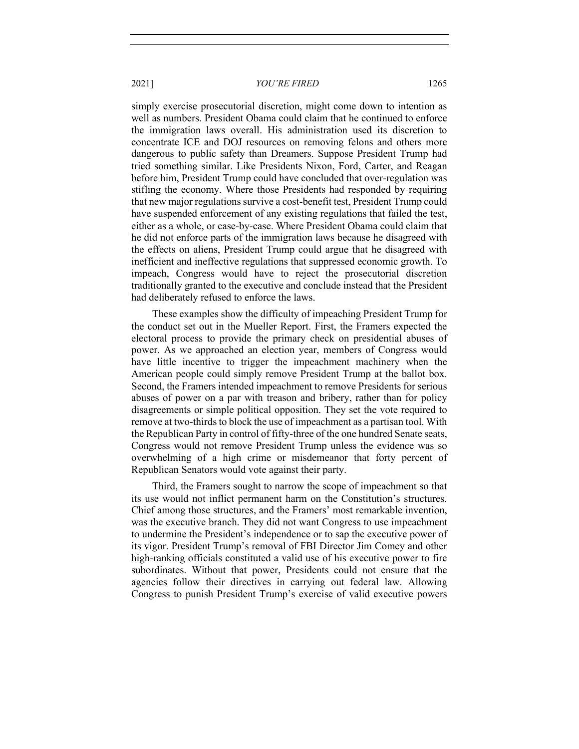simply exercise prosecutorial discretion, might come down to intention as well as numbers. President Obama could claim that he continued to enforce the immigration laws overall. His administration used its discretion to concentrate ICE and DOJ resources on removing felons and others more dangerous to public safety than Dreamers. Suppose President Trump had tried something similar. Like Presidents Nixon, Ford, Carter, and Reagan before him, President Trump could have concluded that over-regulation was stifling the economy. Where those Presidents had responded by requiring that new major regulations survive a cost-benefit test, President Trump could have suspended enforcement of any existing regulations that failed the test, either as a whole, or case-by-case. Where President Obama could claim that he did not enforce parts of the immigration laws because he disagreed with the effects on aliens, President Trump could argue that he disagreed with inefficient and ineffective regulations that suppressed economic growth. To impeach, Congress would have to reject the prosecutorial discretion traditionally granted to the executive and conclude instead that the President had deliberately refused to enforce the laws.

These examples show the difficulty of impeaching President Trump for the conduct set out in the Mueller Report. First, the Framers expected the electoral process to provide the primary check on presidential abuses of power. As we approached an election year, members of Congress would have little incentive to trigger the impeachment machinery when the American people could simply remove President Trump at the ballot box. Second, the Framers intended impeachment to remove Presidents for serious abuses of power on a par with treason and bribery, rather than for policy disagreements or simple political opposition. They set the vote required to remove at two-thirds to block the use of impeachment as a partisan tool. With the Republican Party in control of fifty-three of the one hundred Senate seats, Congress would not remove President Trump unless the evidence was so overwhelming of a high crime or misdemeanor that forty percent of Republican Senators would vote against their party.

Third, the Framers sought to narrow the scope of impeachment so that its use would not inflict permanent harm on the Constitution's structures. Chief among those structures, and the Framers' most remarkable invention, was the executive branch. They did not want Congress to use impeachment to undermine the President's independence or to sap the executive power of its vigor. President Trump's removal of FBI Director Jim Comey and other high-ranking officials constituted a valid use of his executive power to fire subordinates. Without that power, Presidents could not ensure that the agencies follow their directives in carrying out federal law. Allowing Congress to punish President Trump's exercise of valid executive powers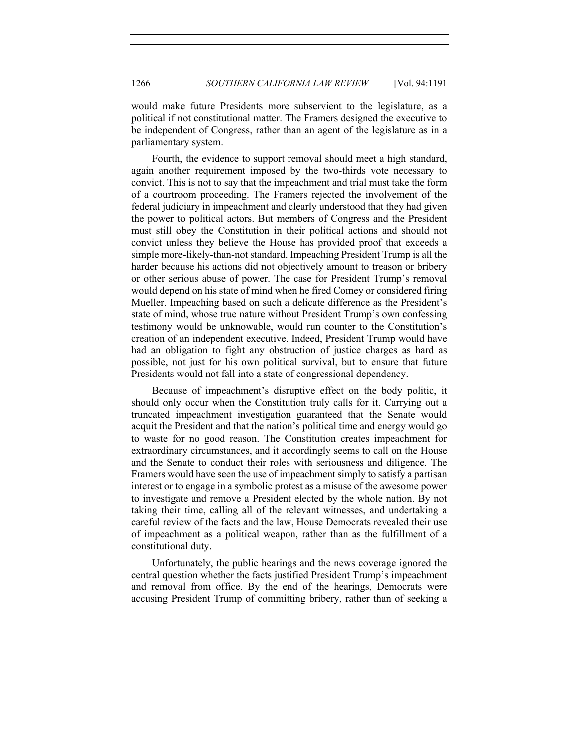would make future Presidents more subservient to the legislature, as a political if not constitutional matter. The Framers designed the executive to be independent of Congress, rather than an agent of the legislature as in a parliamentary system.

Fourth, the evidence to support removal should meet a high standard, again another requirement imposed by the two-thirds vote necessary to convict. This is not to say that the impeachment and trial must take the form of a courtroom proceeding. The Framers rejected the involvement of the federal judiciary in impeachment and clearly understood that they had given the power to political actors. But members of Congress and the President must still obey the Constitution in their political actions and should not convict unless they believe the House has provided proof that exceeds a simple more-likely-than-not standard. Impeaching President Trump is all the harder because his actions did not objectively amount to treason or bribery or other serious abuse of power. The case for President Trump's removal would depend on his state of mind when he fired Comey or considered firing Mueller. Impeaching based on such a delicate difference as the President's state of mind, whose true nature without President Trump's own confessing testimony would be unknowable, would run counter to the Constitution's creation of an independent executive. Indeed, President Trump would have had an obligation to fight any obstruction of justice charges as hard as possible, not just for his own political survival, but to ensure that future Presidents would not fall into a state of congressional dependency.

Because of impeachment's disruptive effect on the body politic, it should only occur when the Constitution truly calls for it. Carrying out a truncated impeachment investigation guaranteed that the Senate would acquit the President and that the nation's political time and energy would go to waste for no good reason. The Constitution creates impeachment for extraordinary circumstances, and it accordingly seems to call on the House and the Senate to conduct their roles with seriousness and diligence. The Framers would have seen the use of impeachment simply to satisfy a partisan interest or to engage in a symbolic protest as a misuse of the awesome power to investigate and remove a President elected by the whole nation. By not taking their time, calling all of the relevant witnesses, and undertaking a careful review of the facts and the law, House Democrats revealed their use of impeachment as a political weapon, rather than as the fulfillment of a constitutional duty.

Unfortunately, the public hearings and the news coverage ignored the central question whether the facts justified President Trump's impeachment and removal from office. By the end of the hearings, Democrats were accusing President Trump of committing bribery, rather than of seeking a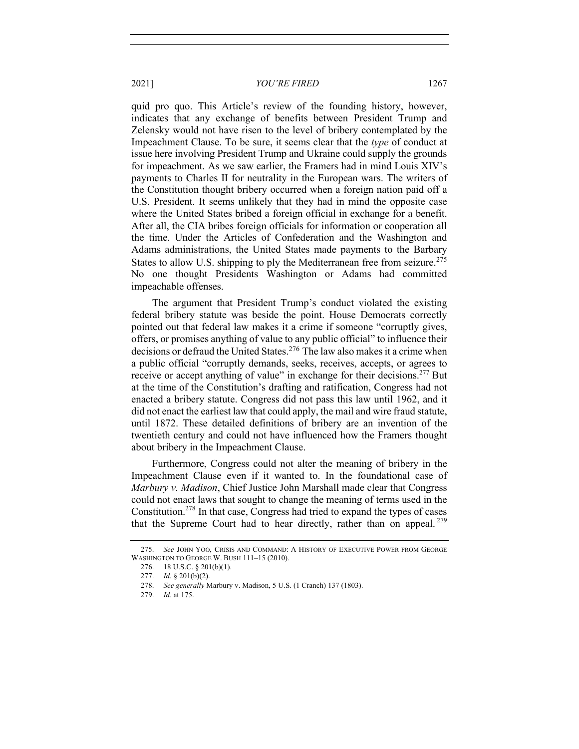quid pro quo. This Article's review of the founding history, however, indicates that any exchange of benefits between President Trump and Zelensky would not have risen to the level of bribery contemplated by the Impeachment Clause. To be sure, it seems clear that the *type* of conduct at issue here involving President Trump and Ukraine could supply the grounds for impeachment. As we saw earlier, the Framers had in mind Louis XIV's payments to Charles II for neutrality in the European wars. The writers of the Constitution thought bribery occurred when a foreign nation paid off a U.S. President. It seems unlikely that they had in mind the opposite case where the United States bribed a foreign official in exchange for a benefit. After all, the CIA bribes foreign officials for information or cooperation all the time. Under the Articles of Confederation and the Washington and Adams administrations, the United States made payments to the Barbary States to allow U.S. shipping to ply the Mediterranean free from seizure.<sup>275</sup> No one thought Presidents Washington or Adams had committed impeachable offenses.

The argument that President Trump's conduct violated the existing federal bribery statute was beside the point. House Democrats correctly pointed out that federal law makes it a crime if someone "corruptly gives, offers, or promises anything of value to any public official" to influence their decisions or defraud the United States. <sup>276</sup> The law also makes it a crime when a public official "corruptly demands, seeks, receives, accepts, or agrees to receive or accept anything of value" in exchange for their decisions.<sup>277</sup> But at the time of the Constitution's drafting and ratification, Congress had not enacted a bribery statute. Congress did not pass this law until 1962, and it did not enact the earliest law that could apply, the mail and wire fraud statute, until 1872. These detailed definitions of bribery are an invention of the twentieth century and could not have influenced how the Framers thought about bribery in the Impeachment Clause.

Furthermore, Congress could not alter the meaning of bribery in the Impeachment Clause even if it wanted to. In the foundational case of *Marbury v. Madison*, Chief Justice John Marshall made clear that Congress could not enact laws that sought to change the meaning of terms used in the Constitution.278 In that case, Congress had tried to expand the types of cases that the Supreme Court had to hear directly, rather than on appeal.  $279$ 

<sup>275.</sup> *See* JOHN YOO, CRISIS AND COMMAND: A HISTORY OF EXECUTIVE POWER FROM GEORGE WASHINGTON TO GEORGE W. BUSH 111–15 (2010).

<sup>276.</sup> 18 U.S.C. § 201(b)(1).

<sup>277.</sup> *Id*. § 201(b)(2).

<sup>278.</sup> *See generally* Marbury v. Madison, 5 U.S. (1 Cranch) 137 (1803).

<sup>279.</sup> *Id.* at 175.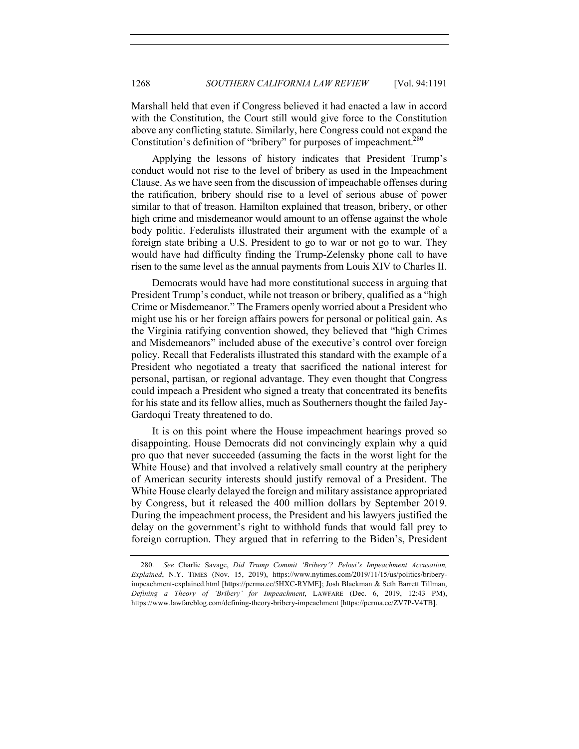Marshall held that even if Congress believed it had enacted a law in accord with the Constitution, the Court still would give force to the Constitution above any conflicting statute. Similarly, here Congress could not expand the Constitution's definition of "bribery" for purposes of impeachment.<sup>280</sup>

Applying the lessons of history indicates that President Trump's conduct would not rise to the level of bribery as used in the Impeachment Clause. As we have seen from the discussion of impeachable offenses during the ratification, bribery should rise to a level of serious abuse of power similar to that of treason. Hamilton explained that treason, bribery, or other high crime and misdemeanor would amount to an offense against the whole body politic. Federalists illustrated their argument with the example of a foreign state bribing a U.S. President to go to war or not go to war. They would have had difficulty finding the Trump-Zelensky phone call to have risen to the same level as the annual payments from Louis XIV to Charles II.

Democrats would have had more constitutional success in arguing that President Trump's conduct, while not treason or bribery, qualified as a "high Crime or Misdemeanor." The Framers openly worried about a President who might use his or her foreign affairs powers for personal or political gain. As the Virginia ratifying convention showed, they believed that "high Crimes and Misdemeanors" included abuse of the executive's control over foreign policy. Recall that Federalists illustrated this standard with the example of a President who negotiated a treaty that sacrificed the national interest for personal, partisan, or regional advantage. They even thought that Congress could impeach a President who signed a treaty that concentrated its benefits for his state and its fellow allies, much as Southerners thought the failed Jay-Gardoqui Treaty threatened to do.

It is on this point where the House impeachment hearings proved so disappointing. House Democrats did not convincingly explain why a quid pro quo that never succeeded (assuming the facts in the worst light for the White House) and that involved a relatively small country at the periphery of American security interests should justify removal of a President. The White House clearly delayed the foreign and military assistance appropriated by Congress, but it released the 400 million dollars by September 2019. During the impeachment process, the President and his lawyers justified the delay on the government's right to withhold funds that would fall prey to foreign corruption. They argued that in referring to the Biden's, President

<sup>280.</sup> *See* Charlie Savage, *Did Trump Commit 'Bribery'? Pelosi's Impeachment Accusation, Explained*, N.Y. TIMES (Nov. 15, 2019), https://www.nytimes.com/2019/11/15/us/politics/briberyimpeachment-explained.html [https://perma.cc/5HXC-RYME]; Josh Blackman & Seth Barrett Tillman, *Defining a Theory of 'Bribery' for Impeachment*, LAWFARE (Dec. 6, 2019, 12:43 PM), https://www.lawfareblog.com/defining-theory-bribery-impeachment [https://perma.cc/ZV7P-V4TB].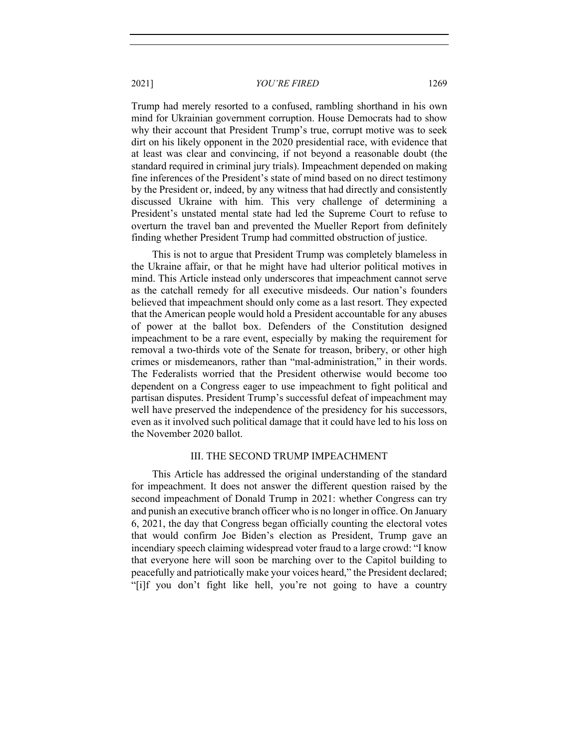Trump had merely resorted to a confused, rambling shorthand in his own mind for Ukrainian government corruption. House Democrats had to show why their account that President Trump's true, corrupt motive was to seek dirt on his likely opponent in the 2020 presidential race, with evidence that at least was clear and convincing, if not beyond a reasonable doubt (the standard required in criminal jury trials). Impeachment depended on making fine inferences of the President's state of mind based on no direct testimony by the President or, indeed, by any witness that had directly and consistently discussed Ukraine with him. This very challenge of determining a President's unstated mental state had led the Supreme Court to refuse to overturn the travel ban and prevented the Mueller Report from definitely finding whether President Trump had committed obstruction of justice.

This is not to argue that President Trump was completely blameless in the Ukraine affair, or that he might have had ulterior political motives in mind. This Article instead only underscores that impeachment cannot serve as the catchall remedy for all executive misdeeds. Our nation's founders believed that impeachment should only come as a last resort. They expected that the American people would hold a President accountable for any abuses of power at the ballot box. Defenders of the Constitution designed impeachment to be a rare event, especially by making the requirement for removal a two-thirds vote of the Senate for treason, bribery, or other high crimes or misdemeanors, rather than "mal-administration," in their words. The Federalists worried that the President otherwise would become too dependent on a Congress eager to use impeachment to fight political and partisan disputes. President Trump's successful defeat of impeachment may well have preserved the independence of the presidency for his successors, even as it involved such political damage that it could have led to his loss on the November 2020 ballot.

#### III. THE SECOND TRUMP IMPEACHMENT

This Article has addressed the original understanding of the standard for impeachment. It does not answer the different question raised by the second impeachment of Donald Trump in 2021: whether Congress can try and punish an executive branch officer who is no longer in office. On January 6, 2021, the day that Congress began officially counting the electoral votes that would confirm Joe Biden's election as President, Trump gave an incendiary speech claiming widespread voter fraud to a large crowd: "I know that everyone here will soon be marching over to the Capitol building to peacefully and patriotically make your voices heard," the President declared; "[i]f you don't fight like hell, you're not going to have a country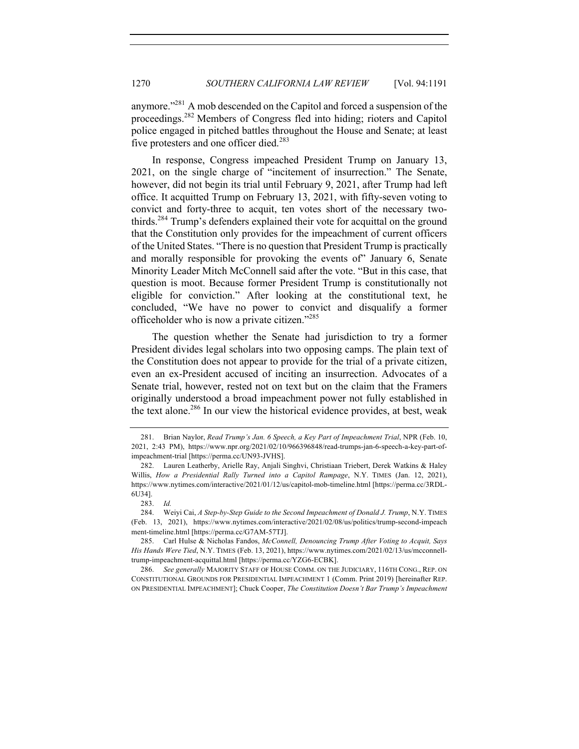anymore."<sup>281</sup> A mob descended on the Capitol and forced a suspension of the proceedings.<sup>282</sup> Members of Congress fled into hiding; rioters and Capitol police engaged in pitched battles throughout the House and Senate; at least five protesters and one officer died.<sup>283</sup>

In response, Congress impeached President Trump on January 13, 2021, on the single charge of "incitement of insurrection." The Senate, however, did not begin its trial until February 9, 2021, after Trump had left office. It acquitted Trump on February 13, 2021, with fifty-seven voting to convict and forty-three to acquit, ten votes short of the necessary twothirds.<sup>284</sup> Trump's defenders explained their vote for acquittal on the ground that the Constitution only provides for the impeachment of current officers of the United States. "There is no question that President Trump is practically and morally responsible for provoking the events of" January 6, Senate Minority Leader Mitch McConnell said after the vote. "But in this case, that question is moot. Because former President Trump is constitutionally not eligible for conviction." After looking at the constitutional text, he concluded, "We have no power to convict and disqualify a former officeholder who is now a private citizen."<sup>285</sup>

The question whether the Senate had jurisdiction to try a former President divides legal scholars into two opposing camps. The plain text of the Constitution does not appear to provide for the trial of a private citizen, even an ex-President accused of inciting an insurrection. Advocates of a Senate trial, however, rested not on text but on the claim that the Framers originally understood a broad impeachment power not fully established in the text alone.<sup>286</sup> In our view the historical evidence provides, at best, weak

<sup>281.</sup> Brian Naylor, *Read Trump's Jan. 6 Speech, a Key Part of Impeachment Trial*, NPR (Feb. 10, 2021, 2:43 PM), https://www.npr.org/2021/02/10/966396848/read-trumps-jan-6-speech-a-key-part-ofimpeachment-trial [https://perma.cc/UN93-JVHS].

<sup>282.</sup> Lauren Leatherby, Arielle Ray, Anjali Singhvi, Christiaan Triebert, Derek Watkins & Haley Willis, *How a Presidential Rally Turned into a Capitol Rampage*, N.Y. TIMES (Jan. 12, 2021), https://www.nytimes.com/interactive/2021/01/12/us/capitol-mob-timeline.html [https://perma.cc/3RDL-6U34].

<sup>283.</sup> *Id.*

<sup>284.</sup> Weiyi Cai, *A Step-by-Step Guide to the Second Impeachment of Donald J. Trump*, N.Y. TIMES (Feb. 13, 2021), https://www.nytimes.com/interactive/2021/02/08/us/politics/trump-second-impeach ment-timeline.html [https://perma.cc/G7AM-57TJ].

<sup>285.</sup> Carl Hulse & Nicholas Fandos, *McConnell, Denouncing Trump After Voting to Acquit, Says His Hands Were Tied*, N.Y. TIMES (Feb. 13, 2021), https://www.nytimes.com/2021/02/13/us/mcconnelltrump-impeachment-acquittal.html [https://perma.cc/YZG6-ECBK].

<sup>286.</sup> *See generally* MAJORITY STAFF OF HOUSE COMM. ON THE JUDICIARY, 116TH CONG., REP. ON CONSTITUTIONAL GROUNDS FOR PRESIDENTIAL IMPEACHMENT 1 (Comm. Print 2019) [hereinafter REP. ON PRESIDENTIAL IMPEACHMENT]; Chuck Cooper, *The Constitution Doesn't Bar Trump's Impeachment*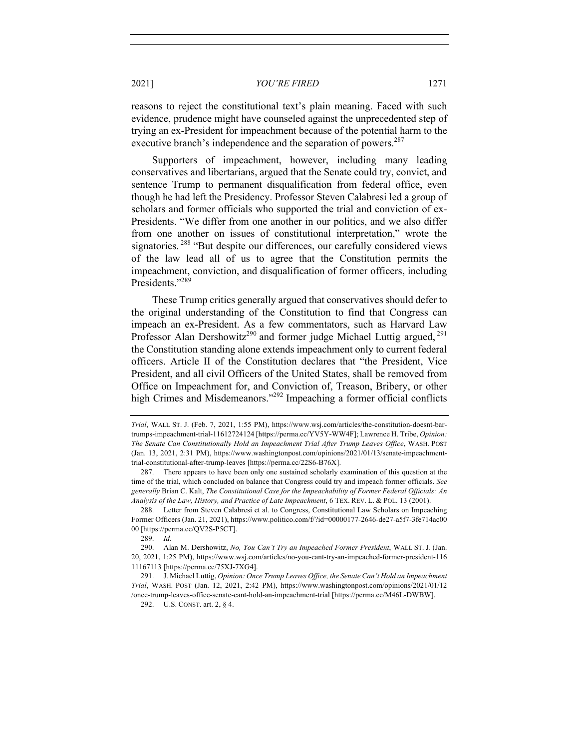reasons to reject the constitutional text's plain meaning. Faced with such evidence, prudence might have counseled against the unprecedented step of trying an ex-President for impeachment because of the potential harm to the executive branch's independence and the separation of powers.<sup>287</sup>

Supporters of impeachment, however, including many leading conservatives and libertarians, argued that the Senate could try, convict, and sentence Trump to permanent disqualification from federal office, even though he had left the Presidency. Professor Steven Calabresi led a group of scholars and former officials who supported the trial and conviction of ex-Presidents. "We differ from one another in our politics, and we also differ from one another on issues of constitutional interpretation," wrote the signatories.<sup>288</sup> "But despite our differences, our carefully considered views of the law lead all of us to agree that the Constitution permits the impeachment, conviction, and disqualification of former officers, including Presidents."<sup>289</sup>

These Trump critics generally argued that conservatives should defer to the original understanding of the Constitution to find that Congress can impeach an ex-President. As a few commentators, such as Harvard Law Professor Alan Dershowitz<sup>290</sup> and former judge Michael Luttig argued,  $^{291}$ the Constitution standing alone extends impeachment only to current federal officers. Article II of the Constitution declares that "the President, Vice President, and all civil Officers of the United States, shall be removed from Office on Impeachment for, and Conviction of, Treason, Bribery, or other high Crimes and Misdemeanors."<sup>292</sup> Impeaching a former official conflicts

*Trial*, WALL ST. J. (Feb. 7, 2021, 1:55 PM), https://www.wsj.com/articles/the-constitution-doesnt-bartrumps-impeachment-trial-11612724124 [https://perma.cc/YV5Y-WW4F]; Lawrence H. Tribe, *Opinion: The Senate Can Constitutionally Hold an Impeachment Trial After Trump Leaves Office*, WASH. POST (Jan. 13, 2021, 2:31 PM), https://www.washingtonpost.com/opinions/2021/01/13/senate-impeachmenttrial-constitutional-after-trump-leaves [https://perma.cc/22S6-B76X].

<sup>287.</sup> There appears to have been only one sustained scholarly examination of this question at the time of the trial, which concluded on balance that Congress could try and impeach former officials. *See generally* Brian C. Kalt, *The Constitutional Case for the Impeachability of Former Federal Officials: An Analysis of the Law, History, and Practice of Late Impeachment*, 6 TEX. REV. L. & POL. 13 (2001).

<sup>288.</sup> Letter from Steven Calabresi et al. to Congress, Constitutional Law Scholars on Impeaching Former Officers (Jan. 21, 2021), https://www.politico.com/f/?id=00000177-2646-de27-a5f7-3fe714ac00 00 [https://perma.cc/QV2S-P5CT].

<sup>289.</sup> *Id.*

<sup>290.</sup> Alan M. Dershowitz, *No, You Can't Try an Impeached Former President*, WALL ST. J. (Jan. 20, 2021, 1:25 PM), https://www.wsj.com/articles/no-you-cant-try-an-impeached-former-president-116 11167113 [https://perma.cc/75XJ-7XG4].

<sup>291.</sup> J. Michael Luttig, *Opinion: Once Trump Leaves Office, the Senate Can't Hold an Impeachment Trial*, WASH. POST (Jan. 12, 2021, 2:42 PM), https://www.washingtonpost.com/opinions/2021/01/12 /once-trump-leaves-office-senate-cant-hold-an-impeachment-trial [https://perma.cc/M46L-DWBW].

<sup>292.</sup> U.S. CONST. art. 2, § 4.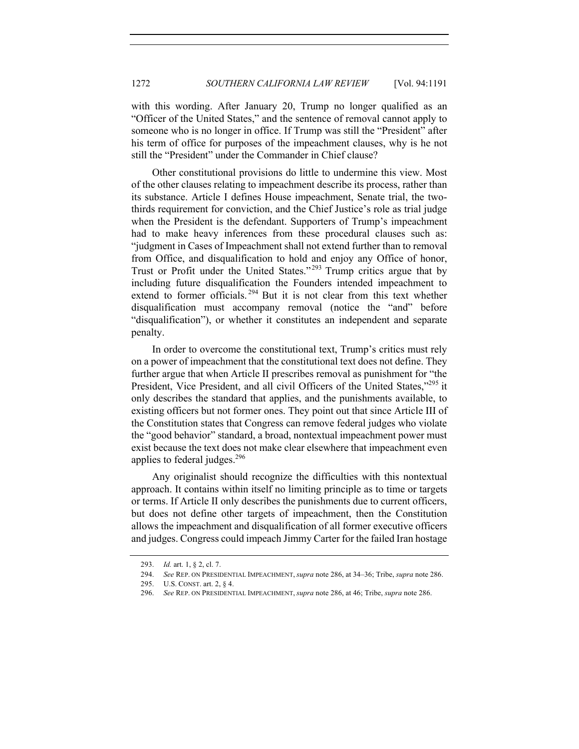with this wording. After January 20, Trump no longer qualified as an "Officer of the United States," and the sentence of removal cannot apply to someone who is no longer in office. If Trump was still the "President" after his term of office for purposes of the impeachment clauses, why is he not still the "President" under the Commander in Chief clause?

Other constitutional provisions do little to undermine this view. Most of the other clauses relating to impeachment describe its process, rather than its substance. Article I defines House impeachment, Senate trial, the twothirds requirement for conviction, and the Chief Justice's role as trial judge when the President is the defendant. Supporters of Trump's impeachment had to make heavy inferences from these procedural clauses such as: "judgment in Cases of Impeachment shall not extend further than to removal from Office, and disqualification to hold and enjoy any Office of honor, Trust or Profit under the United States." <sup>293</sup> Trump critics argue that by including future disqualification the Founders intended impeachment to extend to former officials.<sup>294</sup> But it is not clear from this text whether disqualification must accompany removal (notice the "and" before "disqualification"), or whether it constitutes an independent and separate penalty.

In order to overcome the constitutional text, Trump's critics must rely on a power of impeachment that the constitutional text does not define. They further argue that when Article II prescribes removal as punishment for "the President, Vice President, and all civil Officers of the United States,"295 it only describes the standard that applies, and the punishments available, to existing officers but not former ones. They point out that since Article III of the Constitution states that Congress can remove federal judges who violate the "good behavior" standard, a broad, nontextual impeachment power must exist because the text does not make clear elsewhere that impeachment even applies to federal judges. $296$ 

Any originalist should recognize the difficulties with this nontextual approach. It contains within itself no limiting principle as to time or targets or terms. If Article II only describes the punishments due to current officers, but does not define other targets of impeachment, then the Constitution allows the impeachment and disqualification of all former executive officers and judges. Congress could impeach Jimmy Carter for the failed Iran hostage

<sup>293.</sup> *Id.* art. 1, § 2, cl. 7.

<sup>294.</sup> *See* REP. ON PRESIDENTIAL IMPEACHMENT, *supra* note 286, at 34–36; Tribe, *supra* note 286.

<sup>295.</sup> U.S. CONST. art. 2, § 4.

<sup>296.</sup> *See* REP. ON PRESIDENTIAL IMPEACHMENT, *supra* note 286, at 46; Tribe, *supra* note 286.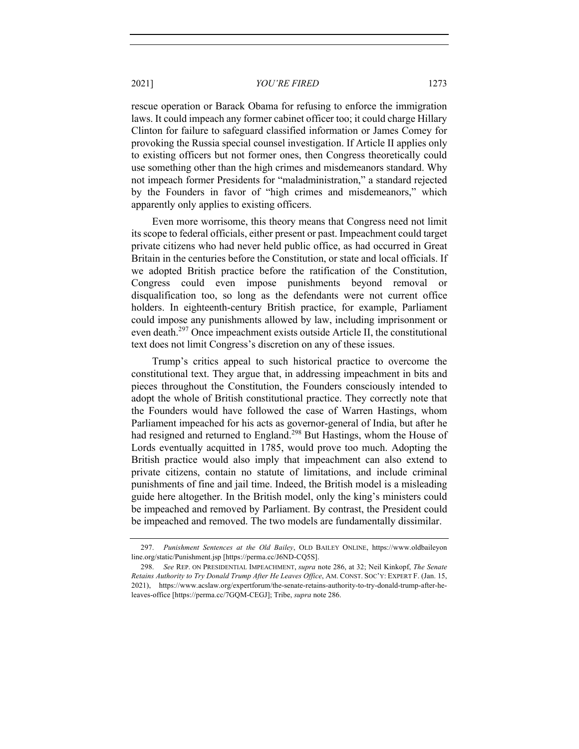rescue operation or Barack Obama for refusing to enforce the immigration laws. It could impeach any former cabinet officer too; it could charge Hillary Clinton for failure to safeguard classified information or James Comey for provoking the Russia special counsel investigation. If Article II applies only to existing officers but not former ones, then Congress theoretically could use something other than the high crimes and misdemeanors standard. Why not impeach former Presidents for "maladministration," a standard rejected by the Founders in favor of "high crimes and misdemeanors," which apparently only applies to existing officers.

Even more worrisome, this theory means that Congress need not limit its scope to federal officials, either present or past. Impeachment could target private citizens who had never held public office, as had occurred in Great Britain in the centuries before the Constitution, or state and local officials. If we adopted British practice before the ratification of the Constitution, Congress could even impose punishments beyond removal or disqualification too, so long as the defendants were not current office holders. In eighteenth-century British practice, for example, Parliament could impose any punishments allowed by law, including imprisonment or even death.<sup>297</sup> Once impeachment exists outside Article II, the constitutional text does not limit Congress's discretion on any of these issues.

Trump's critics appeal to such historical practice to overcome the constitutional text. They argue that, in addressing impeachment in bits and pieces throughout the Constitution, the Founders consciously intended to adopt the whole of British constitutional practice. They correctly note that the Founders would have followed the case of Warren Hastings, whom Parliament impeached for his acts as governor-general of India, but after he had resigned and returned to England.<sup>298</sup> But Hastings, whom the House of Lords eventually acquitted in 1785, would prove too much. Adopting the British practice would also imply that impeachment can also extend to private citizens, contain no statute of limitations, and include criminal punishments of fine and jail time. Indeed, the British model is a misleading guide here altogether. In the British model, only the king's ministers could be impeached and removed by Parliament. By contrast, the President could be impeached and removed. The two models are fundamentally dissimilar.

<sup>297.</sup> *Punishment Sentences at the Old Bailey*, OLD BAILEY ONLINE, https://www.oldbaileyon line.org/static/Punishment.jsp [https://perma.cc/J6ND-CQ5S].

<sup>298.</sup> *See* REP. ON PRESIDENTIAL IMPEACHMENT, *supra* note 286, at 32; Neil Kinkopf, *The Senate Retains Authority to Try Donald Trump After He Leaves Office*, AM. CONST. SOC'Y: EXPERT F. (Jan. 15, 2021), https://www.acslaw.org/expertforum/the-senate-retains-authority-to-try-donald-trump-after-heleaves-office [https://perma.cc/7GQM-CEGJ]; Tribe, *supra* note 286.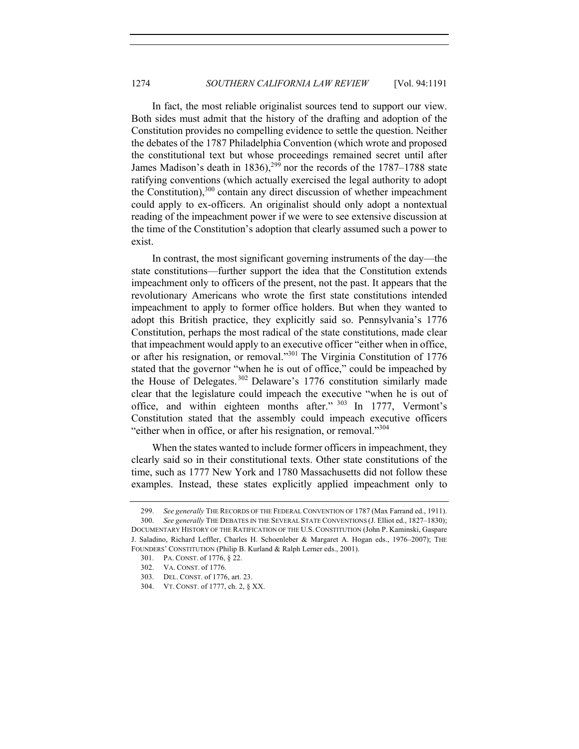In fact, the most reliable originalist sources tend to support our view. Both sides must admit that the history of the drafting and adoption of the Constitution provides no compelling evidence to settle the question. Neither the debates of the 1787 Philadelphia Convention (which wrote and proposed the constitutional text but whose proceedings remained secret until after James Madison's death in 1836),<sup>299</sup> nor the records of the 1787–1788 state ratifying conventions (which actually exercised the legal authority to adopt the Constitution), $300$  contain any direct discussion of whether impeachment could apply to ex-officers. An originalist should only adopt a nontextual reading of the impeachment power if we were to see extensive discussion at the time of the Constitution's adoption that clearly assumed such a power to exist.

In contrast, the most significant governing instruments of the day—the state constitutions—further support the idea that the Constitution extends impeachment only to officers of the present, not the past. It appears that the revolutionary Americans who wrote the first state constitutions intended impeachment to apply to former office holders. But when they wanted to adopt this British practice, they explicitly said so. Pennsylvania's 1776 Constitution, perhaps the most radical of the state constitutions, made clear that impeachment would apply to an executive officer "either when in office, or after his resignation, or removal."301 The Virginia Constitution of 1776 stated that the governor "when he is out of office," could be impeached by the House of Delegates. <sup>302</sup> Delaware's 1776 constitution similarly made clear that the legislature could impeach the executive "when he is out of office, and within eighteen months after."  $303$  In 1777, Vermont's Constitution stated that the assembly could impeach executive officers "either when in office, or after his resignation, or removal."<sup>304</sup>

When the states wanted to include former officers in impeachment, they clearly said so in their constitutional texts. Other state constitutions of the time, such as 1777 New York and 1780 Massachusetts did not follow these examples. Instead, these states explicitly applied impeachment only to

<sup>299.</sup> *See generally* THE RECORDS OF THE FEDERAL CONVENTION OF 1787 (Max Farrand ed., 1911). 300. *See generally* THE DEBATES IN THE SEVERAL STATE CONVENTIONS (J. Elliot ed., 1827–1830);

DOCUMENTARY HISTORY OF THE RATIFICATION OF THE U.S. CONSTITUTION (John P. Kaminski, Gaspare J. Saladino, Richard Leffler, Charles H. Schoenleber & Margaret A. Hogan eds., 1976–2007); THE FOUNDERS' CONSTITUTION (Philip B. Kurland & Ralph Lerner eds., 2001).

<sup>301.</sup> PA. CONST. of 1776, § 22.

<sup>302.</sup> VA. CONST. of 1776.

<sup>303.</sup> DEL. CONST. of 1776, art. 23.

<sup>304.</sup> VT. CONST. of 1777, ch. 2, § XX.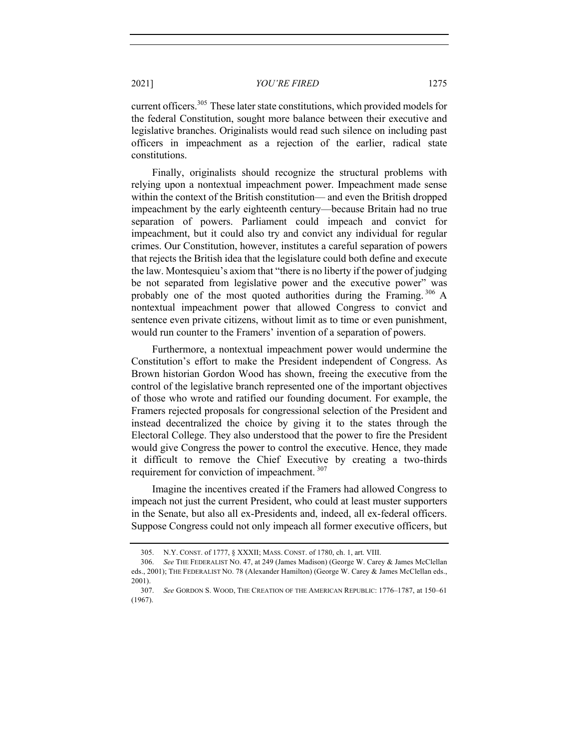current officers.<sup>305</sup> These later state constitutions, which provided models for the federal Constitution, sought more balance between their executive and legislative branches. Originalists would read such silence on including past officers in impeachment as a rejection of the earlier, radical state constitutions.

Finally, originalists should recognize the structural problems with relying upon a nontextual impeachment power. Impeachment made sense within the context of the British constitution— and even the British dropped impeachment by the early eighteenth century—because Britain had no true separation of powers. Parliament could impeach and convict for impeachment, but it could also try and convict any individual for regular crimes. Our Constitution, however, institutes a careful separation of powers that rejects the British idea that the legislature could both define and execute the law. Montesquieu's axiom that "there is no liberty if the power of judging be not separated from legislative power and the executive power" was probably one of the most quoted authorities during the Framing.<sup>306</sup> A nontextual impeachment power that allowed Congress to convict and sentence even private citizens, without limit as to time or even punishment, would run counter to the Framers' invention of a separation of powers.

Furthermore, a nontextual impeachment power would undermine the Constitution's effort to make the President independent of Congress. As Brown historian Gordon Wood has shown, freeing the executive from the control of the legislative branch represented one of the important objectives of those who wrote and ratified our founding document. For example, the Framers rejected proposals for congressional selection of the President and instead decentralized the choice by giving it to the states through the Electoral College. They also understood that the power to fire the President would give Congress the power to control the executive. Hence, they made it difficult to remove the Chief Executive by creating a two-thirds requirement for conviction of impeachment.<sup>307</sup>

Imagine the incentives created if the Framers had allowed Congress to impeach not just the current President, who could at least muster supporters in the Senate, but also all ex-Presidents and, indeed, all ex-federal officers. Suppose Congress could not only impeach all former executive officers, but

<sup>305.</sup> N.Y. CONST. of 1777, § XXXII; MASS. CONST. of 1780, ch. 1, art. VIII.

<sup>306.</sup> *See* THE FEDERALIST NO. 47, at 249 (James Madison) (George W. Carey & James McClellan eds., 2001); THE FEDERALIST NO. 78 (Alexander Hamilton) (George W. Carey & James McClellan eds., 2001).

<sup>307.</sup> *See* GORDON S. WOOD, THE CREATION OF THE AMERICAN REPUBLIC: 1776–1787, at 150–61 (1967).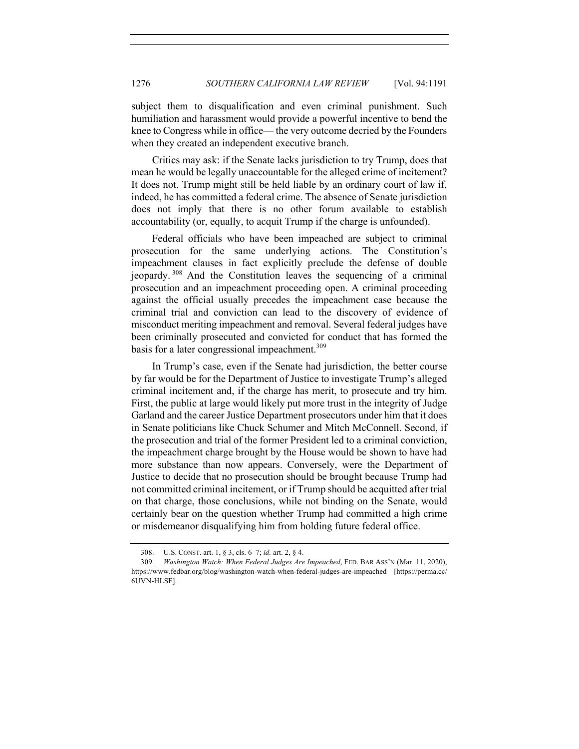subject them to disqualification and even criminal punishment. Such humiliation and harassment would provide a powerful incentive to bend the knee to Congress while in office— the very outcome decried by the Founders when they created an independent executive branch.

Critics may ask: if the Senate lacks jurisdiction to try Trump, does that mean he would be legally unaccountable for the alleged crime of incitement? It does not. Trump might still be held liable by an ordinary court of law if, indeed, he has committed a federal crime. The absence of Senate jurisdiction does not imply that there is no other forum available to establish accountability (or, equally, to acquit Trump if the charge is unfounded).

Federal officials who have been impeached are subject to criminal prosecution for the same underlying actions. The Constitution's impeachment clauses in fact explicitly preclude the defense of double jeopardy. <sup>308</sup> And the Constitution leaves the sequencing of a criminal prosecution and an impeachment proceeding open. A criminal proceeding against the official usually precedes the impeachment case because the criminal trial and conviction can lead to the discovery of evidence of misconduct meriting impeachment and removal. Several federal judges have been criminally prosecuted and convicted for conduct that has formed the basis for a later congressional impeachment.<sup>309</sup>

In Trump's case, even if the Senate had jurisdiction, the better course by far would be for the Department of Justice to investigate Trump's alleged criminal incitement and, if the charge has merit, to prosecute and try him. First, the public at large would likely put more trust in the integrity of Judge Garland and the career Justice Department prosecutors under him that it does in Senate politicians like Chuck Schumer and Mitch McConnell. Second, if the prosecution and trial of the former President led to a criminal conviction, the impeachment charge brought by the House would be shown to have had more substance than now appears. Conversely, were the Department of Justice to decide that no prosecution should be brought because Trump had not committed criminal incitement, or if Trump should be acquitted after trial on that charge, those conclusions, while not binding on the Senate, would certainly bear on the question whether Trump had committed a high crime or misdemeanor disqualifying him from holding future federal office.

<sup>308.</sup> U.S. CONST. art. 1, § 3, cls. 6–7; *id.* art. 2, § 4.

<sup>309.</sup> *Washington Watch: When Federal Judges Are Impeached*, FED. BAR ASS'N (Mar. 11, 2020), https://www.fedbar.org/blog/washington-watch-when-federal-judges-are-impeached [https://perma.cc/ 6UVN-HLSF].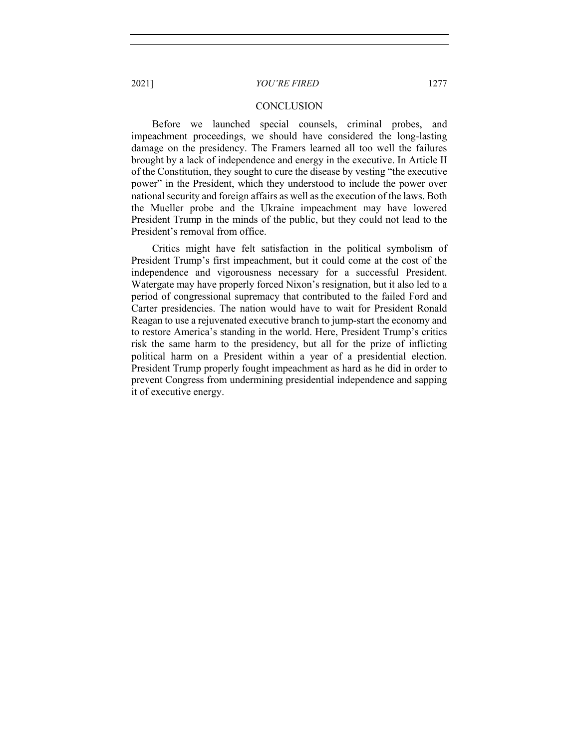#### **CONCLUSION**

Before we launched special counsels, criminal probes, and impeachment proceedings, we should have considered the long-lasting damage on the presidency. The Framers learned all too well the failures brought by a lack of independence and energy in the executive. In Article II of the Constitution, they sought to cure the disease by vesting "the executive power" in the President, which they understood to include the power over national security and foreign affairs as well as the execution of the laws. Both the Mueller probe and the Ukraine impeachment may have lowered President Trump in the minds of the public, but they could not lead to the President's removal from office.

Critics might have felt satisfaction in the political symbolism of President Trump's first impeachment, but it could come at the cost of the independence and vigorousness necessary for a successful President. Watergate may have properly forced Nixon's resignation, but it also led to a period of congressional supremacy that contributed to the failed Ford and Carter presidencies. The nation would have to wait for President Ronald Reagan to use a rejuvenated executive branch to jump-start the economy and to restore America's standing in the world. Here, President Trump's critics risk the same harm to the presidency, but all for the prize of inflicting political harm on a President within a year of a presidential election. President Trump properly fought impeachment as hard as he did in order to prevent Congress from undermining presidential independence and sapping it of executive energy.